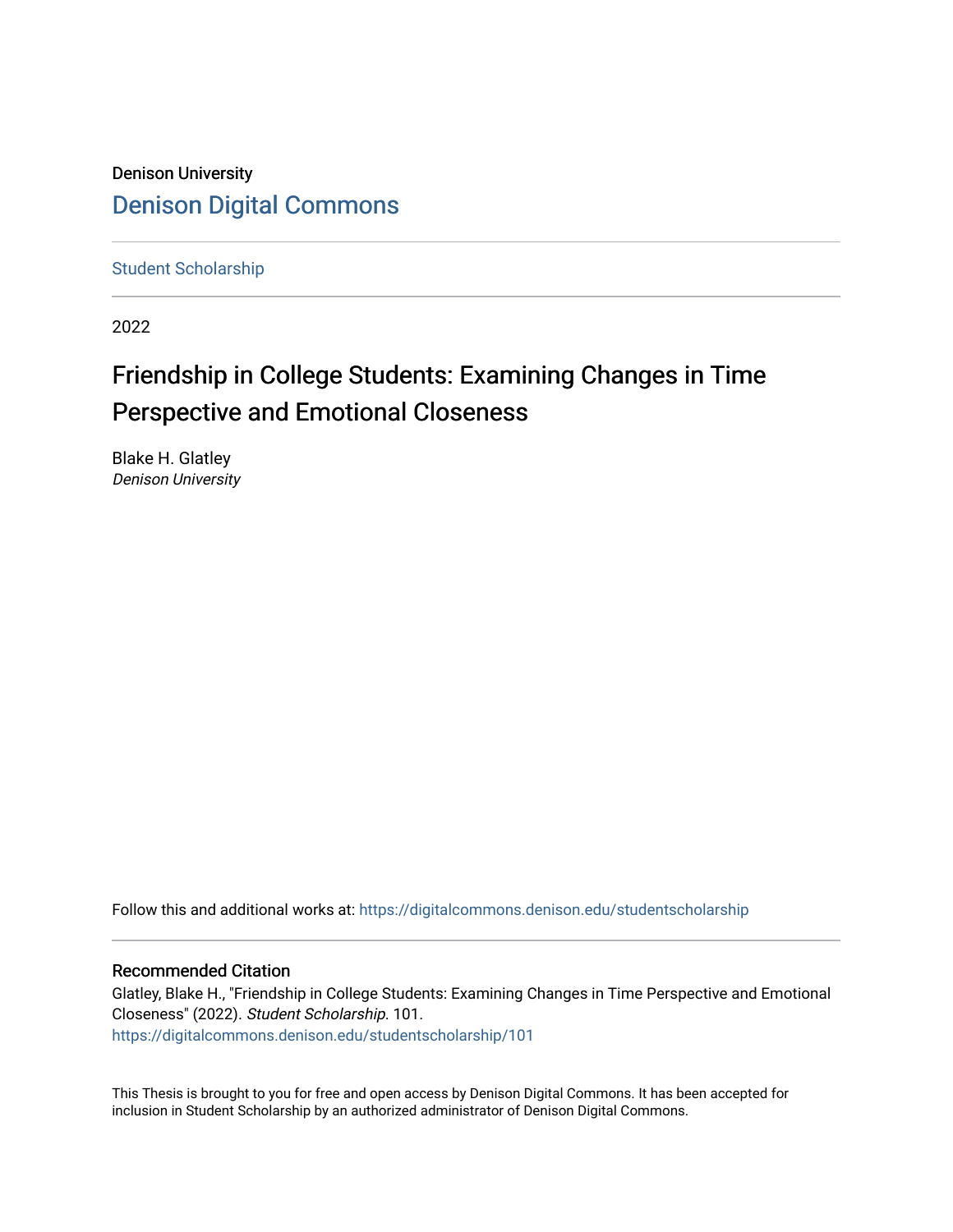Denison University [Denison Digital Commons](https://digitalcommons.denison.edu/) 

[Student Scholarship](https://digitalcommons.denison.edu/studentscholarship)

2022

# Friendship in College Students: Examining Changes in Time Perspective and Emotional Closeness

Blake H. Glatley Denison University

Follow this and additional works at: [https://digitalcommons.denison.edu/studentscholarship](https://digitalcommons.denison.edu/studentscholarship?utm_source=digitalcommons.denison.edu%2Fstudentscholarship%2F101&utm_medium=PDF&utm_campaign=PDFCoverPages) 

# Recommended Citation

Glatley, Blake H., "Friendship in College Students: Examining Changes in Time Perspective and Emotional Closeness" (2022). Student Scholarship. 101. [https://digitalcommons.denison.edu/studentscholarship/101](https://digitalcommons.denison.edu/studentscholarship/101?utm_source=digitalcommons.denison.edu%2Fstudentscholarship%2F101&utm_medium=PDF&utm_campaign=PDFCoverPages) 

This Thesis is brought to you for free and open access by Denison Digital Commons. It has been accepted for inclusion in Student Scholarship by an authorized administrator of Denison Digital Commons.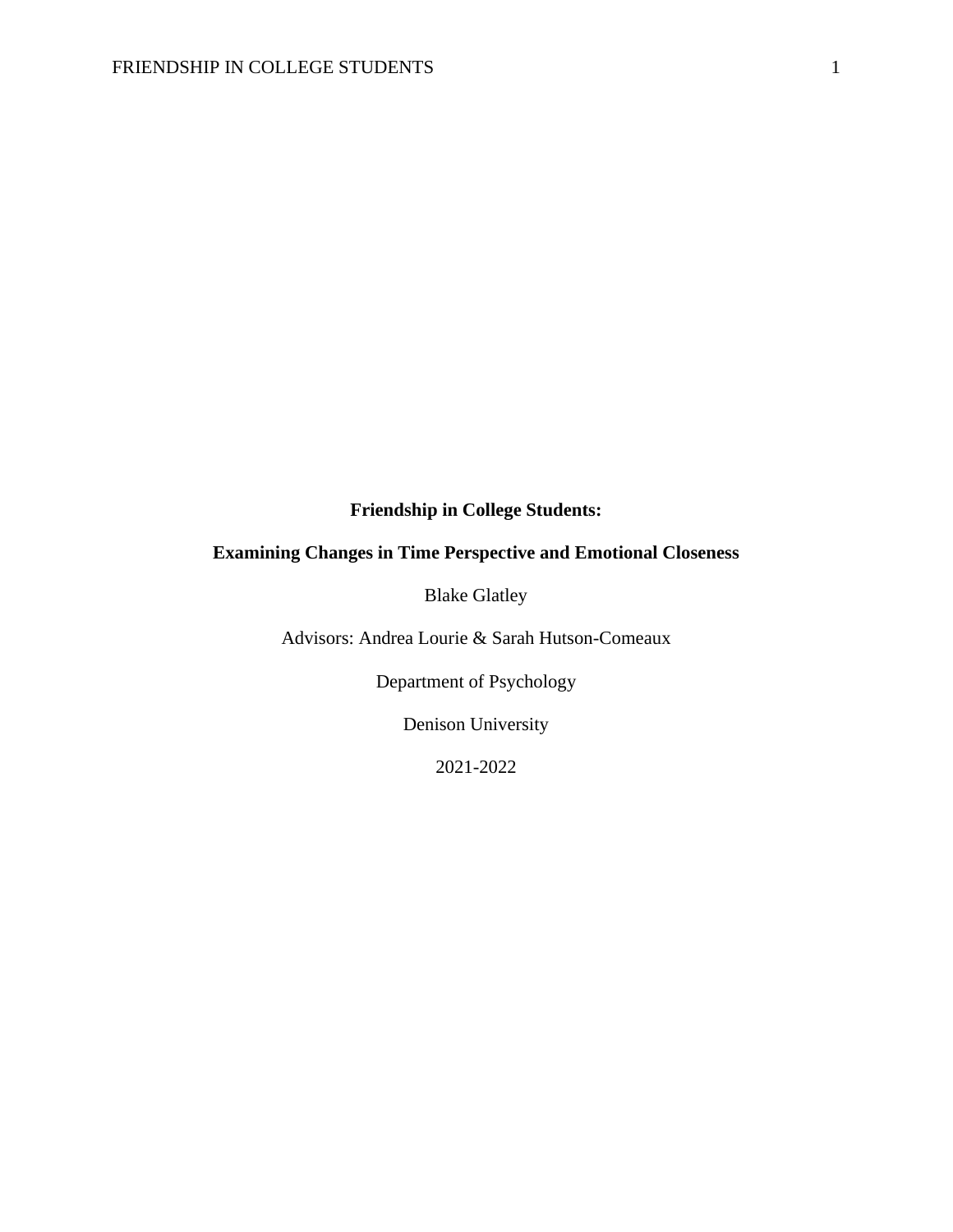# **Friendship in College Students:**

# **Examining Changes in Time Perspective and Emotional Closeness**

Blake Glatley

Advisors: Andrea Lourie & Sarah Hutson-Comeaux

Department of Psychology

Denison University

2021-2022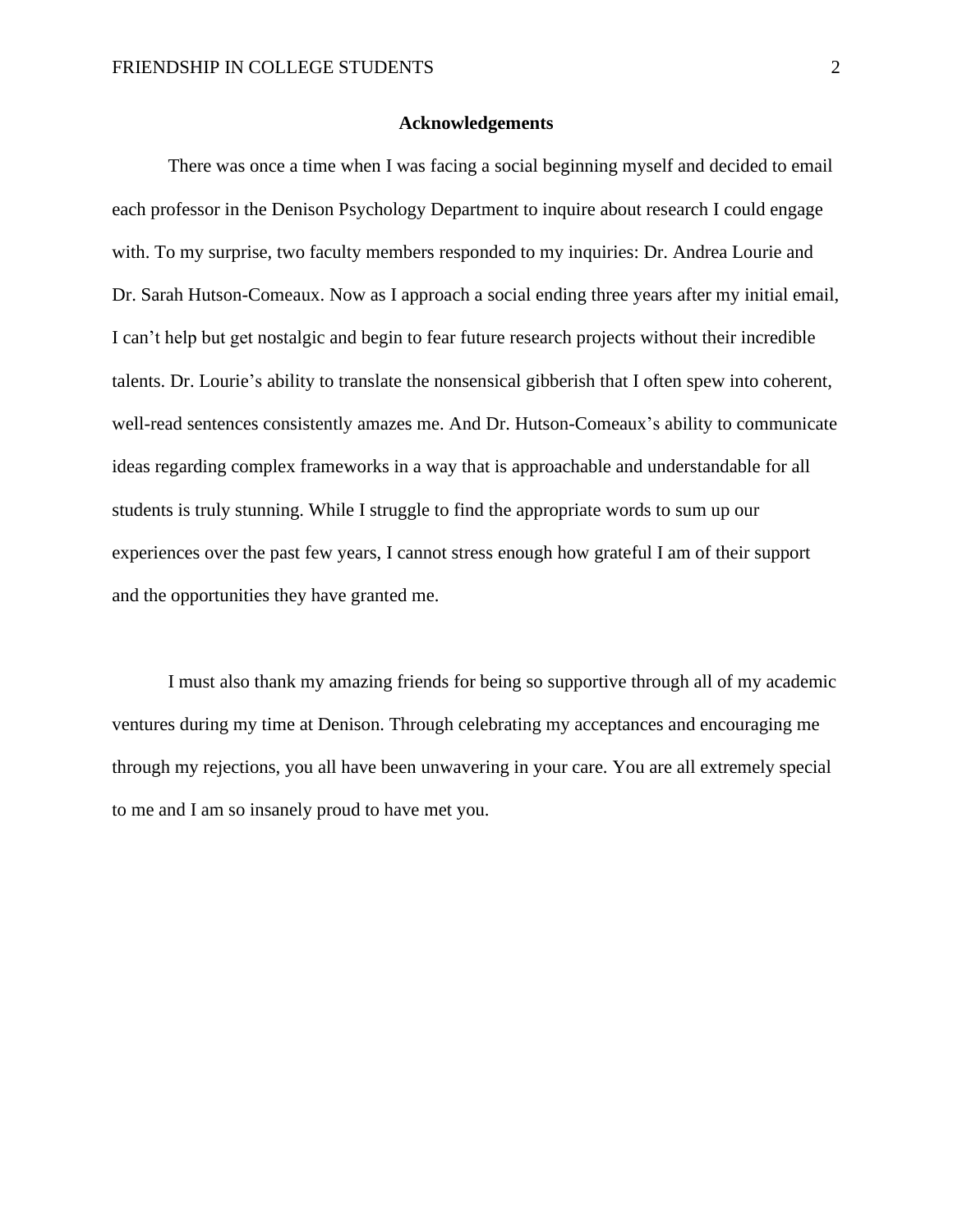#### **Acknowledgements**

There was once a time when I was facing a social beginning myself and decided to email each professor in the Denison Psychology Department to inquire about research I could engage with. To my surprise, two faculty members responded to my inquiries: Dr. Andrea Lourie and Dr. Sarah Hutson-Comeaux. Now as I approach a social ending three years after my initial email, I can't help but get nostalgic and begin to fear future research projects without their incredible talents. Dr. Lourie's ability to translate the nonsensical gibberish that I often spew into coherent, well-read sentences consistently amazes me. And Dr. Hutson-Comeaux's ability to communicate ideas regarding complex frameworks in a way that is approachable and understandable for all students is truly stunning. While I struggle to find the appropriate words to sum up our experiences over the past few years, I cannot stress enough how grateful I am of their support and the opportunities they have granted me.

I must also thank my amazing friends for being so supportive through all of my academic ventures during my time at Denison. Through celebrating my acceptances and encouraging me through my rejections, you all have been unwavering in your care. You are all extremely special to me and I am so insanely proud to have met you.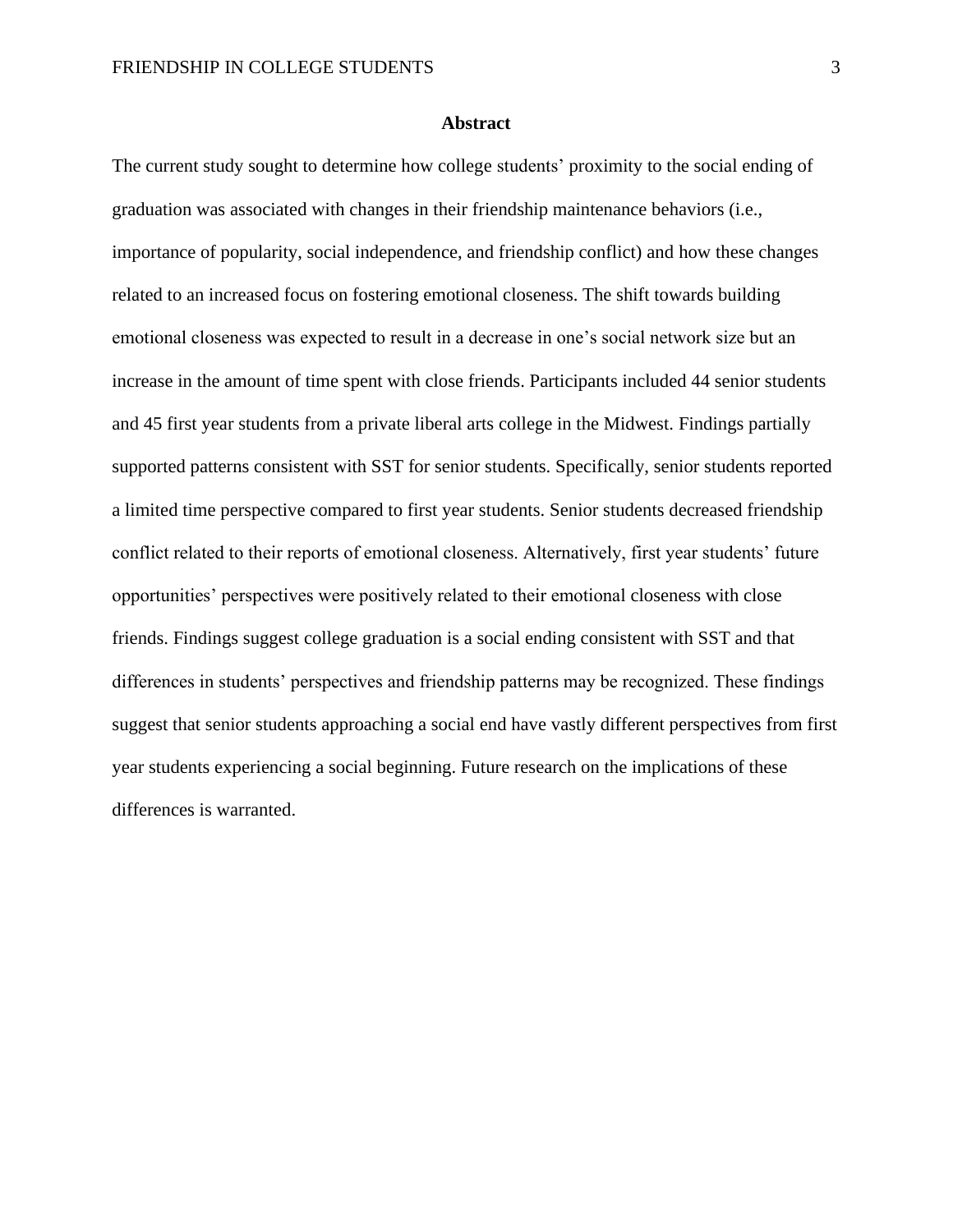#### **Abstract**

The current study sought to determine how college students' proximity to the social ending of graduation was associated with changes in their friendship maintenance behaviors (i.e., importance of popularity, social independence, and friendship conflict) and how these changes related to an increased focus on fostering emotional closeness. The shift towards building emotional closeness was expected to result in a decrease in one's social network size but an increase in the amount of time spent with close friends. Participants included 44 senior students and 45 first year students from a private liberal arts college in the Midwest. Findings partially supported patterns consistent with SST for senior students. Specifically, senior students reported a limited time perspective compared to first year students. Senior students decreased friendship conflict related to their reports of emotional closeness. Alternatively, first year students' future opportunities' perspectives were positively related to their emotional closeness with close friends. Findings suggest college graduation is a social ending consistent with SST and that differences in students' perspectives and friendship patterns may be recognized. These findings suggest that senior students approaching a social end have vastly different perspectives from first year students experiencing a social beginning. Future research on the implications of these differences is warranted.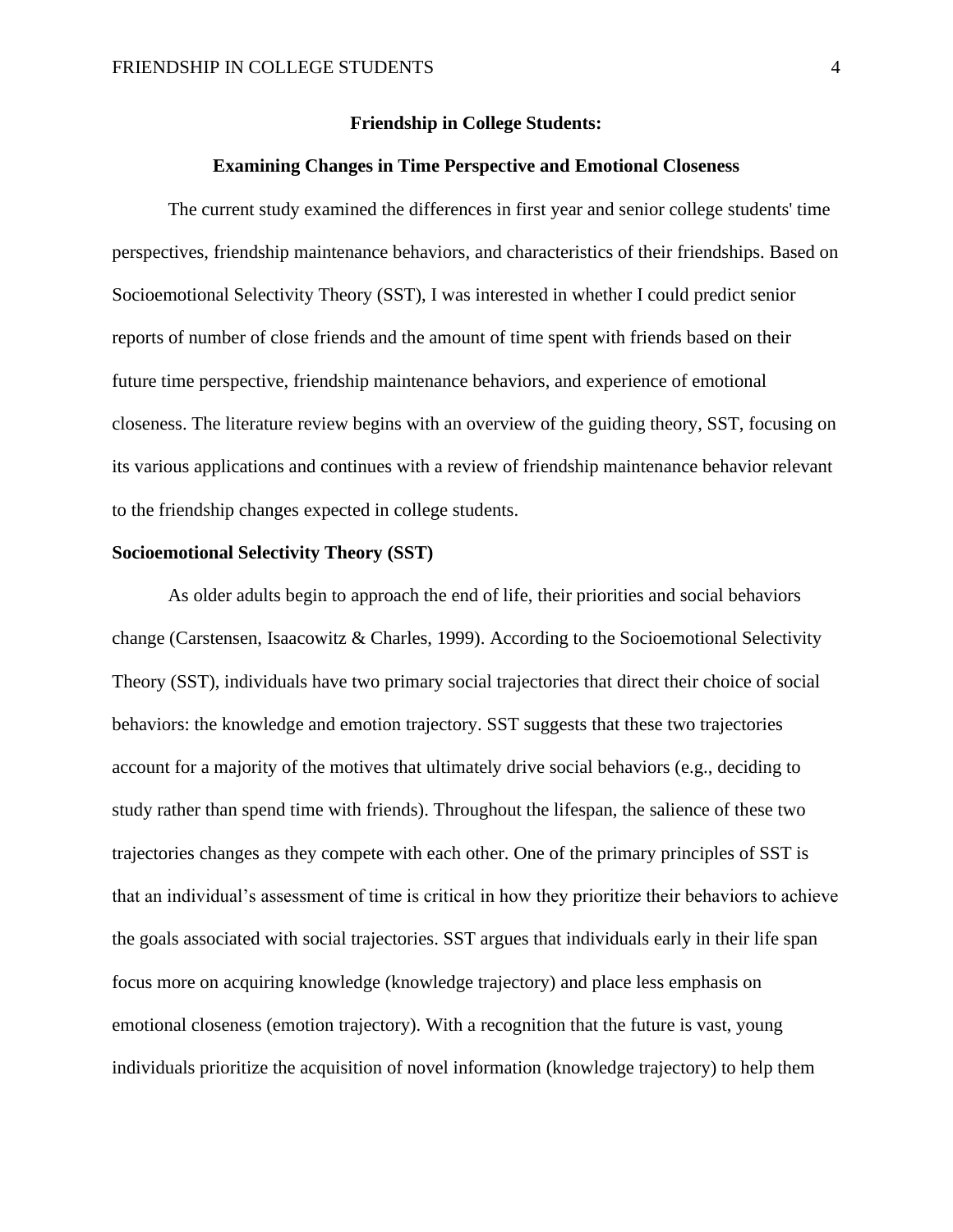#### **Friendship in College Students:**

# **Examining Changes in Time Perspective and Emotional Closeness**

The current study examined the differences in first year and senior college students' time perspectives, friendship maintenance behaviors, and characteristics of their friendships. Based on Socioemotional Selectivity Theory (SST), I was interested in whether I could predict senior reports of number of close friends and the amount of time spent with friends based on their future time perspective, friendship maintenance behaviors, and experience of emotional closeness. The literature review begins with an overview of the guiding theory, SST, focusing on its various applications and continues with a review of friendship maintenance behavior relevant to the friendship changes expected in college students.

#### **Socioemotional Selectivity Theory (SST)**

As older adults begin to approach the end of life, their priorities and social behaviors change (Carstensen, Isaacowitz & Charles, 1999). According to the Socioemotional Selectivity Theory (SST), individuals have two primary social trajectories that direct their choice of social behaviors: the knowledge and emotion trajectory. SST suggests that these two trajectories account for a majority of the motives that ultimately drive social behaviors (e.g., deciding to study rather than spend time with friends). Throughout the lifespan, the salience of these two trajectories changes as they compete with each other. One of the primary principles of SST is that an individual's assessment of time is critical in how they prioritize their behaviors to achieve the goals associated with social trajectories. SST argues that individuals early in their life span focus more on acquiring knowledge (knowledge trajectory) and place less emphasis on emotional closeness (emotion trajectory). With a recognition that the future is vast, young individuals prioritize the acquisition of novel information (knowledge trajectory) to help them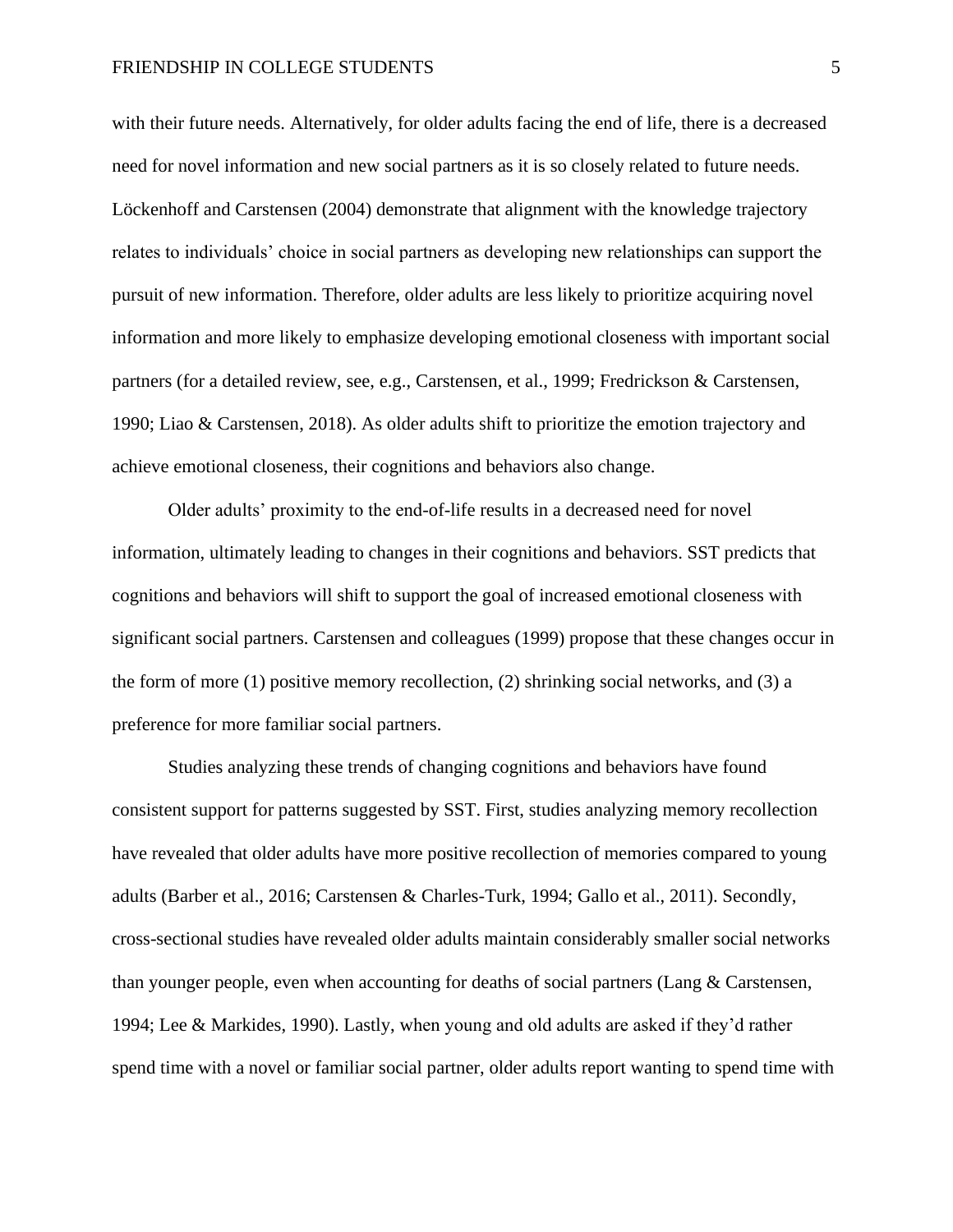with their future needs. Alternatively, for older adults facing the end of life, there is a decreased need for novel information and new social partners as it is so closely related to future needs. Löckenhoff and Carstensen (2004) demonstrate that alignment with the knowledge trajectory relates to individuals' choice in social partners as developing new relationships can support the pursuit of new information. Therefore, older adults are less likely to prioritize acquiring novel information and more likely to emphasize developing emotional closeness with important social partners (for a detailed review, see, e.g., Carstensen, et al., 1999; Fredrickson & Carstensen, 1990; Liao & Carstensen, 2018). As older adults shift to prioritize the emotion trajectory and achieve emotional closeness, their cognitions and behaviors also change.

Older adults' proximity to the end-of-life results in a decreased need for novel information, ultimately leading to changes in their cognitions and behaviors. SST predicts that cognitions and behaviors will shift to support the goal of increased emotional closeness with significant social partners. Carstensen and colleagues (1999) propose that these changes occur in the form of more  $(1)$  positive memory recollection,  $(2)$  shrinking social networks, and  $(3)$  a preference for more familiar social partners.

Studies analyzing these trends of changing cognitions and behaviors have found consistent support for patterns suggested by SST. First, studies analyzing memory recollection have revealed that older adults have more positive recollection of memories compared to young adults (Barber et al., 2016; Carstensen & Charles-Turk, 1994; Gallo et al., 2011). Secondly, cross-sectional studies have revealed older adults maintain considerably smaller social networks than younger people, even when accounting for deaths of social partners (Lang & Carstensen, 1994; Lee & Markides, 1990). Lastly, when young and old adults are asked if they'd rather spend time with a novel or familiar social partner, older adults report wanting to spend time with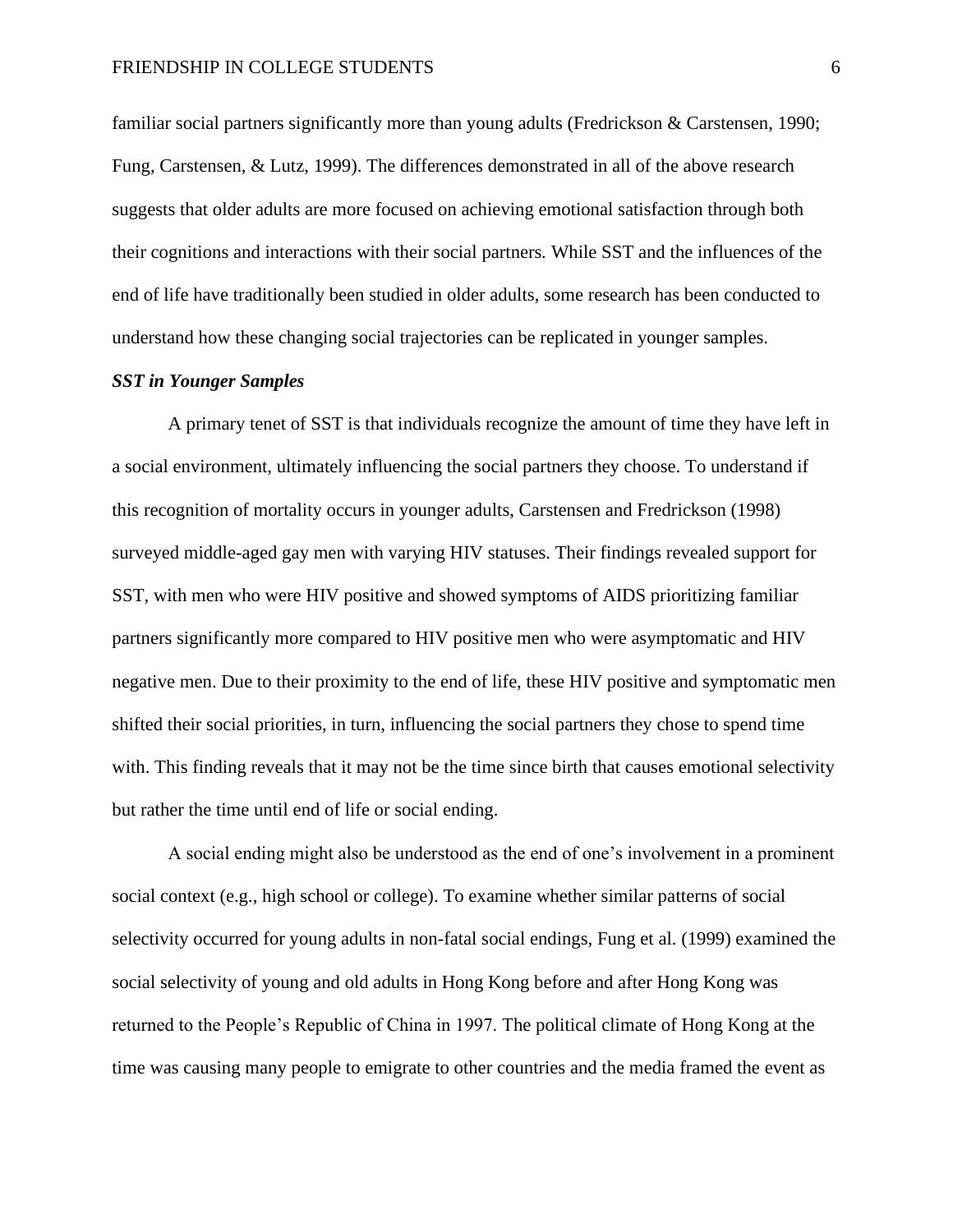familiar social partners significantly more than young adults (Fredrickson & Carstensen, 1990; Fung, Carstensen, & Lutz, 1999). The differences demonstrated in all of the above research suggests that older adults are more focused on achieving emotional satisfaction through both their cognitions and interactions with their social partners*.* While SST and the influences of the end of life have traditionally been studied in older adults, some research has been conducted to understand how these changing social trajectories can be replicated in younger samples.

# *SST in Younger Samples*

A primary tenet of SST is that individuals recognize the amount of time they have left in a social environment, ultimately influencing the social partners they choose. To understand if this recognition of mortality occurs in younger adults, Carstensen and Fredrickson (1998) surveyed middle-aged gay men with varying HIV statuses. Their findings revealed support for SST, with men who were HIV positive and showed symptoms of AIDS prioritizing familiar partners significantly more compared to HIV positive men who were asymptomatic and HIV negative men. Due to their proximity to the end of life, these HIV positive and symptomatic men shifted their social priorities, in turn, influencing the social partners they chose to spend time with. This finding reveals that it may not be the time since birth that causes emotional selectivity but rather the time until end of life or social ending.

A social ending might also be understood as the end of one's involvement in a prominent social context (e.g., high school or college). To examine whether similar patterns of social selectivity occurred for young adults in non-fatal social endings, Fung et al. (1999) examined the social selectivity of young and old adults in Hong Kong before and after Hong Kong was returned to the People's Republic of China in 1997. The political climate of Hong Kong at the time was causing many people to emigrate to other countries and the media framed the event as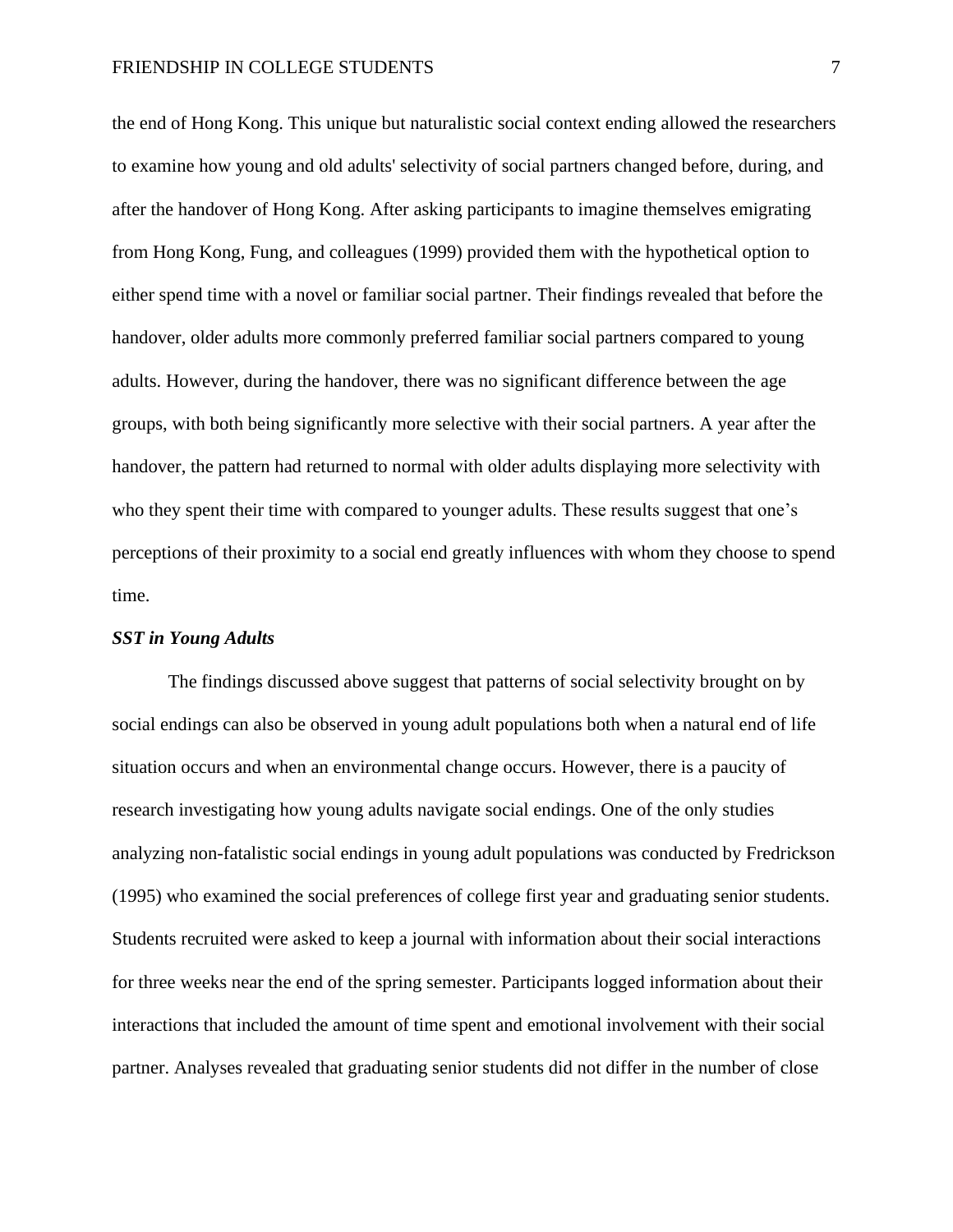#### FRIENDSHIP IN COLLEGE STUDENTS 7

the end of Hong Kong. This unique but naturalistic social context ending allowed the researchers to examine how young and old adults' selectivity of social partners changed before, during, and after the handover of Hong Kong. After asking participants to imagine themselves emigrating from Hong Kong, Fung, and colleagues (1999) provided them with the hypothetical option to either spend time with a novel or familiar social partner. Their findings revealed that before the handover, older adults more commonly preferred familiar social partners compared to young adults. However, during the handover, there was no significant difference between the age groups, with both being significantly more selective with their social partners. A year after the handover, the pattern had returned to normal with older adults displaying more selectivity with who they spent their time with compared to younger adults. These results suggest that one's perceptions of their proximity to a social end greatly influences with whom they choose to spend time.

# *SST in Young Adults*

The findings discussed above suggest that patterns of social selectivity brought on by social endings can also be observed in young adult populations both when a natural end of life situation occurs and when an environmental change occurs. However, there is a paucity of research investigating how young adults navigate social endings. One of the only studies analyzing non-fatalistic social endings in young adult populations was conducted by Fredrickson (1995) who examined the social preferences of college first year and graduating senior students. Students recruited were asked to keep a journal with information about their social interactions for three weeks near the end of the spring semester. Participants logged information about their interactions that included the amount of time spent and emotional involvement with their social partner. Analyses revealed that graduating senior students did not differ in the number of close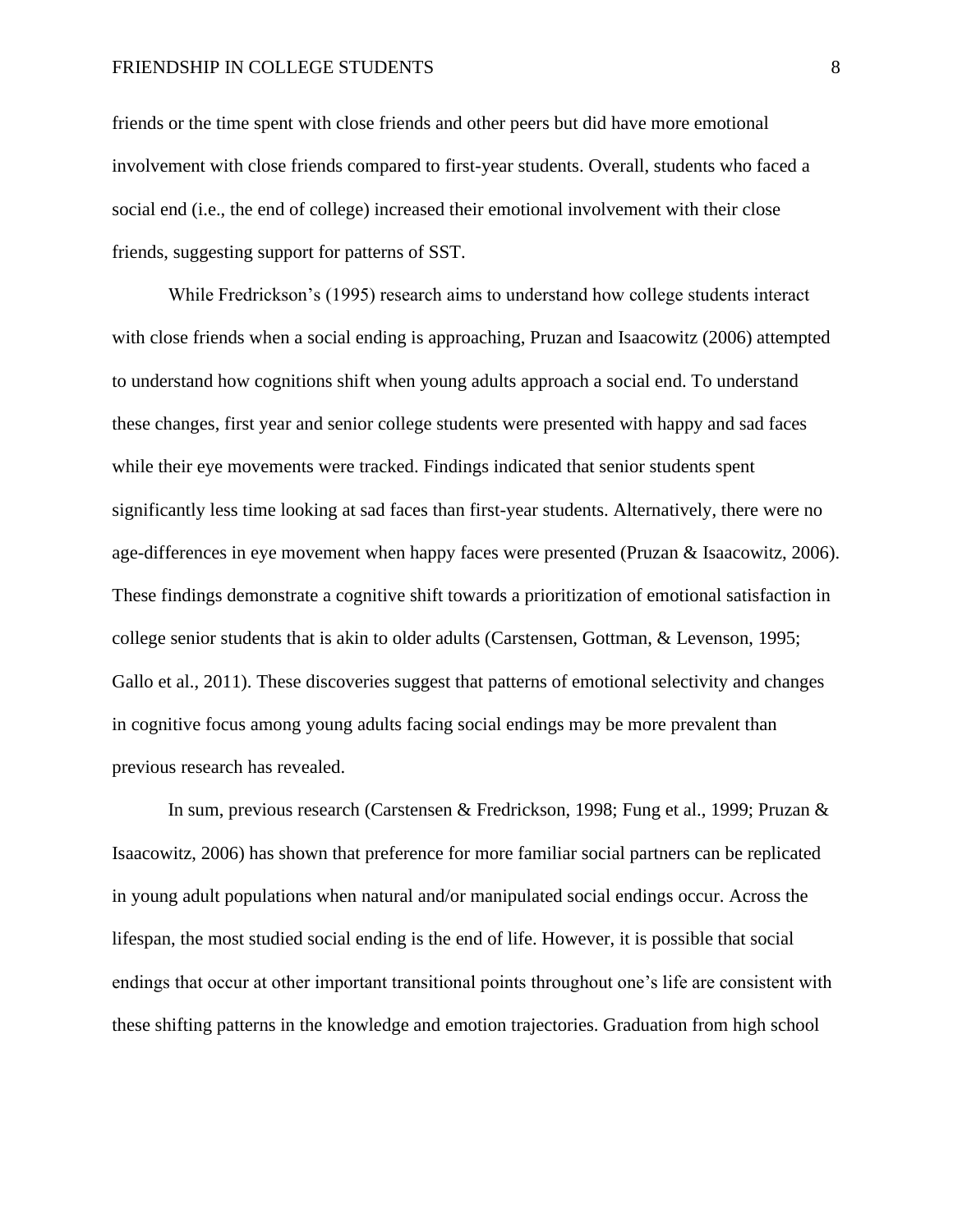#### FRIENDSHIP IN COLLEGE STUDENTS 8

friends or the time spent with close friends and other peers but did have more emotional involvement with close friends compared to first-year students. Overall, students who faced a social end (i.e., the end of college) increased their emotional involvement with their close friends, suggesting support for patterns of SST.

While Fredrickson's (1995) research aims to understand how college students interact with close friends when a social ending is approaching, Pruzan and Isaacowitz (2006) attempted to understand how cognitions shift when young adults approach a social end. To understand these changes, first year and senior college students were presented with happy and sad faces while their eye movements were tracked. Findings indicated that senior students spent significantly less time looking at sad faces than first-year students. Alternatively, there were no age-differences in eye movement when happy faces were presented (Pruzan & Isaacowitz, 2006). These findings demonstrate a cognitive shift towards a prioritization of emotional satisfaction in college senior students that is akin to older adults (Carstensen, Gottman, & Levenson, 1995; Gallo et al., 2011). These discoveries suggest that patterns of emotional selectivity and changes in cognitive focus among young adults facing social endings may be more prevalent than previous research has revealed.

In sum, previous research (Carstensen & Fredrickson, 1998; Fung et al., 1999; Pruzan & Isaacowitz, 2006) has shown that preference for more familiar social partners can be replicated in young adult populations when natural and/or manipulated social endings occur. Across the lifespan, the most studied social ending is the end of life. However, it is possible that social endings that occur at other important transitional points throughout one's life are consistent with these shifting patterns in the knowledge and emotion trajectories. Graduation from high school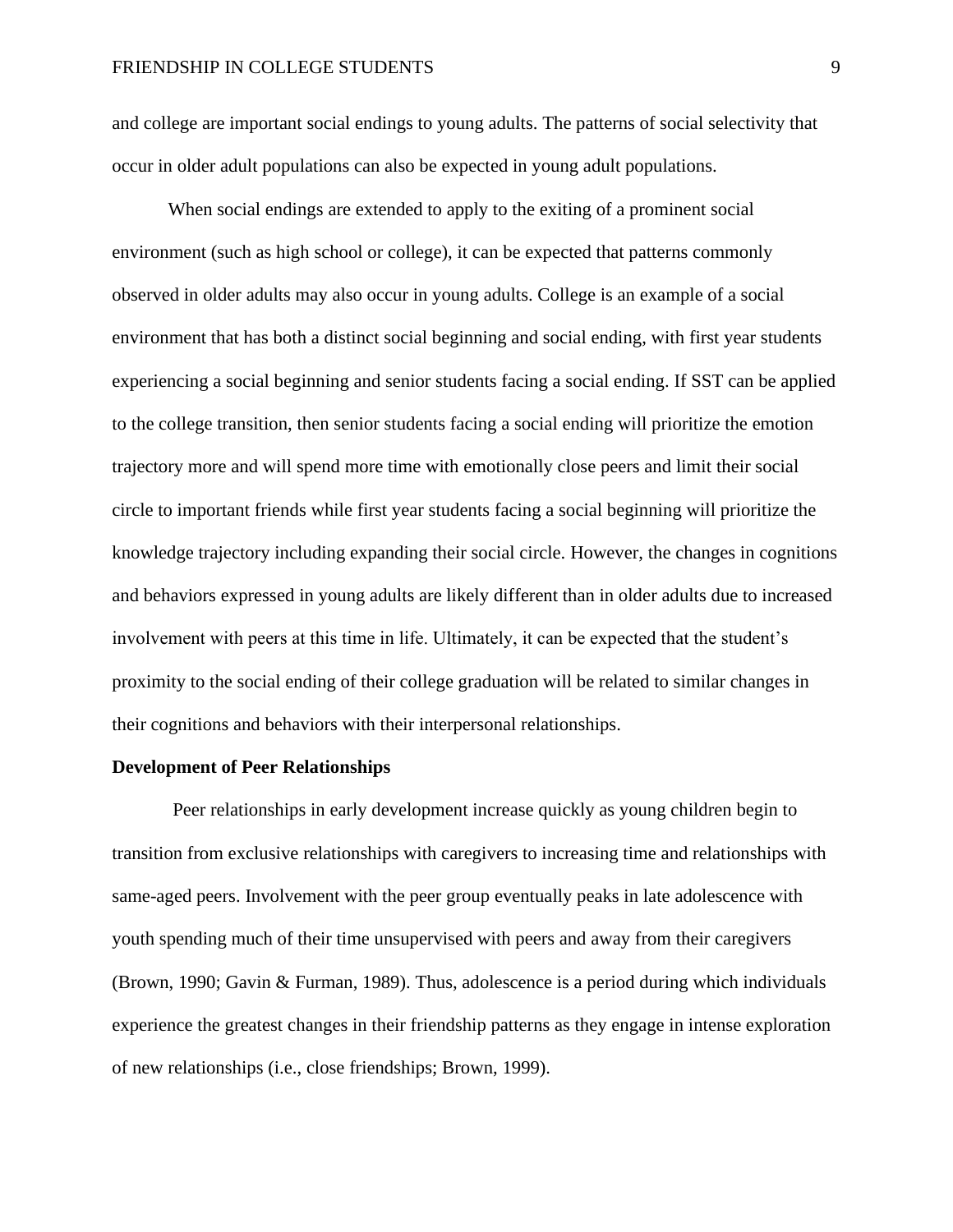and college are important social endings to young adults. The patterns of social selectivity that occur in older adult populations can also be expected in young adult populations.

When social endings are extended to apply to the exiting of a prominent social environment (such as high school or college), it can be expected that patterns commonly observed in older adults may also occur in young adults. College is an example of a social environment that has both a distinct social beginning and social ending, with first year students experiencing a social beginning and senior students facing a social ending. If SST can be applied to the college transition, then senior students facing a social ending will prioritize the emotion trajectory more and will spend more time with emotionally close peers and limit their social circle to important friends while first year students facing a social beginning will prioritize the knowledge trajectory including expanding their social circle. However, the changes in cognitions and behaviors expressed in young adults are likely different than in older adults due to increased involvement with peers at this time in life. Ultimately, it can be expected that the student's proximity to the social ending of their college graduation will be related to similar changes in their cognitions and behaviors with their interpersonal relationships.

#### **Development of Peer Relationships**

Peer relationships in early development increase quickly as young children begin to transition from exclusive relationships with caregivers to increasing time and relationships with same-aged peers. Involvement with the peer group eventually peaks in late adolescence with youth spending much of their time unsupervised with peers and away from their caregivers (Brown, 1990; Gavin & Furman, 1989). Thus, adolescence is a period during which individuals experience the greatest changes in their friendship patterns as they engage in intense exploration of new relationships (i.e., close friendships; Brown, 1999).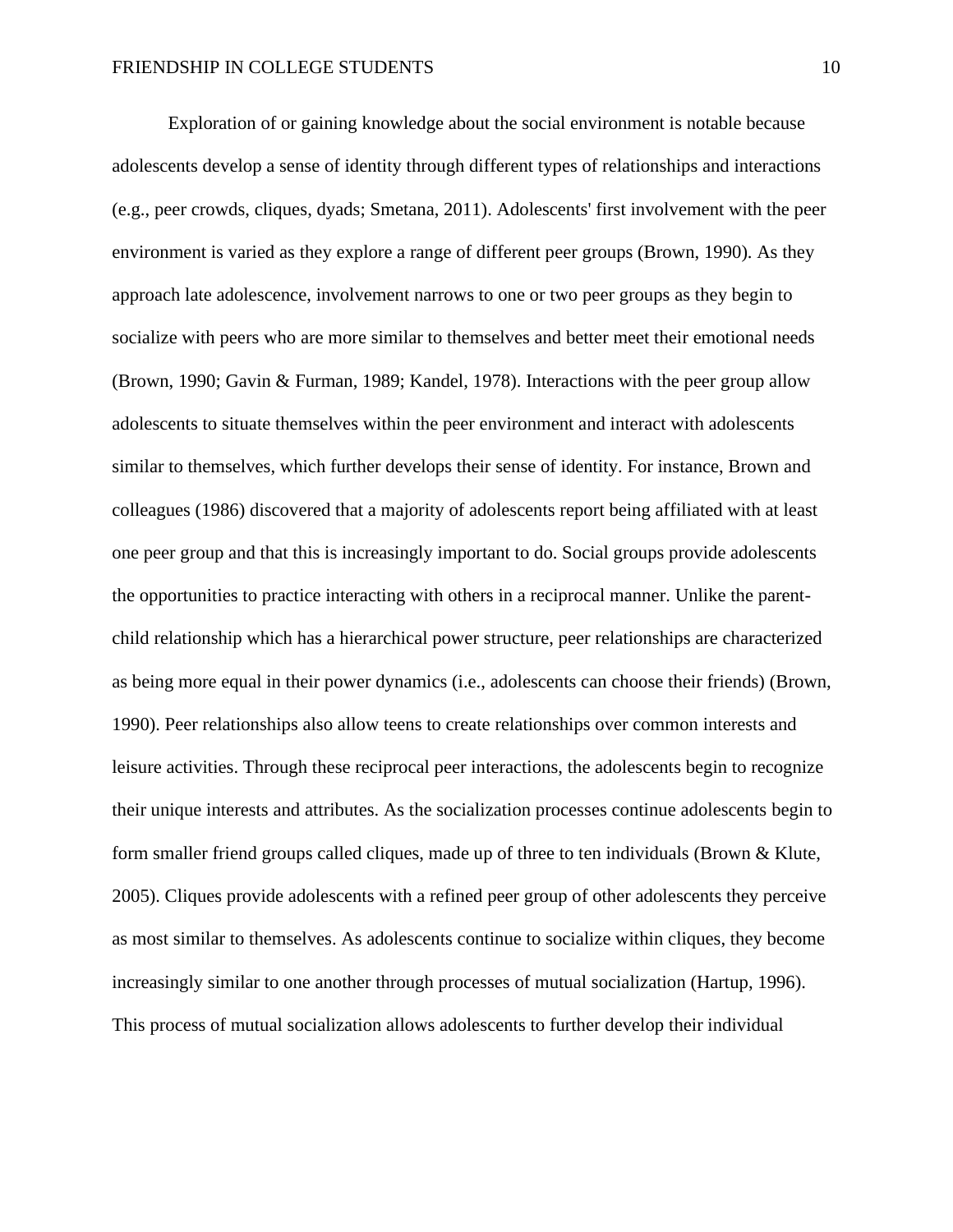Exploration of or gaining knowledge about the social environment is notable because adolescents develop a sense of identity through different types of relationships and interactions (e.g., peer crowds, cliques, dyads; Smetana, 2011). Adolescents' first involvement with the peer environment is varied as they explore a range of different peer groups (Brown, 1990). As they approach late adolescence, involvement narrows to one or two peer groups as they begin to socialize with peers who are more similar to themselves and better meet their emotional needs (Brown, 1990; Gavin & Furman, 1989; Kandel, 1978). Interactions with the peer group allow adolescents to situate themselves within the peer environment and interact with adolescents similar to themselves, which further develops their sense of identity. For instance, Brown and colleagues (1986) discovered that a majority of adolescents report being affiliated with at least one peer group and that this is increasingly important to do. Social groups provide adolescents the opportunities to practice interacting with others in a reciprocal manner. Unlike the parentchild relationship which has a hierarchical power structure, peer relationships are characterized as being more equal in their power dynamics (i.e., adolescents can choose their friends) (Brown, 1990). Peer relationships also allow teens to create relationships over common interests and leisure activities. Through these reciprocal peer interactions, the adolescents begin to recognize their unique interests and attributes. As the socialization processes continue adolescents begin to form smaller friend groups called cliques, made up of three to ten individuals (Brown & Klute, 2005). Cliques provide adolescents with a refined peer group of other adolescents they perceive as most similar to themselves. As adolescents continue to socialize within cliques, they become increasingly similar to one another through processes of mutual socialization (Hartup, 1996). This process of mutual socialization allows adolescents to further develop their individual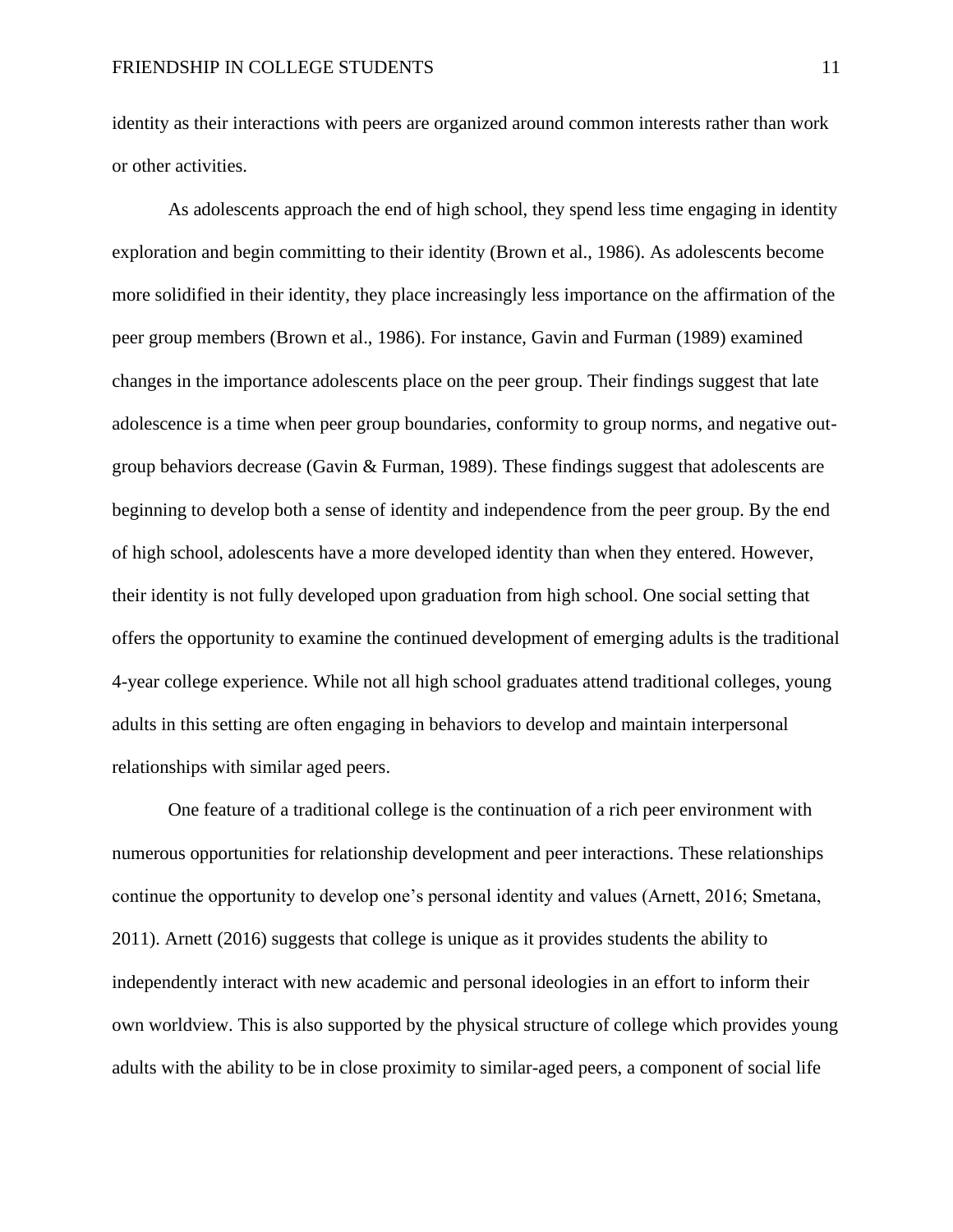identity as their interactions with peers are organized around common interests rather than work or other activities.

As adolescents approach the end of high school, they spend less time engaging in identity exploration and begin committing to their identity (Brown et al., 1986). As adolescents become more solidified in their identity, they place increasingly less importance on the affirmation of the peer group members (Brown et al., 1986). For instance, Gavin and Furman (1989) examined changes in the importance adolescents place on the peer group. Their findings suggest that late adolescence is a time when peer group boundaries, conformity to group norms, and negative outgroup behaviors decrease (Gavin & Furman, 1989). These findings suggest that adolescents are beginning to develop both a sense of identity and independence from the peer group. By the end of high school, adolescents have a more developed identity than when they entered. However, their identity is not fully developed upon graduation from high school. One social setting that offers the opportunity to examine the continued development of emerging adults is the traditional 4-year college experience. While not all high school graduates attend traditional colleges, young adults in this setting are often engaging in behaviors to develop and maintain interpersonal relationships with similar aged peers.

One feature of a traditional college is the continuation of a rich peer environment with numerous opportunities for relationship development and peer interactions. These relationships continue the opportunity to develop one's personal identity and values (Arnett, 2016; Smetana, 2011). Arnett (2016) suggests that college is unique as it provides students the ability to independently interact with new academic and personal ideologies in an effort to inform their own worldview. This is also supported by the physical structure of college which provides young adults with the ability to be in close proximity to similar-aged peers, a component of social life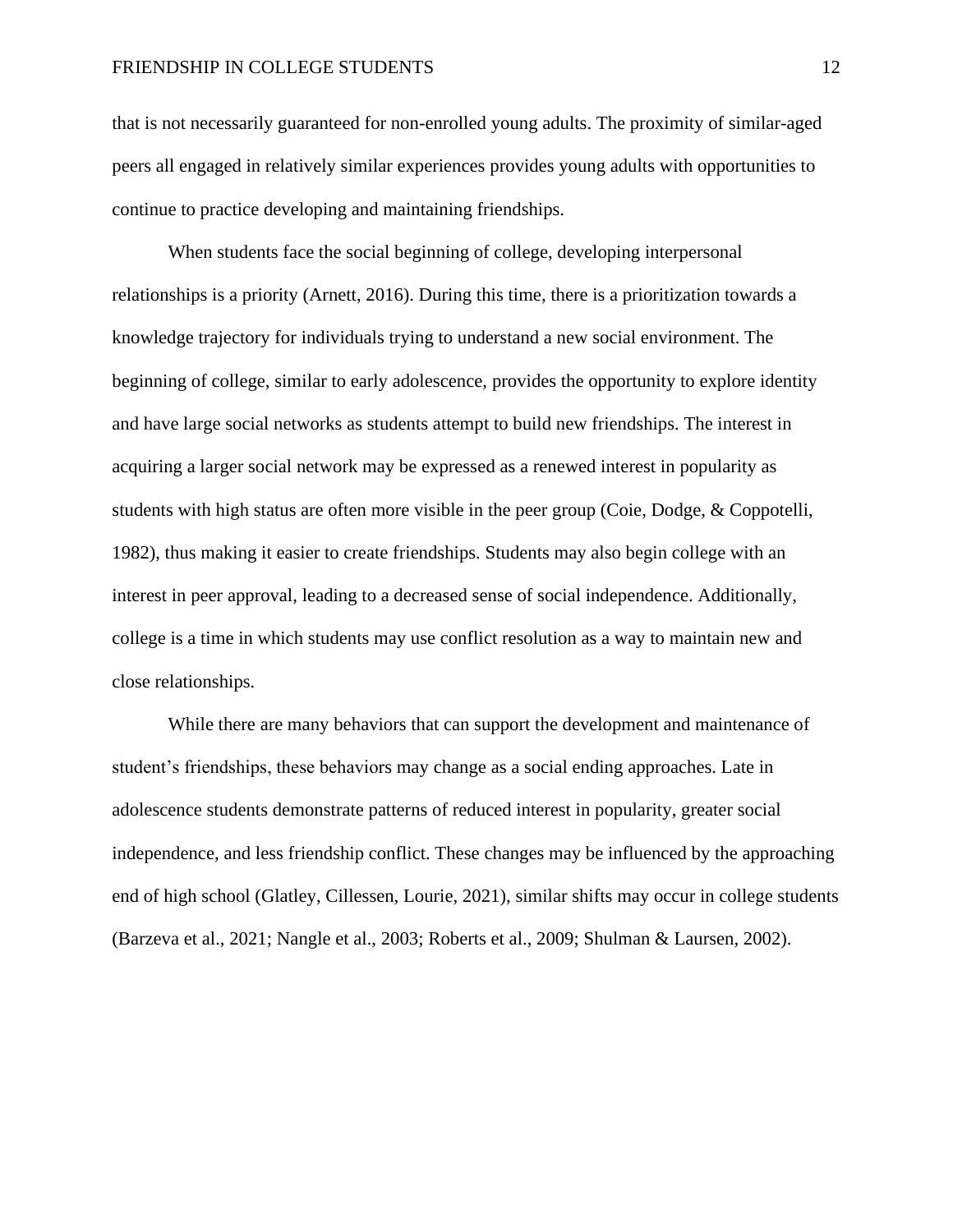#### FRIENDSHIP IN COLLEGE STUDENTS 12

that is not necessarily guaranteed for non-enrolled young adults. The proximity of similar-aged peers all engaged in relatively similar experiences provides young adults with opportunities to continue to practice developing and maintaining friendships.

When students face the social beginning of college, developing interpersonal relationships is a priority (Arnett, 2016). During this time, there is a prioritization towards a knowledge trajectory for individuals trying to understand a new social environment. The beginning of college, similar to early adolescence, provides the opportunity to explore identity and have large social networks as students attempt to build new friendships. The interest in acquiring a larger social network may be expressed as a renewed interest in popularity as students with high status are often more visible in the peer group (Coie, Dodge, & Coppotelli, 1982), thus making it easier to create friendships. Students may also begin college with an interest in peer approval, leading to a decreased sense of social independence. Additionally, college is a time in which students may use conflict resolution as a way to maintain new and close relationships.

While there are many behaviors that can support the development and maintenance of student's friendships, these behaviors may change as a social ending approaches. Late in adolescence students demonstrate patterns of reduced interest in popularity, greater social independence, and less friendship conflict. These changes may be influenced by the approaching end of high school (Glatley, Cillessen, Lourie, 2021), similar shifts may occur in college students (Barzeva et al., 2021; Nangle et al., 2003; Roberts et al., 2009; Shulman & Laursen, 2002).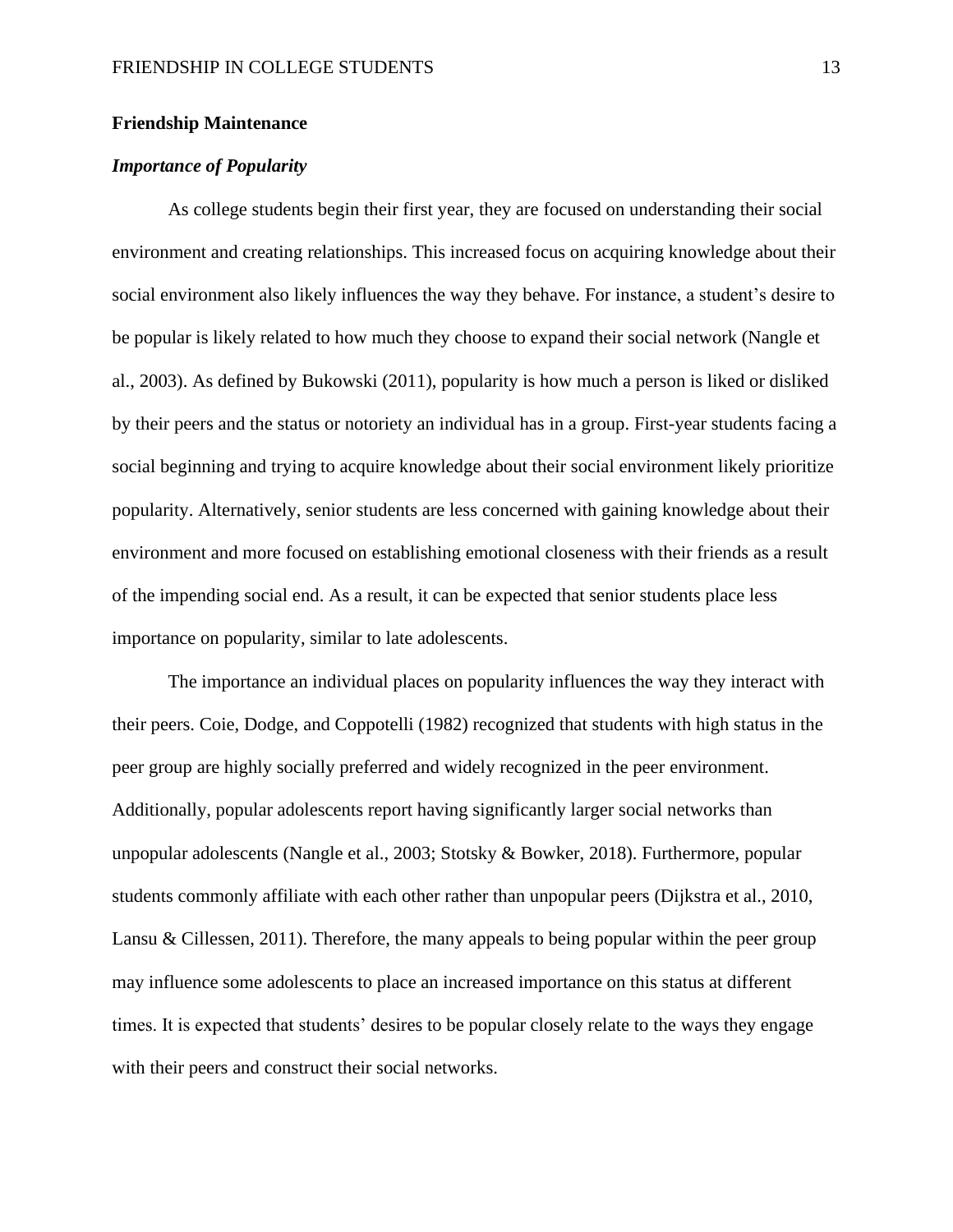#### **Friendship Maintenance**

# *Importance of Popularity*

As college students begin their first year, they are focused on understanding their social environment and creating relationships. This increased focus on acquiring knowledge about their social environment also likely influences the way they behave. For instance, a student's desire to be popular is likely related to how much they choose to expand their social network (Nangle et al., 2003). As defined by Bukowski (2011), popularity is how much a person is liked or disliked by their peers and the status or notoriety an individual has in a group. First-year students facing a social beginning and trying to acquire knowledge about their social environment likely prioritize popularity. Alternatively, senior students are less concerned with gaining knowledge about their environment and more focused on establishing emotional closeness with their friends as a result of the impending social end. As a result, it can be expected that senior students place less importance on popularity, similar to late adolescents.

The importance an individual places on popularity influences the way they interact with their peers. Coie, Dodge, and Coppotelli (1982) recognized that students with high status in the peer group are highly socially preferred and widely recognized in the peer environment. Additionally, popular adolescents report having significantly larger social networks than unpopular adolescents (Nangle et al., 2003; Stotsky & Bowker, 2018). Furthermore, popular students commonly affiliate with each other rather than unpopular peers (Dijkstra et al., 2010, Lansu & Cillessen, 2011). Therefore, the many appeals to being popular within the peer group may influence some adolescents to place an increased importance on this status at different times. It is expected that students' desires to be popular closely relate to the ways they engage with their peers and construct their social networks.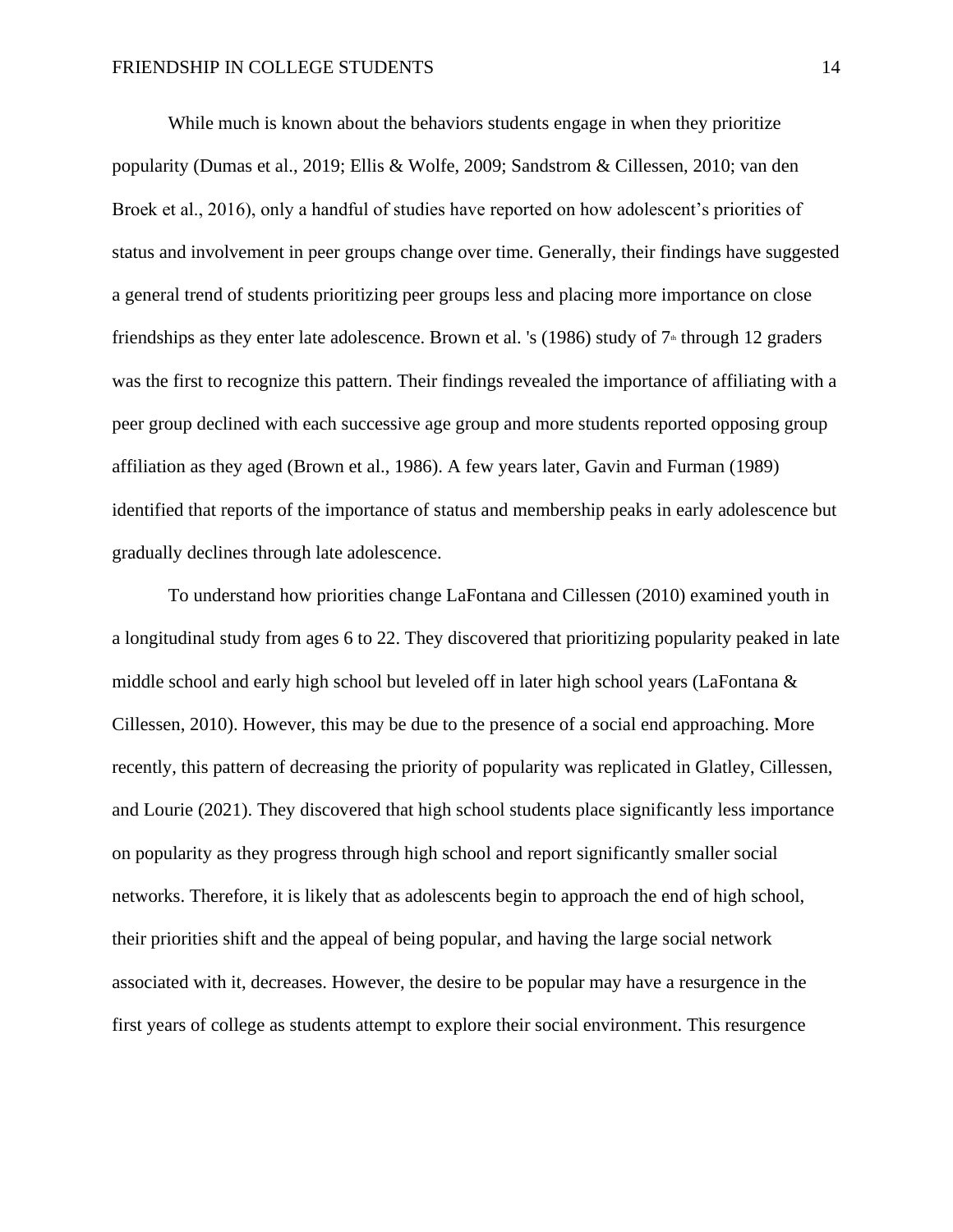While much is known about the behaviors students engage in when they prioritize popularity (Dumas et al., 2019; Ellis & Wolfe, 2009; Sandstrom & Cillessen, 2010; van den Broek et al., 2016), only a handful of studies have reported on how adolescent's priorities of status and involvement in peer groups change over time. Generally, their findings have suggested a general trend of students prioritizing peer groups less and placing more importance on close friendships as they enter late adolescence. Brown et al. 's (1986) study of  $7<sup>th</sup>$  through 12 graders was the first to recognize this pattern. Their findings revealed the importance of affiliating with a peer group declined with each successive age group and more students reported opposing group affiliation as they aged (Brown et al., 1986). A few years later, Gavin and Furman (1989) identified that reports of the importance of status and membership peaks in early adolescence but gradually declines through late adolescence.

To understand how priorities change LaFontana and Cillessen (2010) examined youth in a longitudinal study from ages 6 to 22. They discovered that prioritizing popularity peaked in late middle school and early high school but leveled off in later high school years (LaFontana & Cillessen, 2010). However, this may be due to the presence of a social end approaching. More recently, this pattern of decreasing the priority of popularity was replicated in Glatley, Cillessen, and Lourie (2021). They discovered that high school students place significantly less importance on popularity as they progress through high school and report significantly smaller social networks. Therefore, it is likely that as adolescents begin to approach the end of high school, their priorities shift and the appeal of being popular, and having the large social network associated with it, decreases. However, the desire to be popular may have a resurgence in the first years of college as students attempt to explore their social environment. This resurgence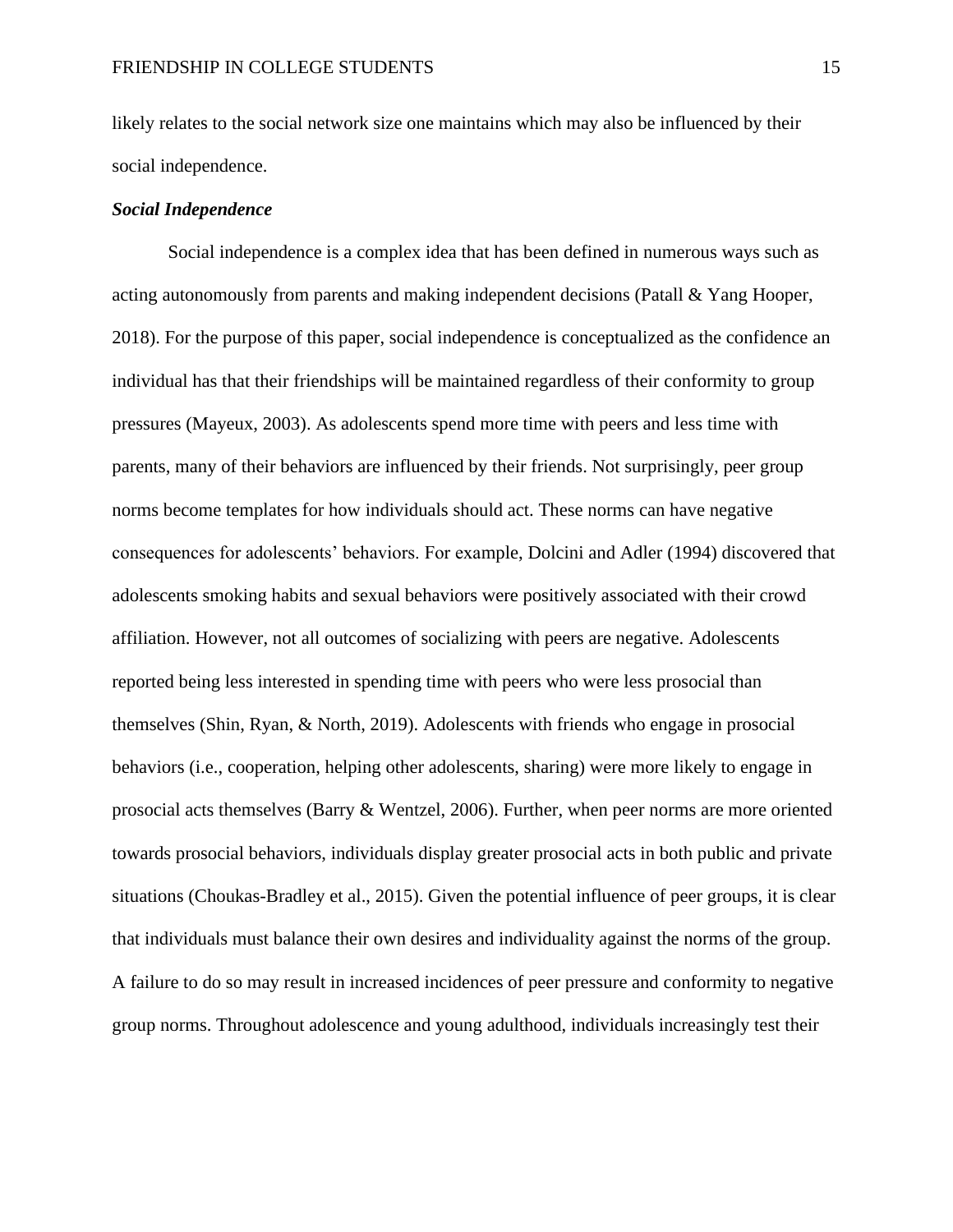likely relates to the social network size one maintains which may also be influenced by their social independence.

## *Social Independence*

Social independence is a complex idea that has been defined in numerous ways such as acting autonomously from parents and making independent decisions (Patall & Yang Hooper, 2018). For the purpose of this paper, social independence is conceptualized as the confidence an individual has that their friendships will be maintained regardless of their conformity to group pressures (Mayeux, 2003). As adolescents spend more time with peers and less time with parents, many of their behaviors are influenced by their friends. Not surprisingly, peer group norms become templates for how individuals should act. These norms can have negative consequences for adolescents' behaviors. For example, Dolcini and Adler (1994) discovered that adolescents smoking habits and sexual behaviors were positively associated with their crowd affiliation. However, not all outcomes of socializing with peers are negative. Adolescents reported being less interested in spending time with peers who were less prosocial than themselves (Shin, Ryan, & North, 2019). Adolescents with friends who engage in prosocial behaviors (i.e., cooperation, helping other adolescents, sharing) were more likely to engage in prosocial acts themselves (Barry & Wentzel, 2006). Further, when peer norms are more oriented towards prosocial behaviors, individuals display greater prosocial acts in both public and private situations (Choukas-Bradley et al., 2015). Given the potential influence of peer groups, it is clear that individuals must balance their own desires and individuality against the norms of the group. A failure to do so may result in increased incidences of peer pressure and conformity to negative group norms. Throughout adolescence and young adulthood, individuals increasingly test their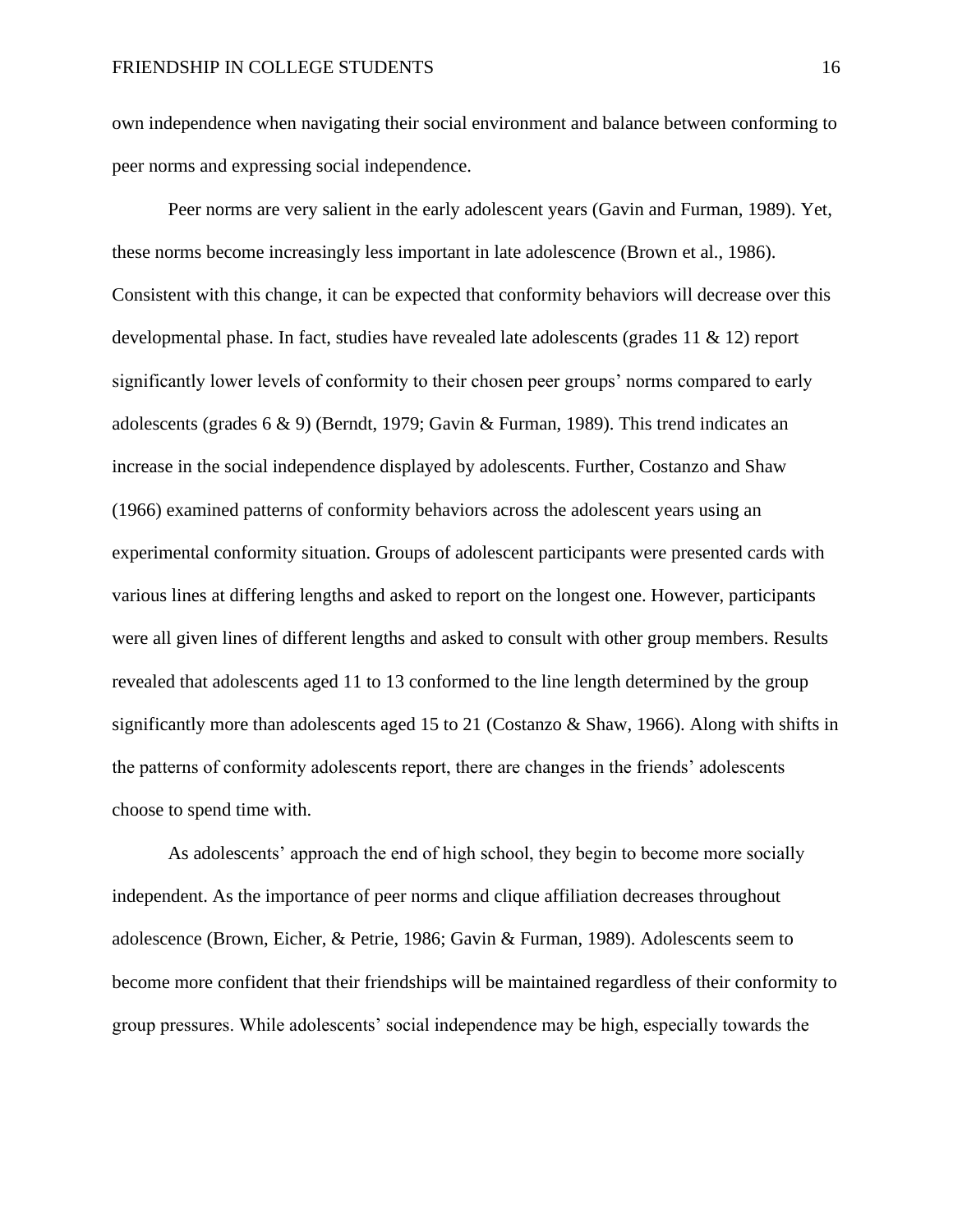own independence when navigating their social environment and balance between conforming to peer norms and expressing social independence.

Peer norms are very salient in the early adolescent years (Gavin and Furman, 1989). Yet, these norms become increasingly less important in late adolescence (Brown et al., 1986). Consistent with this change, it can be expected that conformity behaviors will decrease over this developmental phase. In fact, studies have revealed late adolescents (grades 11 & 12) report significantly lower levels of conformity to their chosen peer groups' norms compared to early adolescents (grades 6 & 9) (Berndt, 1979; Gavin & Furman, 1989). This trend indicates an increase in the social independence displayed by adolescents. Further, Costanzo and Shaw (1966) examined patterns of conformity behaviors across the adolescent years using an experimental conformity situation. Groups of adolescent participants were presented cards with various lines at differing lengths and asked to report on the longest one. However, participants were all given lines of different lengths and asked to consult with other group members. Results revealed that adolescents aged 11 to 13 conformed to the line length determined by the group significantly more than adolescents aged 15 to 21 (Costanzo & Shaw, 1966). Along with shifts in the patterns of conformity adolescents report, there are changes in the friends' adolescents choose to spend time with.

As adolescents' approach the end of high school, they begin to become more socially independent. As the importance of peer norms and clique affiliation decreases throughout adolescence (Brown, Eicher, & Petrie, 1986; Gavin & Furman, 1989). Adolescents seem to become more confident that their friendships will be maintained regardless of their conformity to group pressures. While adolescents' social independence may be high, especially towards the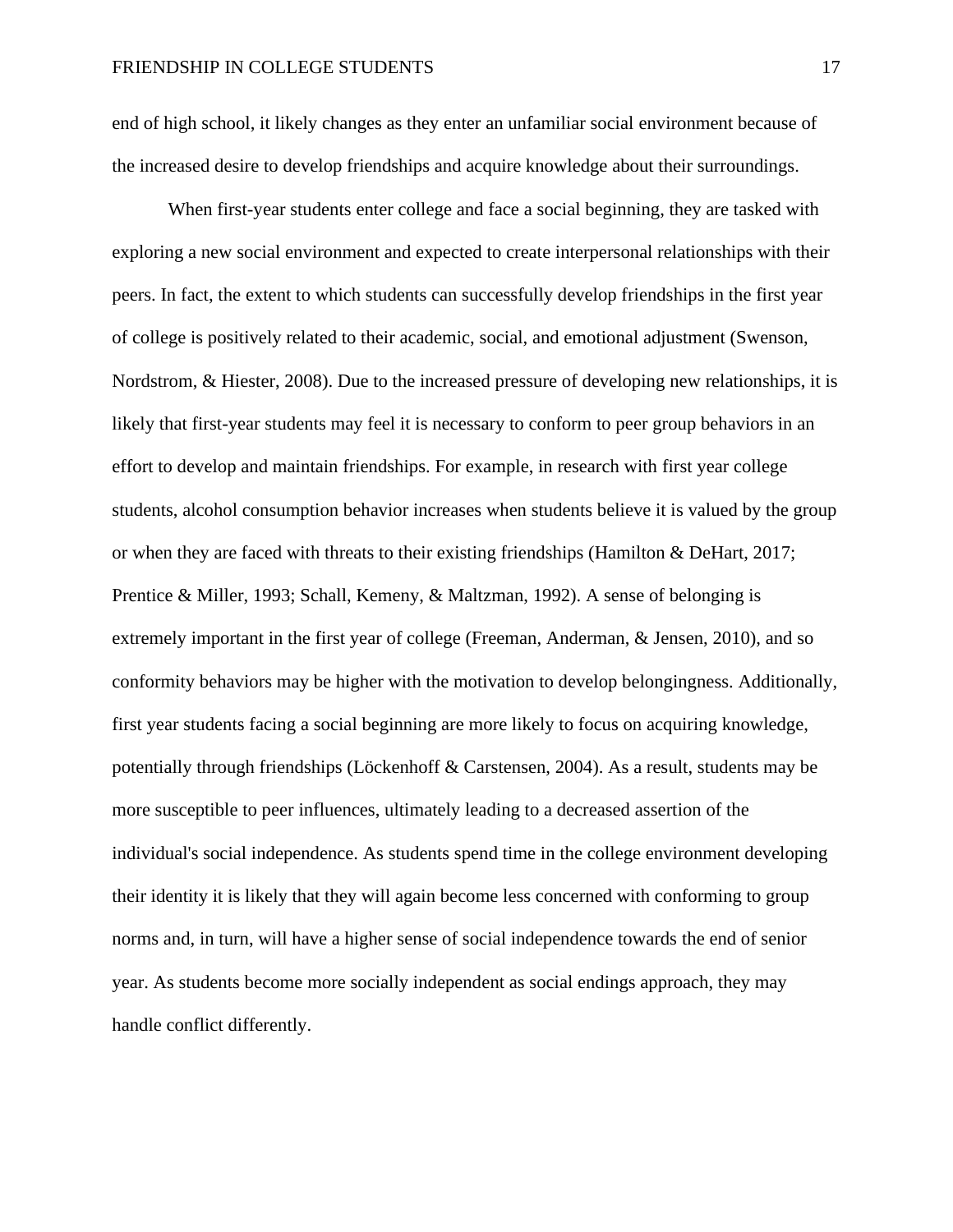end of high school, it likely changes as they enter an unfamiliar social environment because of the increased desire to develop friendships and acquire knowledge about their surroundings.

When first-year students enter college and face a social beginning, they are tasked with exploring a new social environment and expected to create interpersonal relationships with their peers. In fact, the extent to which students can successfully develop friendships in the first year of college is positively related to their academic, social, and emotional adjustment (Swenson, Nordstrom, & Hiester, 2008). Due to the increased pressure of developing new relationships, it is likely that first-year students may feel it is necessary to conform to peer group behaviors in an effort to develop and maintain friendships. For example, in research with first year college students, alcohol consumption behavior increases when students believe it is valued by the group or when they are faced with threats to their existing friendships (Hamilton & DeHart, 2017; Prentice & Miller, 1993; Schall, Kemeny, & Maltzman, 1992). A sense of belonging is extremely important in the first year of college (Freeman, Anderman, & Jensen, 2010), and so conformity behaviors may be higher with the motivation to develop belongingness. Additionally, first year students facing a social beginning are more likely to focus on acquiring knowledge, potentially through friendships (Löckenhoff & Carstensen, 2004). As a result, students may be more susceptible to peer influences, ultimately leading to a decreased assertion of the individual's social independence. As students spend time in the college environment developing their identity it is likely that they will again become less concerned with conforming to group norms and, in turn, will have a higher sense of social independence towards the end of senior year. As students become more socially independent as social endings approach, they may handle conflict differently.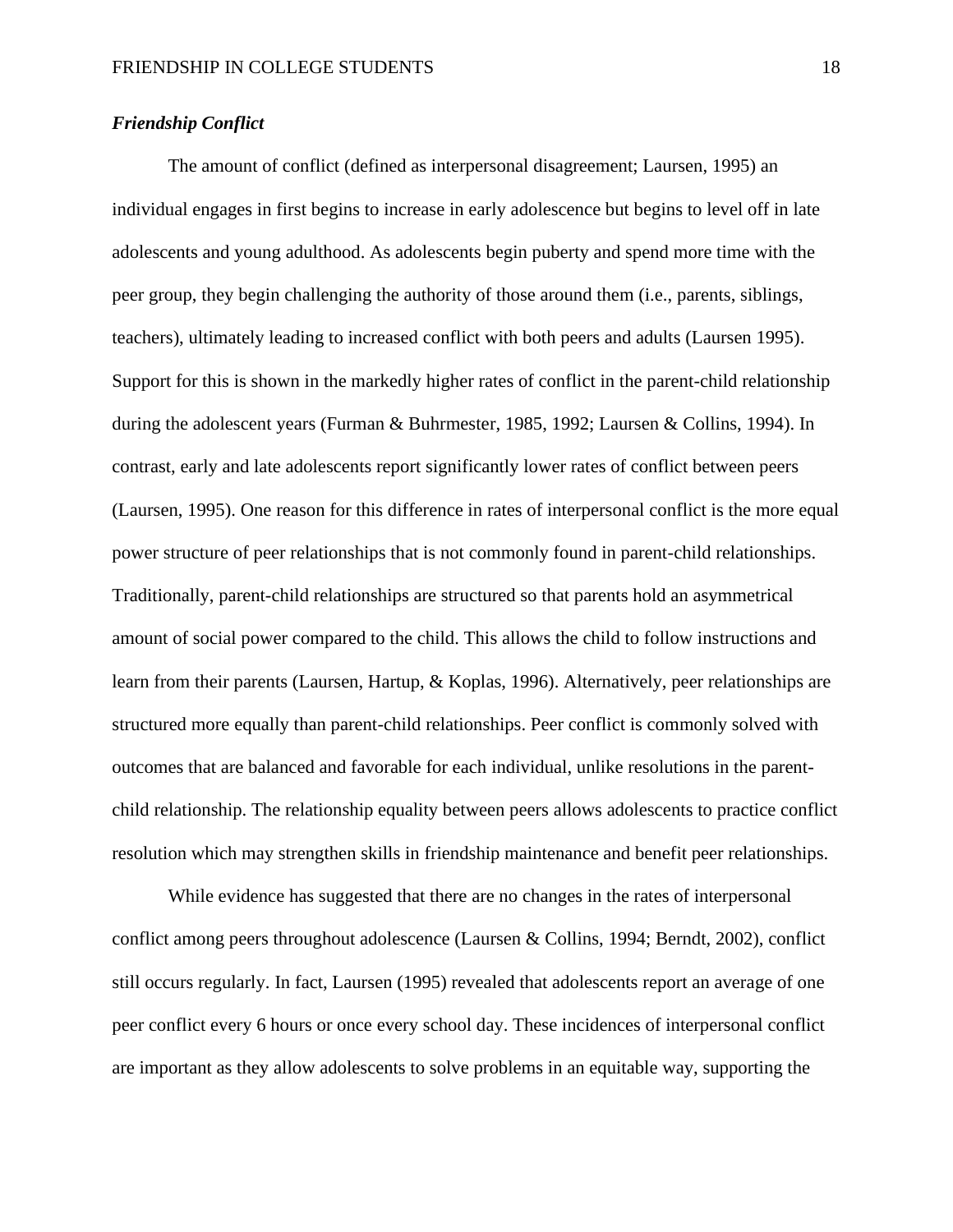# *Friendship Conflict*

The amount of conflict (defined as interpersonal disagreement; Laursen, 1995) an individual engages in first begins to increase in early adolescence but begins to level off in late adolescents and young adulthood. As adolescents begin puberty and spend more time with the peer group, they begin challenging the authority of those around them (i.e., parents, siblings, teachers), ultimately leading to increased conflict with both peers and adults (Laursen 1995). Support for this is shown in the markedly higher rates of conflict in the parent-child relationship during the adolescent years (Furman & Buhrmester, 1985, 1992; Laursen & Collins, 1994). In contrast, early and late adolescents report significantly lower rates of conflict between peers (Laursen, 1995). One reason for this difference in rates of interpersonal conflict is the more equal power structure of peer relationships that is not commonly found in parent-child relationships. Traditionally, parent-child relationships are structured so that parents hold an asymmetrical amount of social power compared to the child. This allows the child to follow instructions and learn from their parents (Laursen, Hartup, & Koplas, 1996). Alternatively, peer relationships are structured more equally than parent-child relationships. Peer conflict is commonly solved with outcomes that are balanced and favorable for each individual, unlike resolutions in the parentchild relationship. The relationship equality between peers allows adolescents to practice conflict resolution which may strengthen skills in friendship maintenance and benefit peer relationships.

While evidence has suggested that there are no changes in the rates of interpersonal conflict among peers throughout adolescence (Laursen & Collins, 1994; Berndt, 2002), conflict still occurs regularly. In fact, Laursen (1995) revealed that adolescents report an average of one peer conflict every 6 hours or once every school day. These incidences of interpersonal conflict are important as they allow adolescents to solve problems in an equitable way, supporting the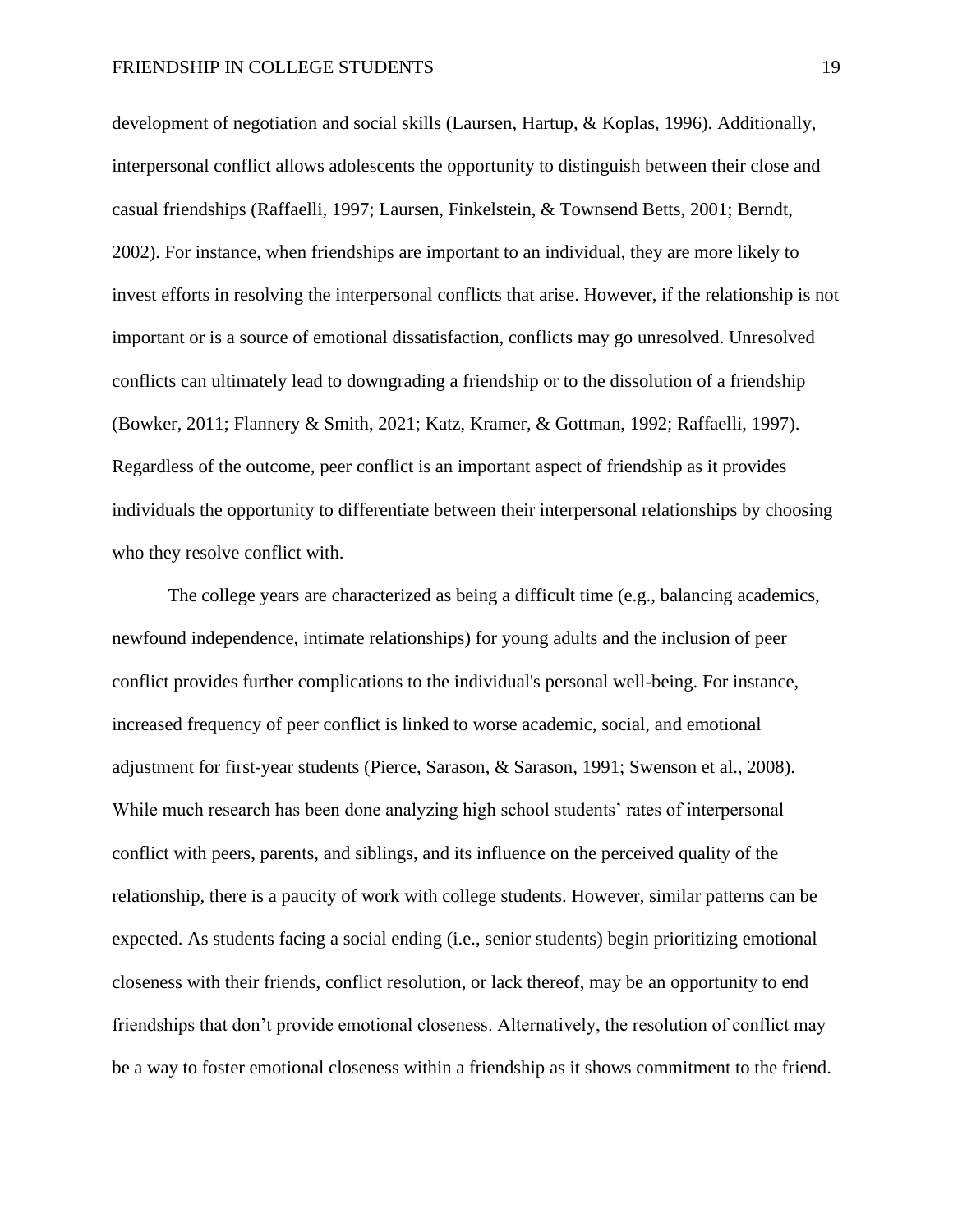development of negotiation and social skills (Laursen, Hartup, & Koplas, 1996). Additionally, interpersonal conflict allows adolescents the opportunity to distinguish between their close and casual friendships (Raffaelli, 1997; Laursen, Finkelstein, & Townsend Betts, 2001; Berndt, 2002). For instance, when friendships are important to an individual, they are more likely to invest efforts in resolving the interpersonal conflicts that arise. However, if the relationship is not important or is a source of emotional dissatisfaction, conflicts may go unresolved. Unresolved conflicts can ultimately lead to downgrading a friendship or to the dissolution of a friendship (Bowker, 2011; Flannery & Smith, 2021; Katz, Kramer, & Gottman, 1992; Raffaelli, 1997). Regardless of the outcome, peer conflict is an important aspect of friendship as it provides individuals the opportunity to differentiate between their interpersonal relationships by choosing who they resolve conflict with.

The college years are characterized as being a difficult time (e.g., balancing academics, newfound independence, intimate relationships) for young adults and the inclusion of peer conflict provides further complications to the individual's personal well-being. For instance, increased frequency of peer conflict is linked to worse academic, social, and emotional adjustment for first-year students (Pierce, Sarason, & Sarason, 1991; Swenson et al., 2008). While much research has been done analyzing high school students' rates of interpersonal conflict with peers, parents, and siblings, and its influence on the perceived quality of the relationship, there is a paucity of work with college students. However, similar patterns can be expected. As students facing a social ending (i.e., senior students) begin prioritizing emotional closeness with their friends, conflict resolution, or lack thereof, may be an opportunity to end friendships that don't provide emotional closeness. Alternatively, the resolution of conflict may be a way to foster emotional closeness within a friendship as it shows commitment to the friend.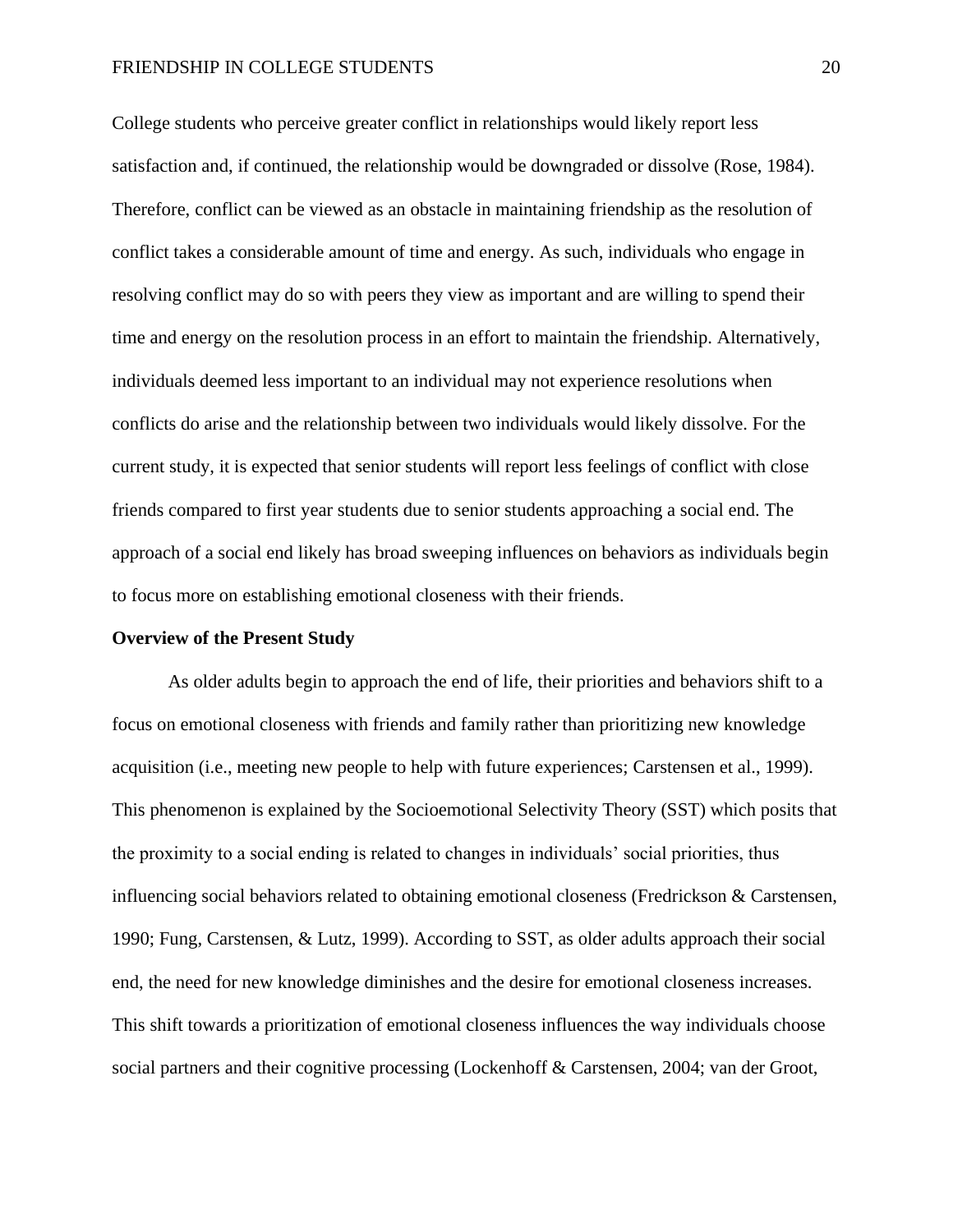#### FRIENDSHIP IN COLLEGE STUDENTS 20

College students who perceive greater conflict in relationships would likely report less satisfaction and, if continued, the relationship would be downgraded or dissolve (Rose, 1984). Therefore, conflict can be viewed as an obstacle in maintaining friendship as the resolution of conflict takes a considerable amount of time and energy. As such, individuals who engage in resolving conflict may do so with peers they view as important and are willing to spend their time and energy on the resolution process in an effort to maintain the friendship. Alternatively, individuals deemed less important to an individual may not experience resolutions when conflicts do arise and the relationship between two individuals would likely dissolve. For the current study, it is expected that senior students will report less feelings of conflict with close friends compared to first year students due to senior students approaching a social end. The approach of a social end likely has broad sweeping influences on behaviors as individuals begin to focus more on establishing emotional closeness with their friends.

#### **Overview of the Present Study**

As older adults begin to approach the end of life, their priorities and behaviors shift to a focus on emotional closeness with friends and family rather than prioritizing new knowledge acquisition (i.e., meeting new people to help with future experiences; Carstensen et al., 1999). This phenomenon is explained by the Socioemotional Selectivity Theory (SST) which posits that the proximity to a social ending is related to changes in individuals' social priorities, thus influencing social behaviors related to obtaining emotional closeness (Fredrickson  $\&$  Carstensen, 1990; Fung, Carstensen, & Lutz, 1999). According to SST, as older adults approach their social end, the need for new knowledge diminishes and the desire for emotional closeness increases. This shift towards a prioritization of emotional closeness influences the way individuals choose social partners and their cognitive processing (Lockenhoff & Carstensen, 2004; van der Groot,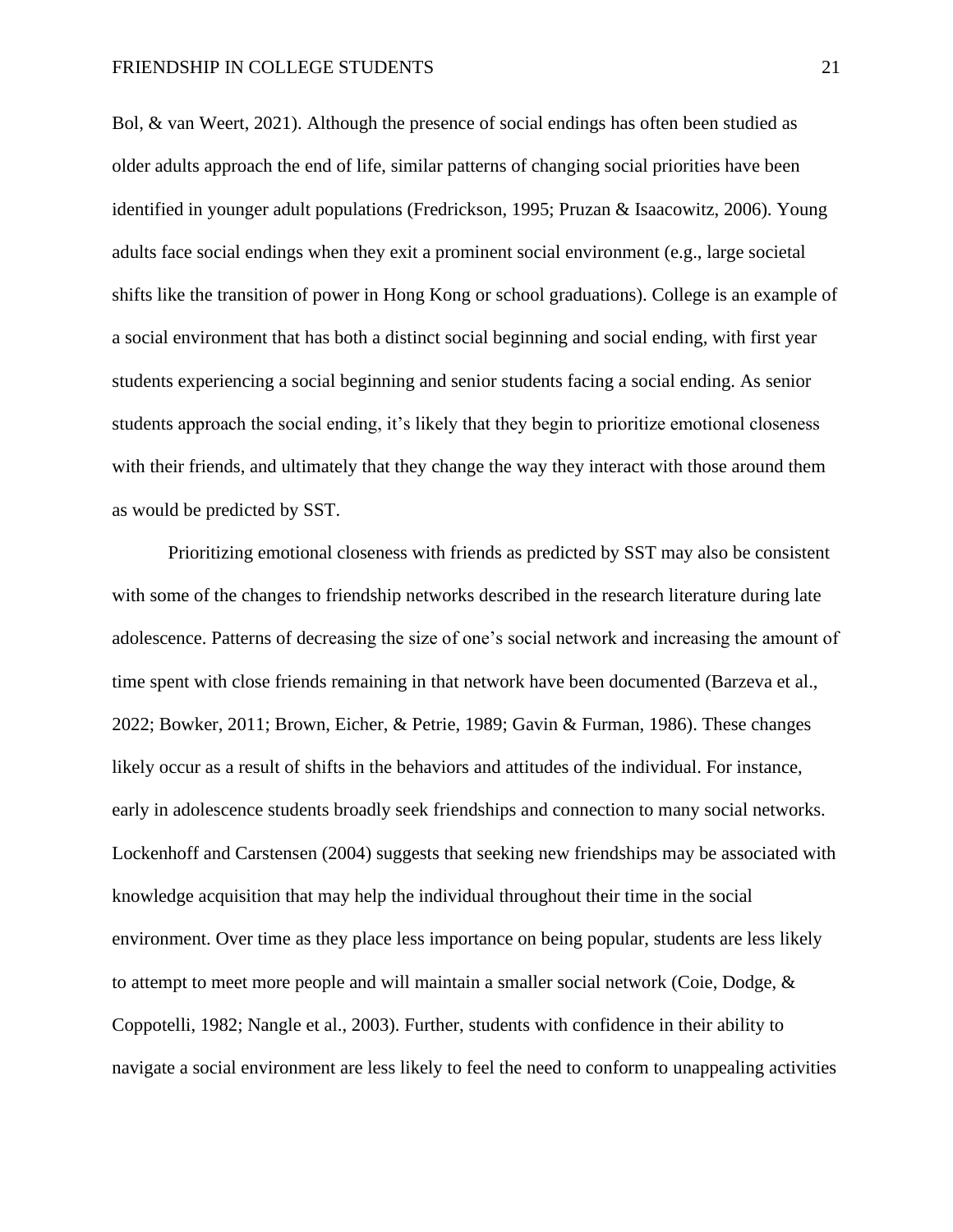Bol, & van Weert, 2021). Although the presence of social endings has often been studied as older adults approach the end of life, similar patterns of changing social priorities have been identified in younger adult populations (Fredrickson, 1995; Pruzan & Isaacowitz, 2006). Young adults face social endings when they exit a prominent social environment (e.g., large societal shifts like the transition of power in Hong Kong or school graduations). College is an example of a social environment that has both a distinct social beginning and social ending, with first year students experiencing a social beginning and senior students facing a social ending. As senior students approach the social ending, it's likely that they begin to prioritize emotional closeness with their friends, and ultimately that they change the way they interact with those around them as would be predicted by SST.

Prioritizing emotional closeness with friends as predicted by SST may also be consistent with some of the changes to friendship networks described in the research literature during late adolescence. Patterns of decreasing the size of one's social network and increasing the amount of time spent with close friends remaining in that network have been documented (Barzeva et al., 2022; Bowker, 2011; Brown, Eicher, & Petrie, 1989; Gavin & Furman, 1986). These changes likely occur as a result of shifts in the behaviors and attitudes of the individual. For instance, early in adolescence students broadly seek friendships and connection to many social networks. Lockenhoff and Carstensen (2004) suggests that seeking new friendships may be associated with knowledge acquisition that may help the individual throughout their time in the social environment. Over time as they place less importance on being popular, students are less likely to attempt to meet more people and will maintain a smaller social network (Coie, Dodge, & Coppotelli, 1982; Nangle et al., 2003). Further, students with confidence in their ability to navigate a social environment are less likely to feel the need to conform to unappealing activities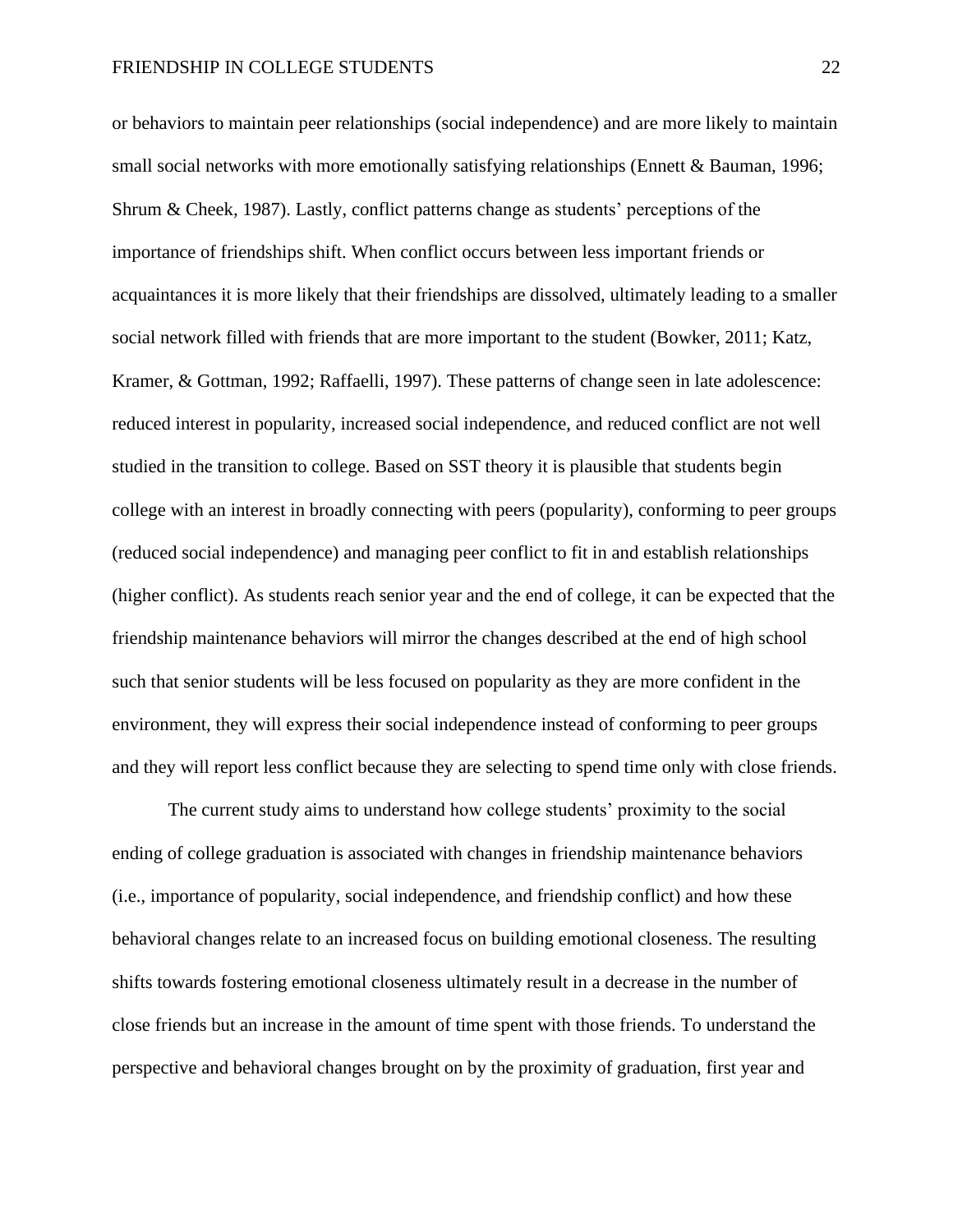or behaviors to maintain peer relationships (social independence) and are more likely to maintain small social networks with more emotionally satisfying relationships (Ennett & Bauman, 1996; Shrum & Cheek, 1987). Lastly, conflict patterns change as students' perceptions of the importance of friendships shift. When conflict occurs between less important friends or acquaintances it is more likely that their friendships are dissolved, ultimately leading to a smaller social network filled with friends that are more important to the student (Bowker, 2011; Katz, Kramer, & Gottman, 1992; Raffaelli, 1997). These patterns of change seen in late adolescence: reduced interest in popularity, increased social independence, and reduced conflict are not well studied in the transition to college. Based on SST theory it is plausible that students begin college with an interest in broadly connecting with peers (popularity), conforming to peer groups (reduced social independence) and managing peer conflict to fit in and establish relationships (higher conflict). As students reach senior year and the end of college, it can be expected that the friendship maintenance behaviors will mirror the changes described at the end of high school such that senior students will be less focused on popularity as they are more confident in the environment, they will express their social independence instead of conforming to peer groups and they will report less conflict because they are selecting to spend time only with close friends.

The current study aims to understand how college students' proximity to the social ending of college graduation is associated with changes in friendship maintenance behaviors (i.e., importance of popularity, social independence, and friendship conflict) and how these behavioral changes relate to an increased focus on building emotional closeness. The resulting shifts towards fostering emotional closeness ultimately result in a decrease in the number of close friends but an increase in the amount of time spent with those friends. To understand the perspective and behavioral changes brought on by the proximity of graduation, first year and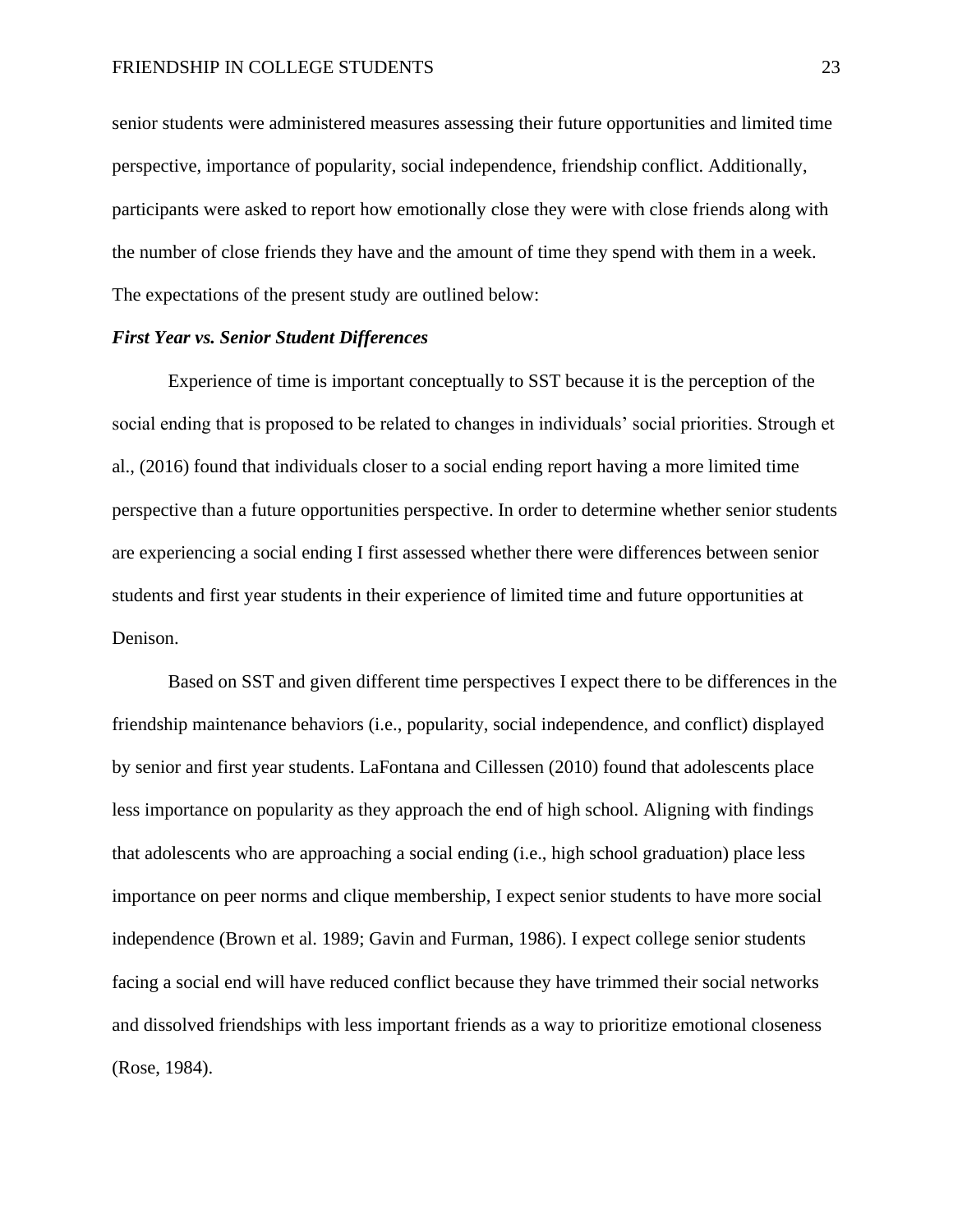senior students were administered measures assessing their future opportunities and limited time perspective, importance of popularity, social independence, friendship conflict. Additionally, participants were asked to report how emotionally close they were with close friends along with the number of close friends they have and the amount of time they spend with them in a week. The expectations of the present study are outlined below:

#### *First Year vs. Senior Student Differences*

Experience of time is important conceptually to SST because it is the perception of the social ending that is proposed to be related to changes in individuals' social priorities. Strough et al., (2016) found that individuals closer to a social ending report having a more limited time perspective than a future opportunities perspective. In order to determine whether senior students are experiencing a social ending I first assessed whether there were differences between senior students and first year students in their experience of limited time and future opportunities at Denison.

Based on SST and given different time perspectives I expect there to be differences in the friendship maintenance behaviors (i.e., popularity, social independence, and conflict) displayed by senior and first year students. LaFontana and Cillessen (2010) found that adolescents place less importance on popularity as they approach the end of high school. Aligning with findings that adolescents who are approaching a social ending (i.e., high school graduation) place less importance on peer norms and clique membership, I expect senior students to have more social independence (Brown et al. 1989; Gavin and Furman, 1986). I expect college senior students facing a social end will have reduced conflict because they have trimmed their social networks and dissolved friendships with less important friends as a way to prioritize emotional closeness (Rose, 1984).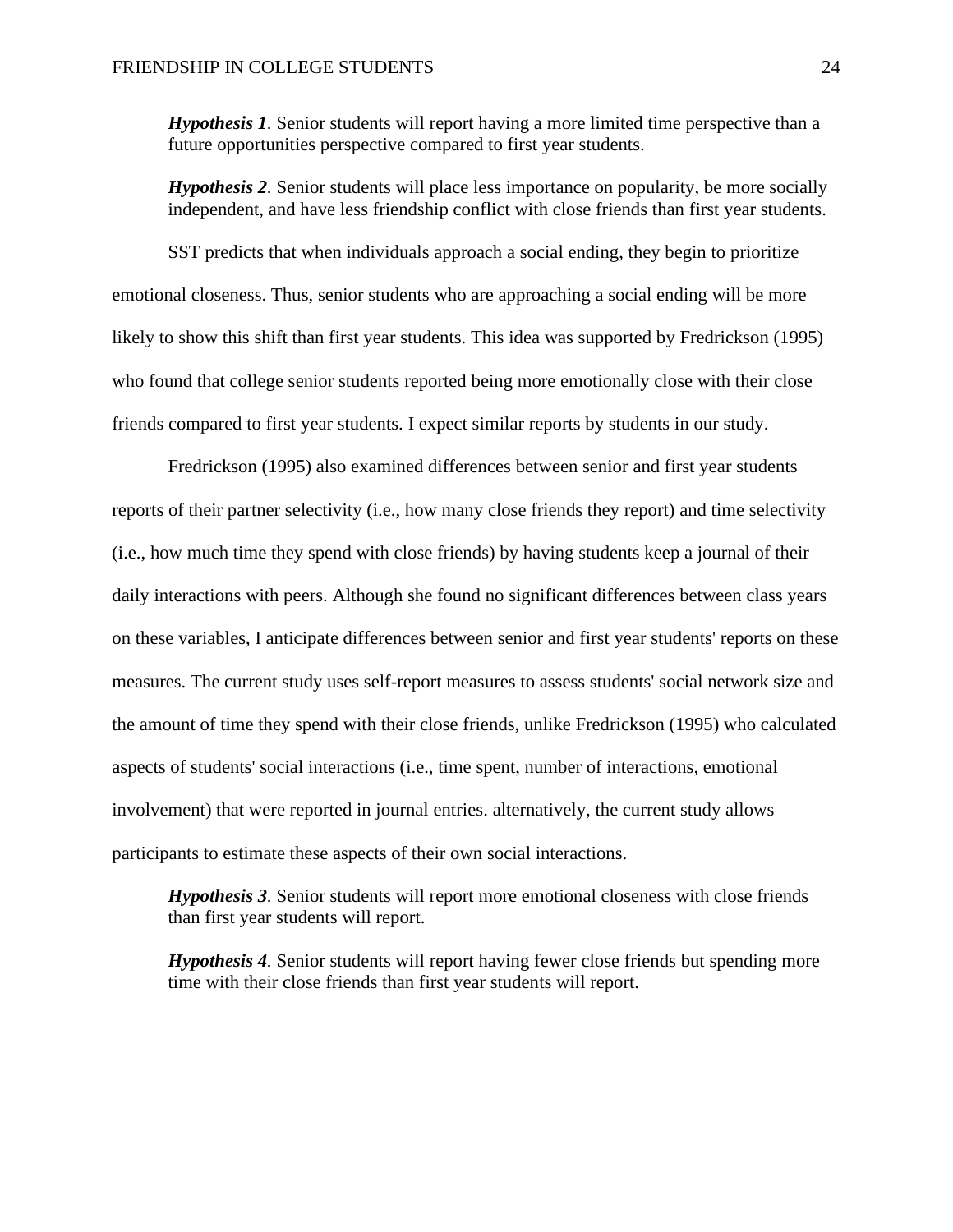*Hypothesis 1.* Senior students will report having a more limited time perspective than a future opportunities perspective compared to first year students.

*Hypothesis 2.* Senior students will place less importance on popularity, be more socially independent, and have less friendship conflict with close friends than first year students.

SST predicts that when individuals approach a social ending, they begin to prioritize emotional closeness. Thus, senior students who are approaching a social ending will be more likely to show this shift than first year students. This idea was supported by Fredrickson (1995) who found that college senior students reported being more emotionally close with their close friends compared to first year students. I expect similar reports by students in our study.

Fredrickson (1995) also examined differences between senior and first year students reports of their partner selectivity (i.e., how many close friends they report) and time selectivity (i.e., how much time they spend with close friends) by having students keep a journal of their daily interactions with peers. Although she found no significant differences between class years on these variables, I anticipate differences between senior and first year students' reports on these measures. The current study uses self-report measures to assess students' social network size and the amount of time they spend with their close friends, unlike Fredrickson (1995) who calculated aspects of students' social interactions (i.e., time spent, number of interactions, emotional involvement) that were reported in journal entries. alternatively, the current study allows participants to estimate these aspects of their own social interactions.

*Hypothesis 3.* Senior students will report more emotional closeness with close friends than first year students will report.

*Hypothesis 4.* Senior students will report having fewer close friends but spending more time with their close friends than first year students will report.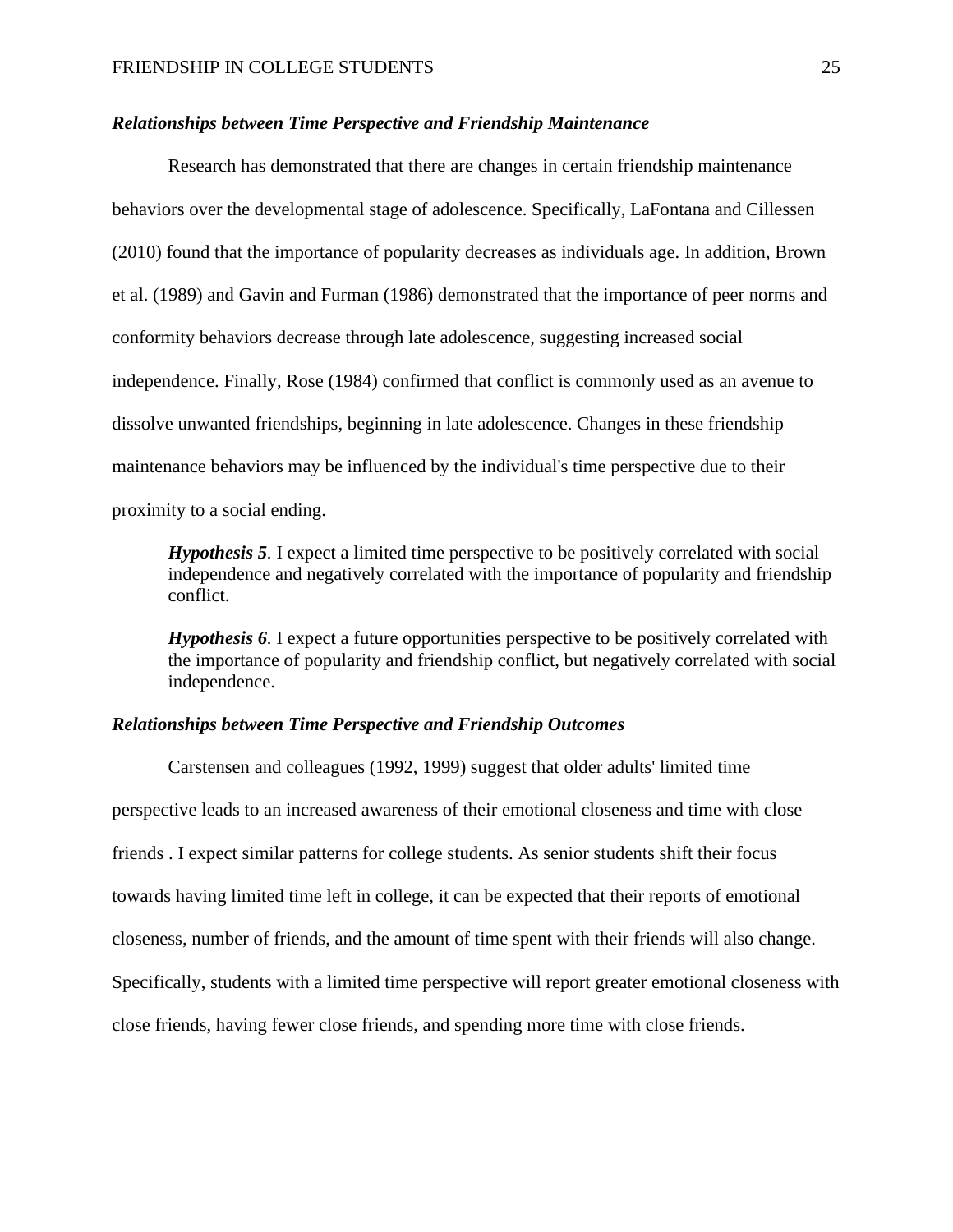# *Relationships between Time Perspective and Friendship Maintenance*

Research has demonstrated that there are changes in certain friendship maintenance behaviors over the developmental stage of adolescence. Specifically, LaFontana and Cillessen (2010) found that the importance of popularity decreases as individuals age. In addition, Brown et al. (1989) and Gavin and Furman (1986) demonstrated that the importance of peer norms and conformity behaviors decrease through late adolescence, suggesting increased social independence. Finally, Rose (1984) confirmed that conflict is commonly used as an avenue to dissolve unwanted friendships, beginning in late adolescence. Changes in these friendship maintenance behaviors may be influenced by the individual's time perspective due to their proximity to a social ending.

*Hypothesis 5.* I expect a limited time perspective to be positively correlated with social independence and negatively correlated with the importance of popularity and friendship conflict.

*Hypothesis 6.* I expect a future opportunities perspective to be positively correlated with the importance of popularity and friendship conflict, but negatively correlated with social independence.

# *Relationships between Time Perspective and Friendship Outcomes*

Carstensen and colleagues (1992, 1999) suggest that older adults' limited time perspective leads to an increased awareness of their emotional closeness and time with close friends . I expect similar patterns for college students. As senior students shift their focus towards having limited time left in college, it can be expected that their reports of emotional closeness, number of friends, and the amount of time spent with their friends will also change. Specifically, students with a limited time perspective will report greater emotional closeness with close friends, having fewer close friends, and spending more time with close friends.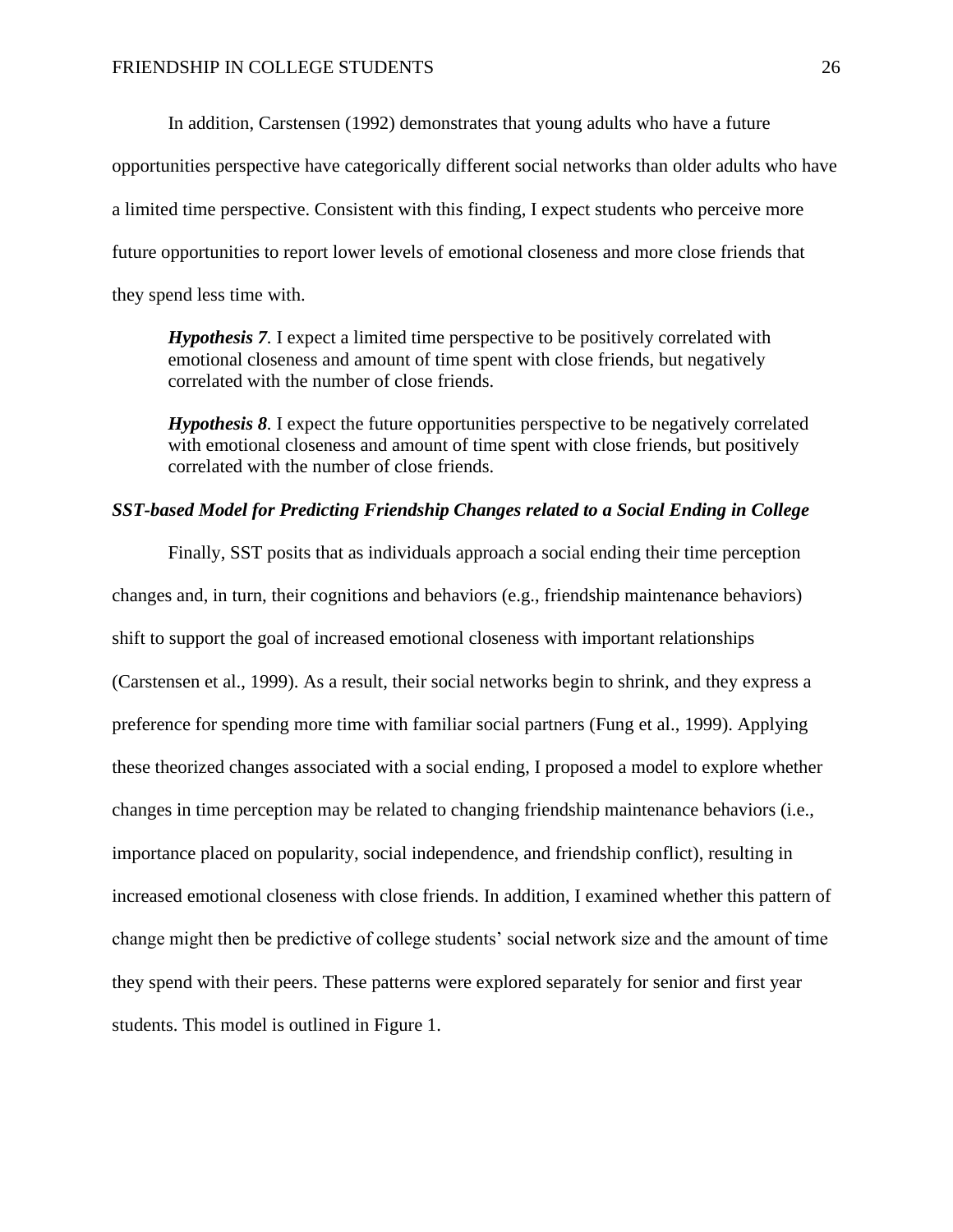In addition, Carstensen (1992) demonstrates that young adults who have a future opportunities perspective have categorically different social networks than older adults who have a limited time perspective. Consistent with this finding, I expect students who perceive more future opportunities to report lower levels of emotional closeness and more close friends that they spend less time with.

*Hypothesis 7.* I expect a limited time perspective to be positively correlated with emotional closeness and amount of time spent with close friends, but negatively correlated with the number of close friends.

*Hypothesis 8.* I expect the future opportunities perspective to be negatively correlated with emotional closeness and amount of time spent with close friends, but positively correlated with the number of close friends.

# *SST-based Model for Predicting Friendship Changes related to a Social Ending in College*

Finally, SST posits that as individuals approach a social ending their time perception changes and, in turn, their cognitions and behaviors (e.g., friendship maintenance behaviors) shift to support the goal of increased emotional closeness with important relationships (Carstensen et al., 1999). As a result, their social networks begin to shrink, and they express a preference for spending more time with familiar social partners (Fung et al., 1999). Applying these theorized changes associated with a social ending, I proposed a model to explore whether changes in time perception may be related to changing friendship maintenance behaviors (i.e., importance placed on popularity, social independence, and friendship conflict), resulting in increased emotional closeness with close friends. In addition, I examined whether this pattern of change might then be predictive of college students' social network size and the amount of time they spend with their peers. These patterns were explored separately for senior and first year students. This model is outlined in Figure 1.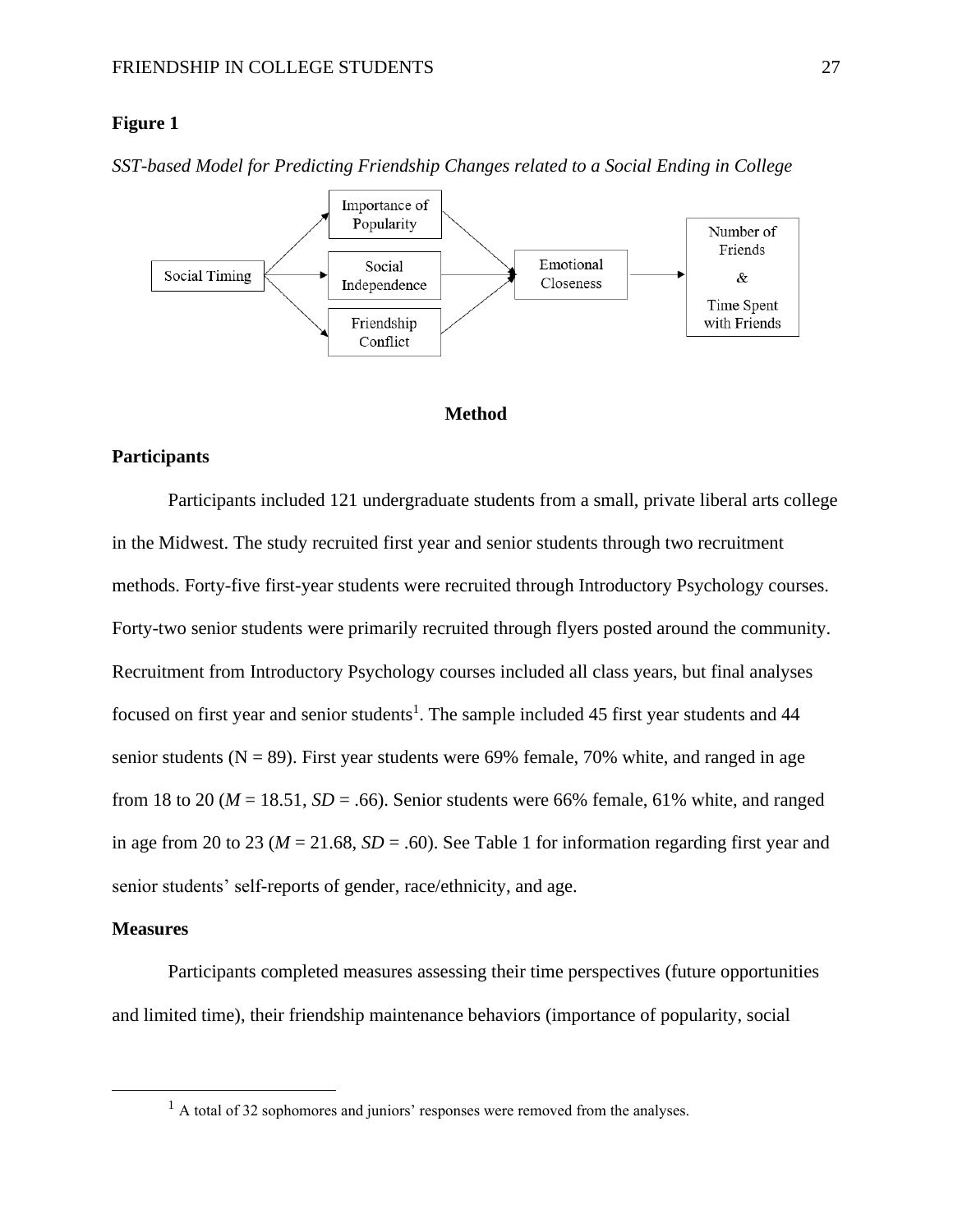# **Figure 1**

*SST-based Model for Predicting Friendship Changes related to a Social Ending in College*



#### **Method**

#### **Participants**

Participants included 121 undergraduate students from a small, private liberal arts college in the Midwest. The study recruited first year and senior students through two recruitment methods. Forty-five first-year students were recruited through Introductory Psychology courses. Forty-two senior students were primarily recruited through flyers posted around the community. Recruitment from Introductory Psychology courses included all class years, but final analyses focused on first year and senior students<sup>1</sup>. The sample included 45 first year students and 44 senior students ( $N = 89$ ). First year students were 69% female, 70% white, and ranged in age from 18 to 20 ( $M = 18.51$ ,  $SD = .66$ ). Senior students were 66% female, 61% white, and ranged in age from 20 to 23 ( $M = 21.68$ ,  $SD = .60$ ). See Table 1 for information regarding first year and senior students' self-reports of gender, race/ethnicity, and age.

#### **Measures**

Participants completed measures assessing their time perspectives (future opportunities and limited time), their friendship maintenance behaviors (importance of popularity, social

 $<sup>1</sup>$  A total of 32 sophomores and juniors' responses were removed from the analyses.</sup>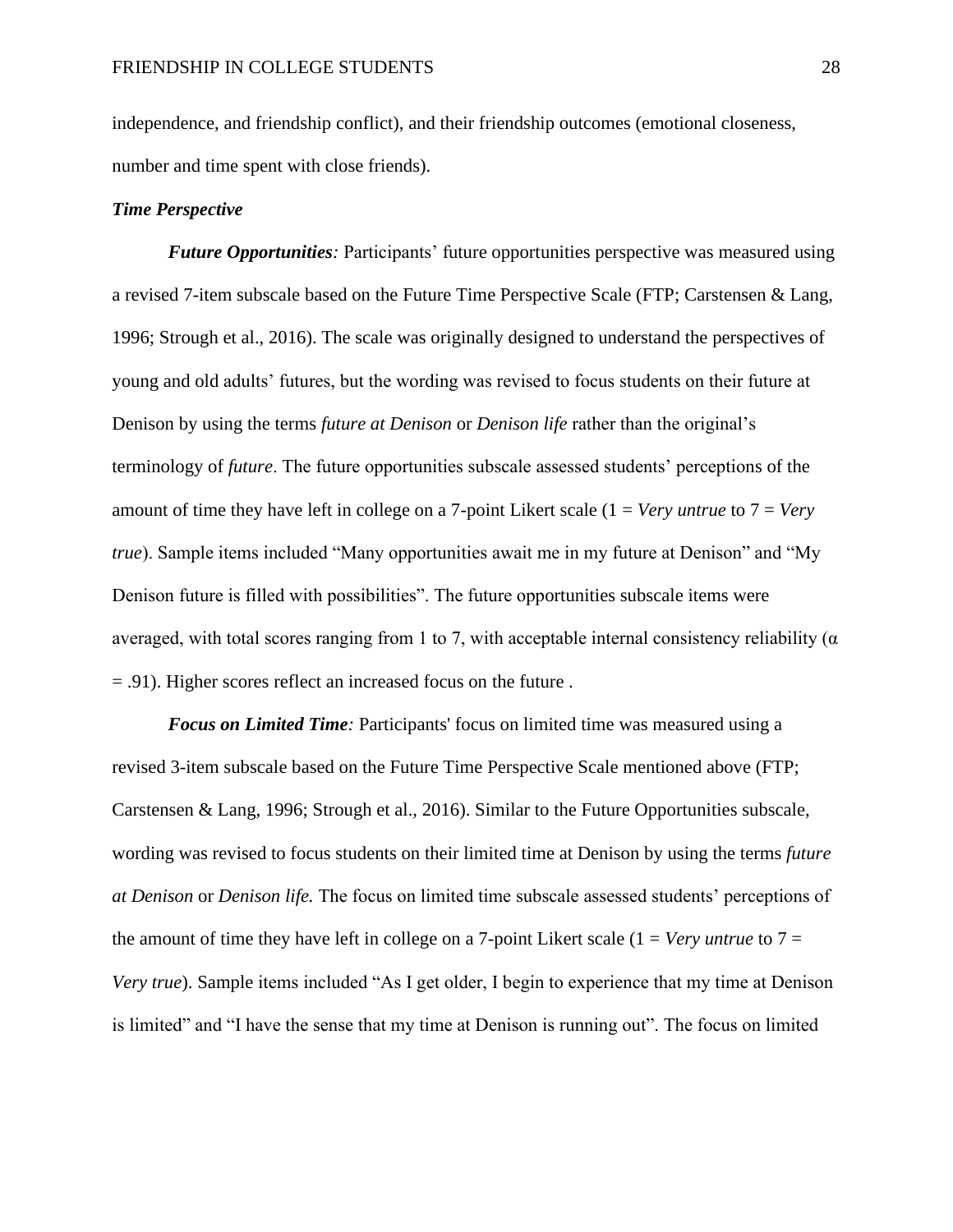independence, and friendship conflict), and their friendship outcomes (emotional closeness, number and time spent with close friends).

## *Time Perspective*

*Future Opportunities:* Participants' future opportunities perspective was measured using a revised 7-item subscale based on the Future Time Perspective Scale (FTP; Carstensen & Lang, 1996; Strough et al., 2016). The scale was originally designed to understand the perspectives of young and old adults' futures, but the wording was revised to focus students on their future at Denison by using the terms *future at Denison* or *Denison life* rather than the original's terminology of *future*. The future opportunities subscale assessed students' perceptions of the amount of time they have left in college on a 7-point Likert scale (1 = *Very untrue* to 7 = *Very true*). Sample items included "Many opportunities await me in my future at Denison" and "My Denison future is filled with possibilities". The future opportunities subscale items were averaged, with total scores ranging from 1 to 7, with acceptable internal consistency reliability ( $\alpha$ ) = .91). Higher scores reflect an increased focus on the future .

*Focus on Limited Time:* Participants' focus on limited time was measured using a revised 3-item subscale based on the Future Time Perspective Scale mentioned above (FTP; Carstensen & Lang, 1996; Strough et al., 2016). Similar to the Future Opportunities subscale, wording was revised to focus students on their limited time at Denison by using the terms *future at Denison* or *Denison life.* The focus on limited time subscale assessed students' perceptions of the amount of time they have left in college on a 7-point Likert scale  $(1 = Very$  *untrue* to  $7 =$ *Very true*). Sample items included "As I get older, I begin to experience that my time at Denison is limited" and "I have the sense that my time at Denison is running out". The focus on limited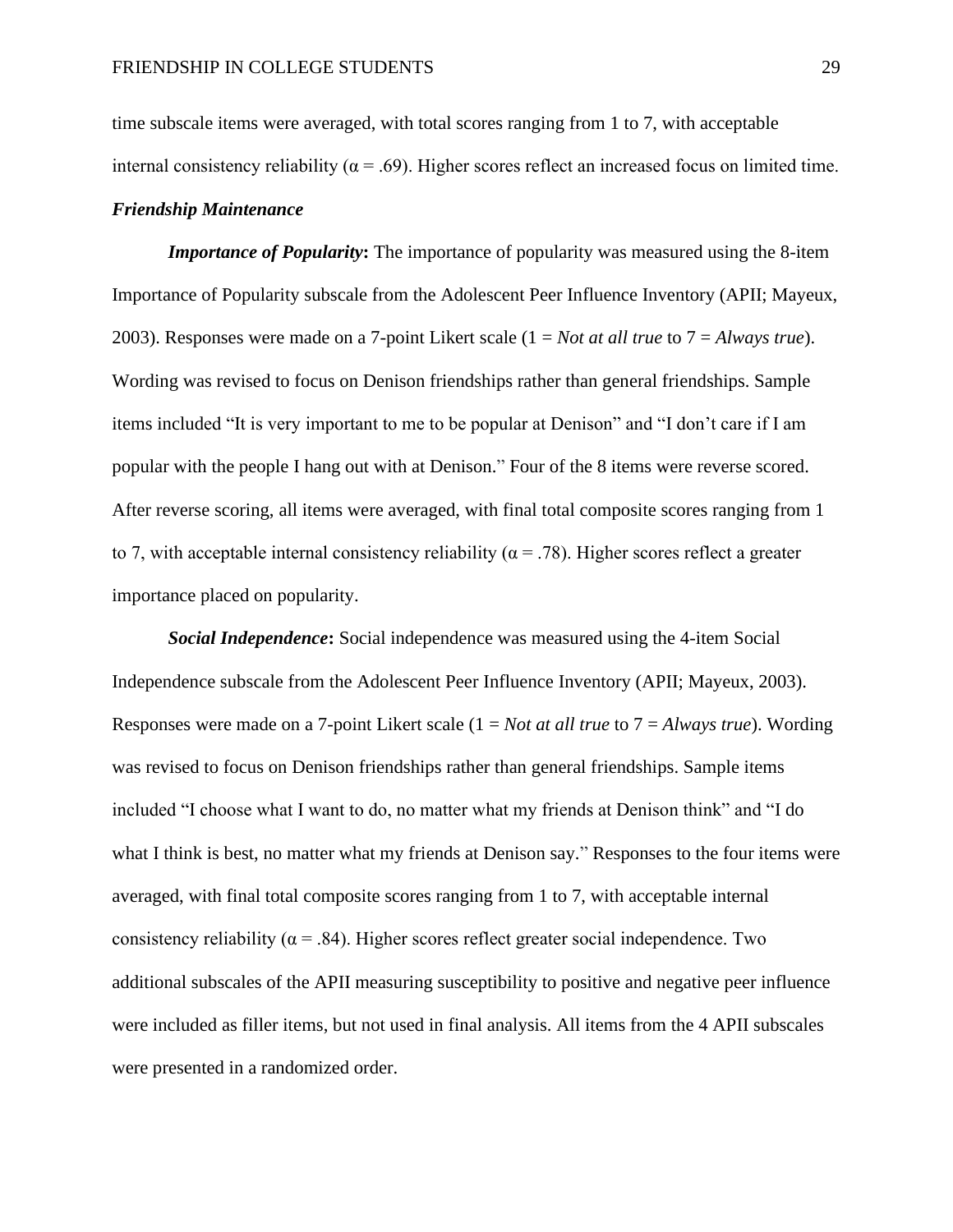time subscale items were averaged, with total scores ranging from 1 to 7, with acceptable internal consistency reliability ( $\alpha$  = .69). Higher scores reflect an increased focus on limited time. *Friendship Maintenance*

*Importance of Popularity:* The importance of popularity was measured using the 8-item Importance of Popularity subscale from the Adolescent Peer Influence Inventory (APII; Mayeux, 2003). Responses were made on a 7-point Likert scale (1 = *Not at all true* to 7 = *Always true*). Wording was revised to focus on Denison friendships rather than general friendships. Sample items included "It is very important to me to be popular at Denison" and "I don't care if I am popular with the people I hang out with at Denison." Four of the 8 items were reverse scored. After reverse scoring, all items were averaged, with final total composite scores ranging from 1 to 7, with acceptable internal consistency reliability ( $\alpha = .78$ ). Higher scores reflect a greater importance placed on popularity.

*Social Independence***:** Social independence was measured using the 4-item Social Independence subscale from the Adolescent Peer Influence Inventory (APII; Mayeux, 2003). Responses were made on a 7-point Likert scale (1 = *Not at all true* to 7 = *Always true*). Wording was revised to focus on Denison friendships rather than general friendships. Sample items included "I choose what I want to do, no matter what my friends at Denison think" and "I do what I think is best, no matter what my friends at Denison say." Responses to the four items were averaged, with final total composite scores ranging from 1 to 7, with acceptable internal consistency reliability ( $\alpha$  = .84). Higher scores reflect greater social independence. Two additional subscales of the APII measuring susceptibility to positive and negative peer influence were included as filler items, but not used in final analysis. All items from the 4 APII subscales were presented in a randomized order.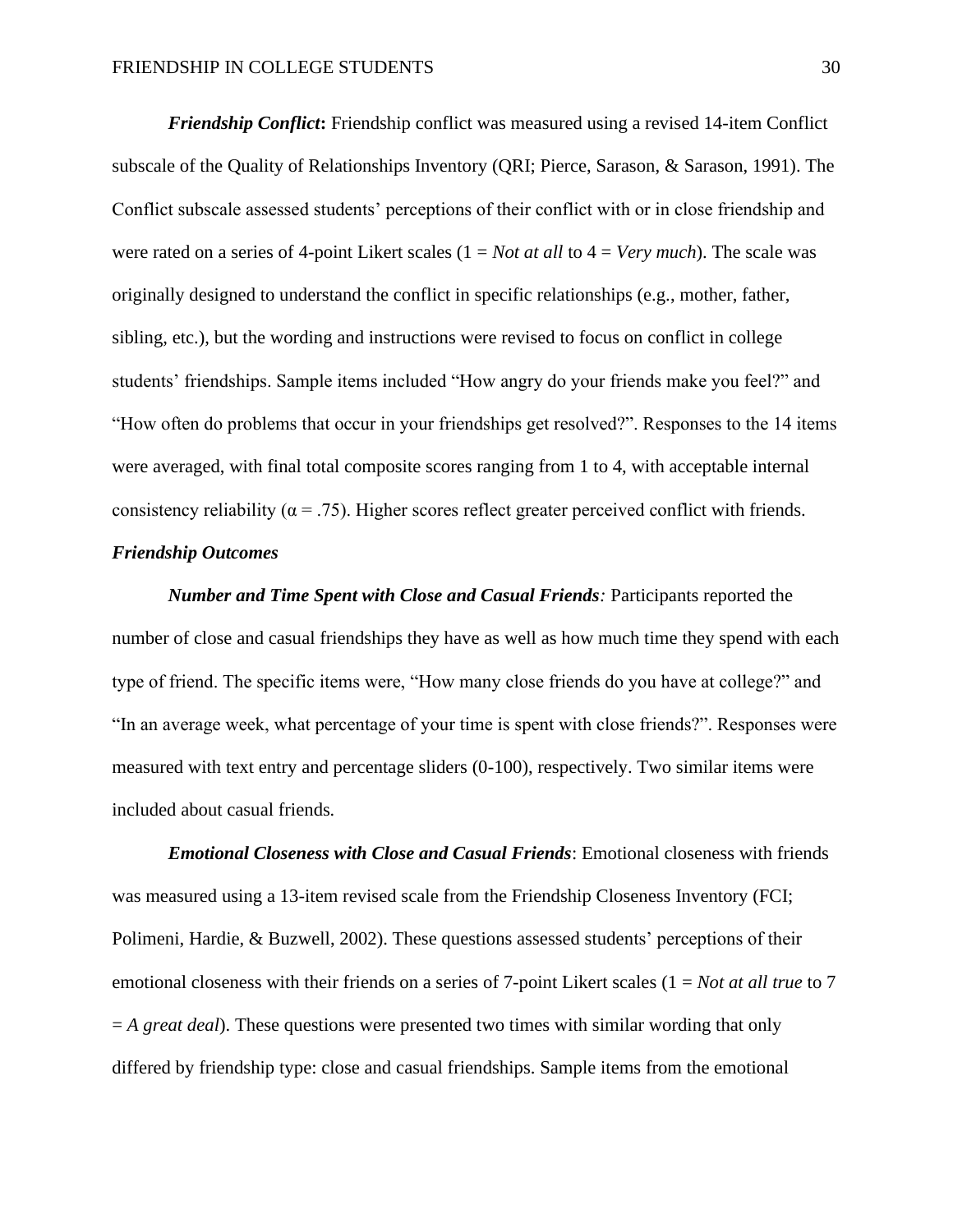*Friendship Conflict***:** Friendship conflict was measured using a revised 14-item Conflict subscale of the Quality of Relationships Inventory (QRI; Pierce, Sarason, & Sarason, 1991). The Conflict subscale assessed students' perceptions of their conflict with or in close friendship and were rated on a series of 4-point Likert scales (1 = *Not at all* to 4 = *Very much*). The scale was originally designed to understand the conflict in specific relationships (e.g., mother, father, sibling, etc.), but the wording and instructions were revised to focus on conflict in college students' friendships. Sample items included "How angry do your friends make you feel?" and "How often do problems that occur in your friendships get resolved?". Responses to the 14 items were averaged, with final total composite scores ranging from 1 to 4, with acceptable internal consistency reliability ( $\alpha = .75$ ). Higher scores reflect greater perceived conflict with friends.

# *Friendship Outcomes*

*Number and Time Spent with Close and Casual Friends:* Participants reported the number of close and casual friendships they have as well as how much time they spend with each type of friend. The specific items were, "How many close friends do you have at college?" and "In an average week, what percentage of your time is spent with close friends?". Responses were measured with text entry and percentage sliders (0-100), respectively. Two similar items were included about casual friends*.*

*Emotional Closeness with Close and Casual Friends*: Emotional closeness with friends was measured using a 13-item revised scale from the Friendship Closeness Inventory (FCI; Polimeni, Hardie, & Buzwell, 2002). These questions assessed students' perceptions of their emotional closeness with their friends on a series of 7-point Likert scales (1 = *Not at all true* to 7 = *A great deal*). These questions were presented two times with similar wording that only differed by friendship type: close and casual friendships. Sample items from the emotional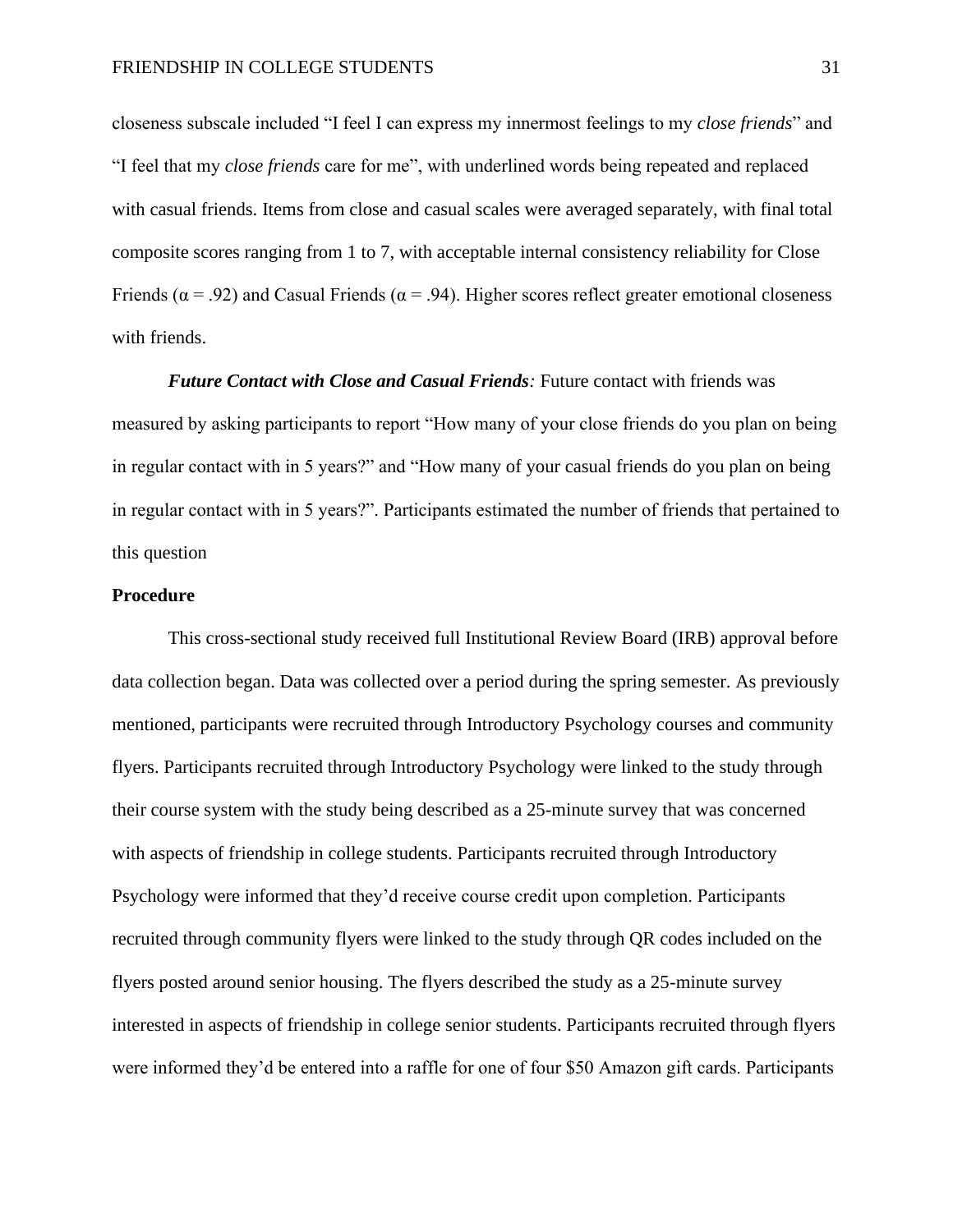closeness subscale included "I feel I can express my innermost feelings to my *close friends*" and "I feel that my *close friends* care for me", with underlined words being repeated and replaced with casual friends. Items from close and casual scales were averaged separately, with final total composite scores ranging from 1 to 7, with acceptable internal consistency reliability for Close Friends ( $\alpha$  = .92) and Casual Friends ( $\alpha$  = .94). Higher scores reflect greater emotional closeness with friends.

*Future Contact with Close and Casual Friends:* Future contact with friends was measured by asking participants to report "How many of your close friends do you plan on being in regular contact with in 5 years?" and "How many of your casual friends do you plan on being in regular contact with in 5 years?". Participants estimated the number of friends that pertained to this question

# **Procedure**

This cross-sectional study received full Institutional Review Board (IRB) approval before data collection began. Data was collected over a period during the spring semester. As previously mentioned, participants were recruited through Introductory Psychology courses and community flyers. Participants recruited through Introductory Psychology were linked to the study through their course system with the study being described as a 25-minute survey that was concerned with aspects of friendship in college students. Participants recruited through Introductory Psychology were informed that they'd receive course credit upon completion. Participants recruited through community flyers were linked to the study through QR codes included on the flyers posted around senior housing. The flyers described the study as a 25-minute survey interested in aspects of friendship in college senior students. Participants recruited through flyers were informed they'd be entered into a raffle for one of four \$50 Amazon gift cards. Participants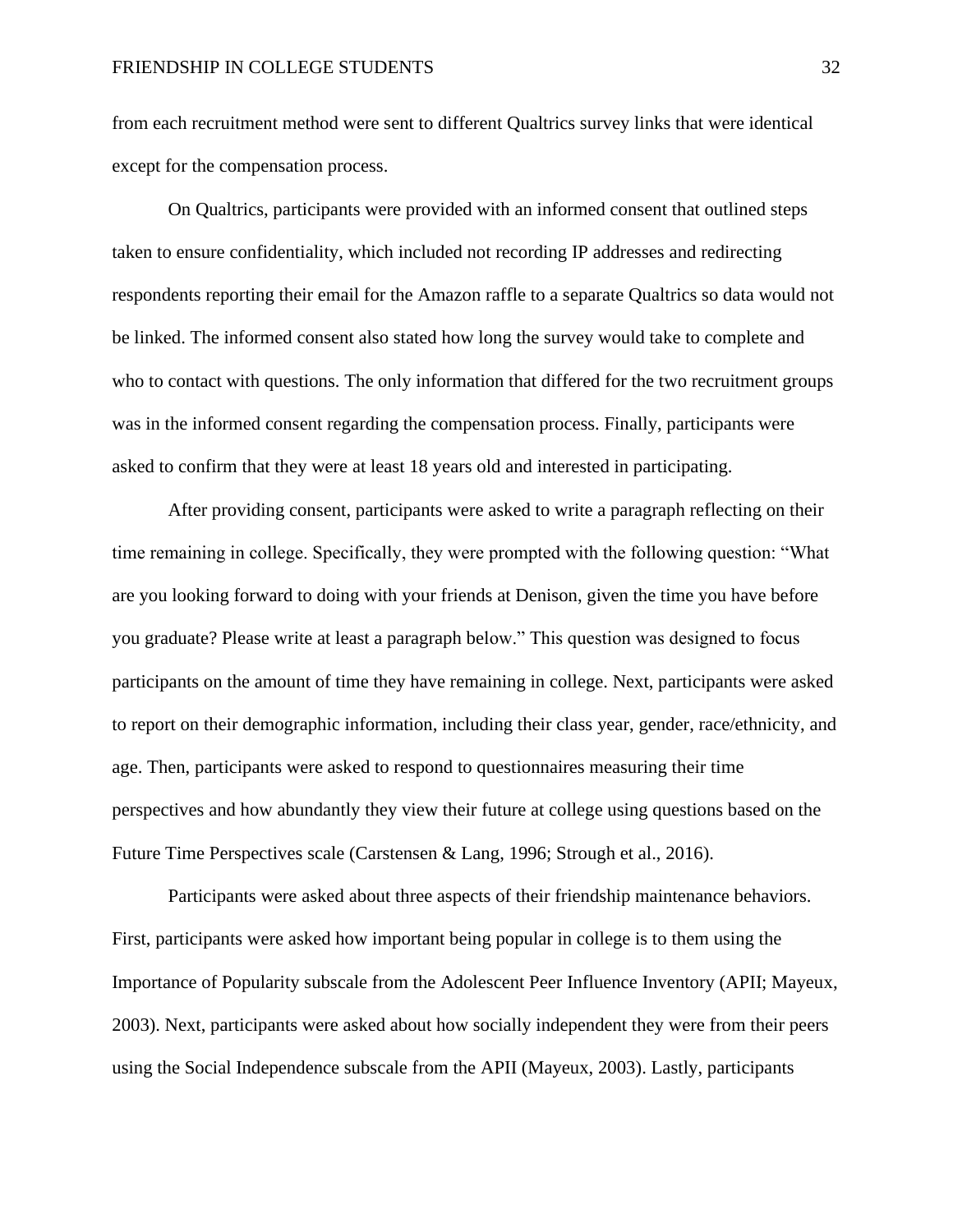from each recruitment method were sent to different Qualtrics survey links that were identical except for the compensation process.

On Qualtrics, participants were provided with an informed consent that outlined steps taken to ensure confidentiality, which included not recording IP addresses and redirecting respondents reporting their email for the Amazon raffle to a separate Qualtrics so data would not be linked. The informed consent also stated how long the survey would take to complete and who to contact with questions. The only information that differed for the two recruitment groups was in the informed consent regarding the compensation process. Finally, participants were asked to confirm that they were at least 18 years old and interested in participating.

After providing consent, participants were asked to write a paragraph reflecting on their time remaining in college. Specifically, they were prompted with the following question: "What are you looking forward to doing with your friends at Denison, given the time you have before you graduate? Please write at least a paragraph below." This question was designed to focus participants on the amount of time they have remaining in college. Next, participants were asked to report on their demographic information, including their class year, gender, race/ethnicity, and age. Then, participants were asked to respond to questionnaires measuring their time perspectives and how abundantly they view their future at college using questions based on the Future Time Perspectives scale (Carstensen & Lang, 1996; Strough et al., 2016).

Participants were asked about three aspects of their friendship maintenance behaviors. First, participants were asked how important being popular in college is to them using the Importance of Popularity subscale from the Adolescent Peer Influence Inventory (APII; Mayeux, 2003). Next, participants were asked about how socially independent they were from their peers using the Social Independence subscale from the APII (Mayeux, 2003). Lastly, participants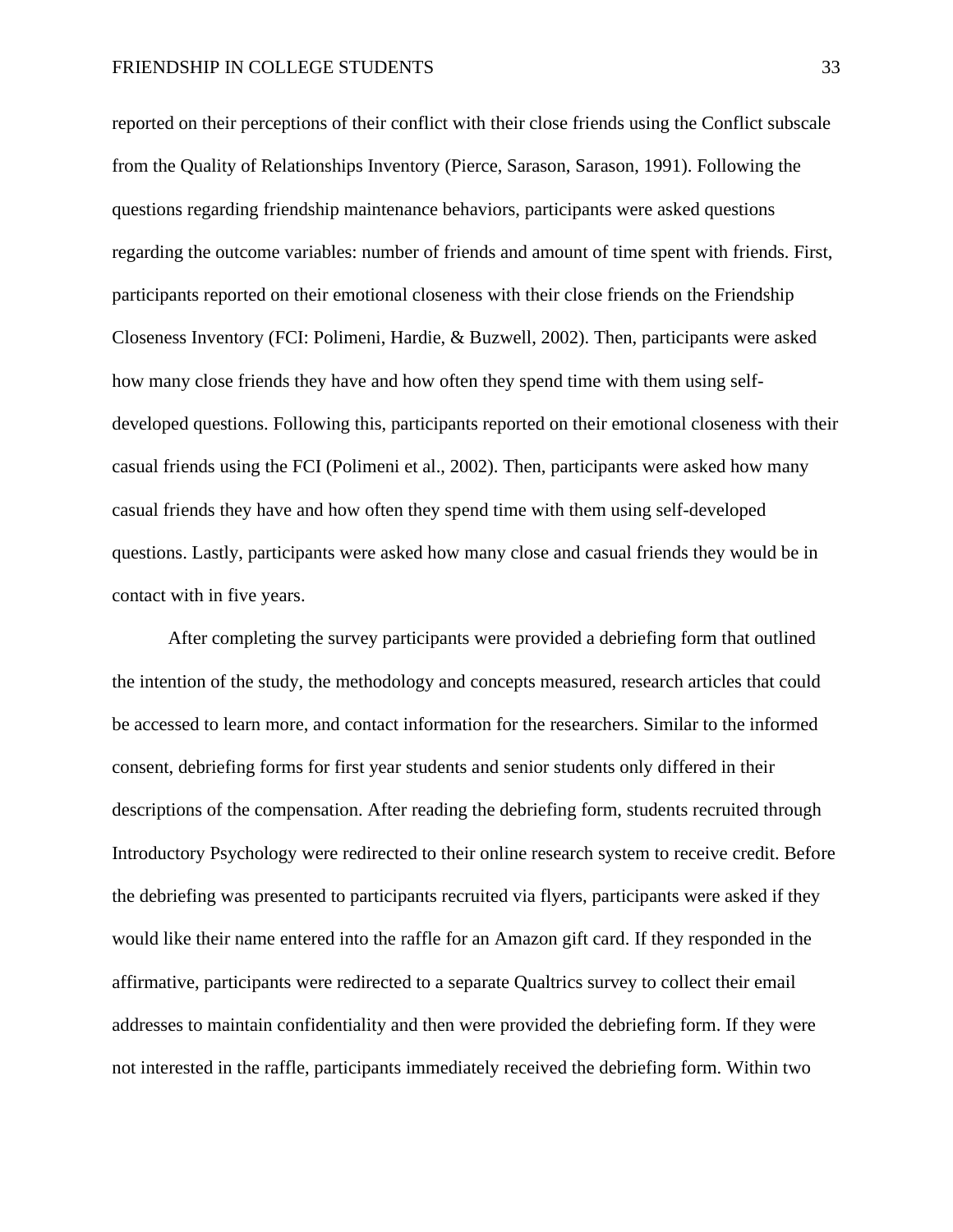reported on their perceptions of their conflict with their close friends using the Conflict subscale from the Quality of Relationships Inventory (Pierce, Sarason, Sarason, 1991). Following the questions regarding friendship maintenance behaviors, participants were asked questions regarding the outcome variables: number of friends and amount of time spent with friends. First, participants reported on their emotional closeness with their close friends on the Friendship Closeness Inventory (FCI: Polimeni, Hardie, & Buzwell, 2002). Then, participants were asked how many close friends they have and how often they spend time with them using selfdeveloped questions. Following this, participants reported on their emotional closeness with their casual friends using the FCI (Polimeni et al., 2002). Then, participants were asked how many casual friends they have and how often they spend time with them using self-developed questions. Lastly, participants were asked how many close and casual friends they would be in contact with in five years.

After completing the survey participants were provided a debriefing form that outlined the intention of the study, the methodology and concepts measured, research articles that could be accessed to learn more, and contact information for the researchers. Similar to the informed consent, debriefing forms for first year students and senior students only differed in their descriptions of the compensation. After reading the debriefing form, students recruited through Introductory Psychology were redirected to their online research system to receive credit. Before the debriefing was presented to participants recruited via flyers, participants were asked if they would like their name entered into the raffle for an Amazon gift card. If they responded in the affirmative, participants were redirected to a separate Qualtrics survey to collect their email addresses to maintain confidentiality and then were provided the debriefing form. If they were not interested in the raffle, participants immediately received the debriefing form. Within two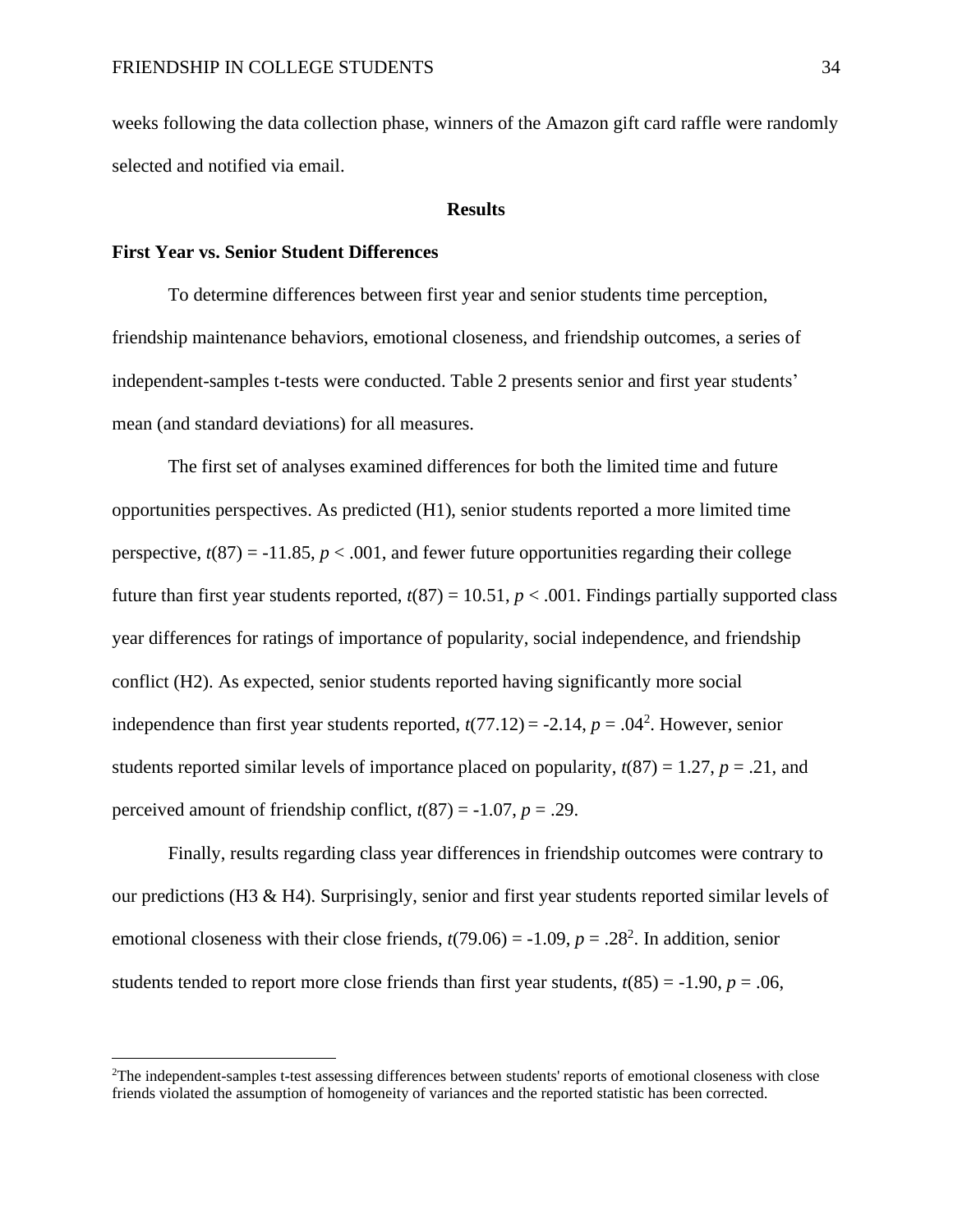weeks following the data collection phase, winners of the Amazon gift card raffle were randomly selected and notified via email.

#### **Results**

## **First Year vs. Senior Student Differences**

To determine differences between first year and senior students time perception, friendship maintenance behaviors, emotional closeness, and friendship outcomes, a series of independent-samples t-tests were conducted. Table 2 presents senior and first year students' mean (and standard deviations) for all measures.

The first set of analyses examined differences for both the limited time and future opportunities perspectives. As predicted (H1), senior students reported a more limited time perspective,  $t(87) = -11.85$ ,  $p < .001$ , and fewer future opportunities regarding their college future than first year students reported,  $t(87) = 10.51$ ,  $p < .001$ . Findings partially supported class year differences for ratings of importance of popularity, social independence, and friendship conflict (H2). As expected, senior students reported having significantly more social independence than first year students reported,  $t(77.12) = -2.14$ ,  $p = .04<sup>2</sup>$ . However, senior students reported similar levels of importance placed on popularity,  $t(87) = 1.27$ ,  $p = .21$ , and perceived amount of friendship conflict,  $t(87) = -1.07$ ,  $p = .29$ .

Finally, results regarding class year differences in friendship outcomes were contrary to our predictions (H3 & H4). Surprisingly, senior and first year students reported similar levels of emotional closeness with their close friends,  $t(79.06) = -1.09$ ,  $p = .28<sup>2</sup>$ . In addition, senior students tended to report more close friends than first year students,  $t(85) = -1.90$ ,  $p = .06$ ,

<sup>2</sup>The independent-samples t-test assessing differences between students' reports of emotional closeness with close friends violated the assumption of homogeneity of variances and the reported statistic has been corrected.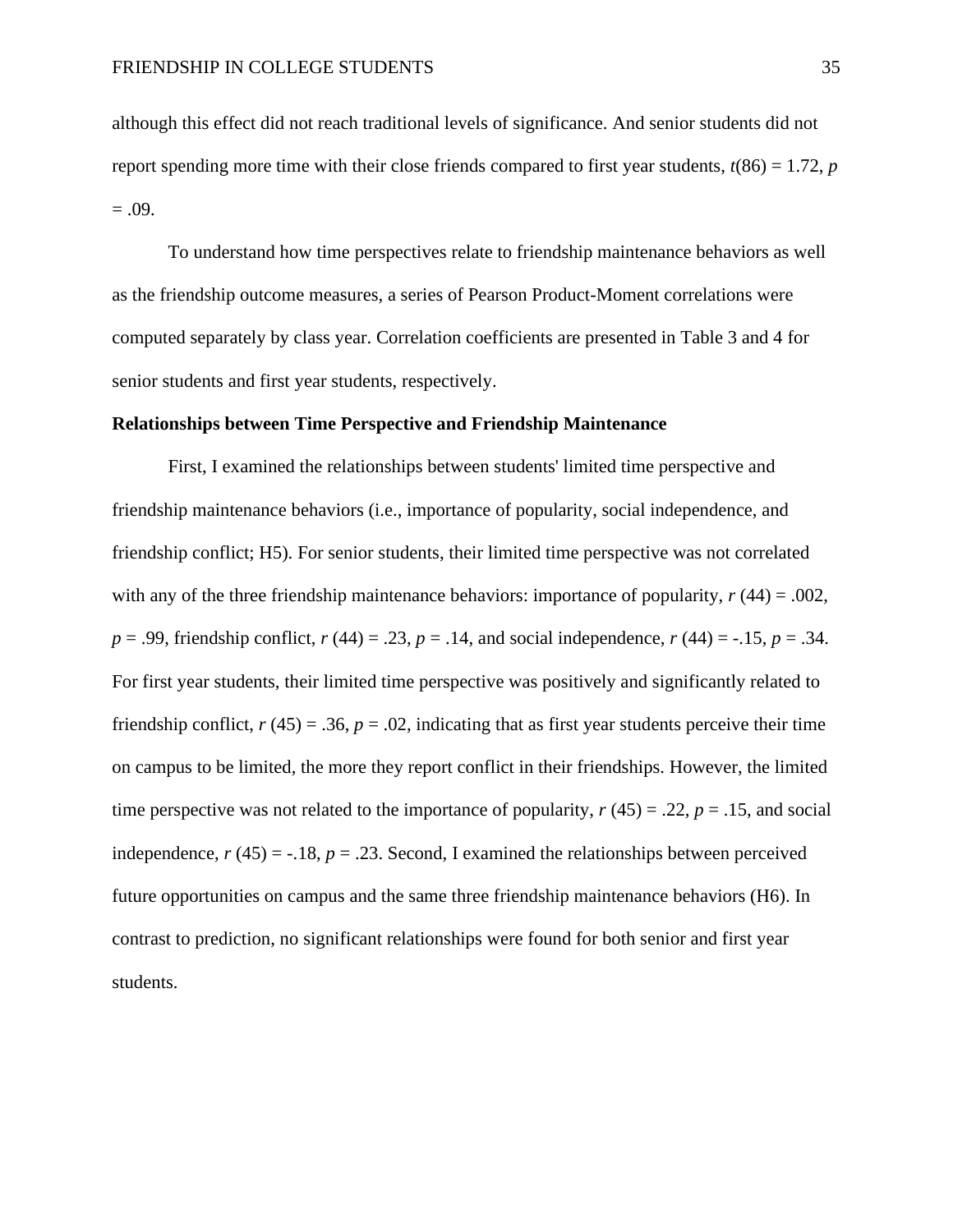although this effect did not reach traditional levels of significance. And senior students did not report spending more time with their close friends compared to first year students,  $t(86) = 1.72$ , *p*  $= .09.$ 

To understand how time perspectives relate to friendship maintenance behaviors as well as the friendship outcome measures, a series of Pearson Product-Moment correlations were computed separately by class year. Correlation coefficients are presented in Table 3 and 4 for senior students and first year students, respectively.

#### **Relationships between Time Perspective and Friendship Maintenance**

First, I examined the relationships between students' limited time perspective and friendship maintenance behaviors (i.e., importance of popularity, social independence, and friendship conflict; H5). For senior students, their limited time perspective was not correlated with any of the three friendship maintenance behaviors: importance of popularity, *r* (44) = .002, *p* = .99, friendship conflict, *r* (44) = .23, *p* = .14, and social independence, *r* (44) = -.15, *p* = .34. For first year students, their limited time perspective was positively and significantly related to friendship conflict,  $r(45) = .36$ ,  $p = .02$ , indicating that as first year students perceive their time on campus to be limited, the more they report conflict in their friendships. However, the limited time perspective was not related to the importance of popularity,  $r(45) = .22$ ,  $p = .15$ , and social independence,  $r(45) = -.18$ ,  $p = .23$ . Second, I examined the relationships between perceived future opportunities on campus and the same three friendship maintenance behaviors (H6). In contrast to prediction, no significant relationships were found for both senior and first year students.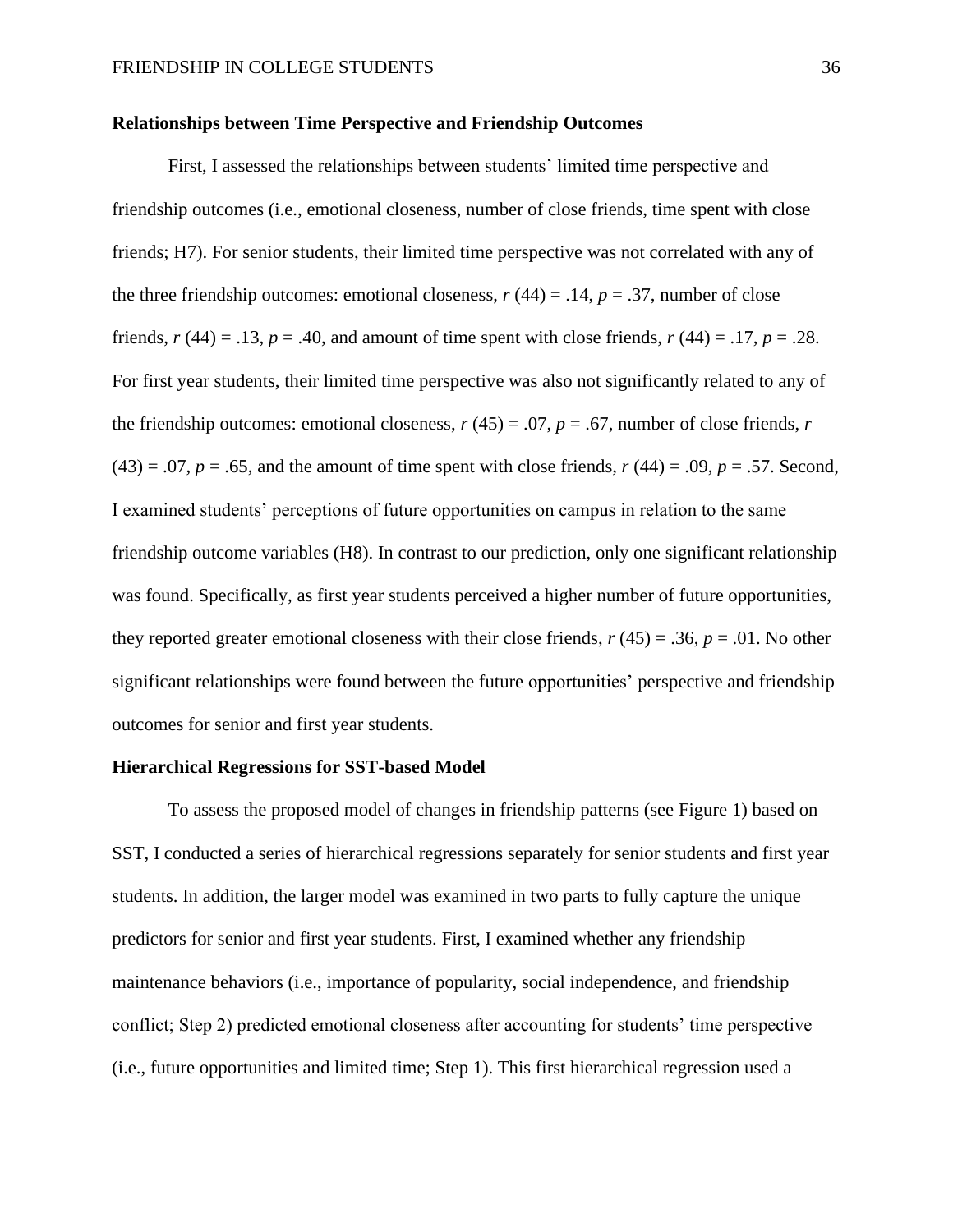#### **Relationships between Time Perspective and Friendship Outcomes**

First, I assessed the relationships between students' limited time perspective and friendship outcomes (i.e., emotional closeness, number of close friends, time spent with close friends; H7). For senior students, their limited time perspective was not correlated with any of the three friendship outcomes: emotional closeness,  $r(44) = .14$ ,  $p = .37$ , number of close friends,  $r(44) = .13$ ,  $p = .40$ , and amount of time spent with close friends,  $r(44) = .17$ ,  $p = .28$ . For first year students, their limited time perspective was also not significantly related to any of the friendship outcomes: emotional closeness,  $r(45) = .07$ ,  $p = .67$ , number of close friends, *r*  $(43) = .07$ ,  $p = .65$ , and the amount of time spent with close friends,  $r(44) = .09$ ,  $p = .57$ . Second, I examined students' perceptions of future opportunities on campus in relation to the same friendship outcome variables (H8). In contrast to our prediction, only one significant relationship was found. Specifically, as first year students perceived a higher number of future opportunities, they reported greater emotional closeness with their close friends,  $r(45) = .36$ ,  $p = .01$ . No other significant relationships were found between the future opportunities' perspective and friendship outcomes for senior and first year students.

#### **Hierarchical Regressions for SST-based Model**

To assess the proposed model of changes in friendship patterns (see Figure 1) based on SST, I conducted a series of hierarchical regressions separately for senior students and first year students. In addition, the larger model was examined in two parts to fully capture the unique predictors for senior and first year students. First, I examined whether any friendship maintenance behaviors (i.e., importance of popularity, social independence, and friendship conflict; Step 2) predicted emotional closeness after accounting for students' time perspective (i.e., future opportunities and limited time; Step 1). This first hierarchical regression used a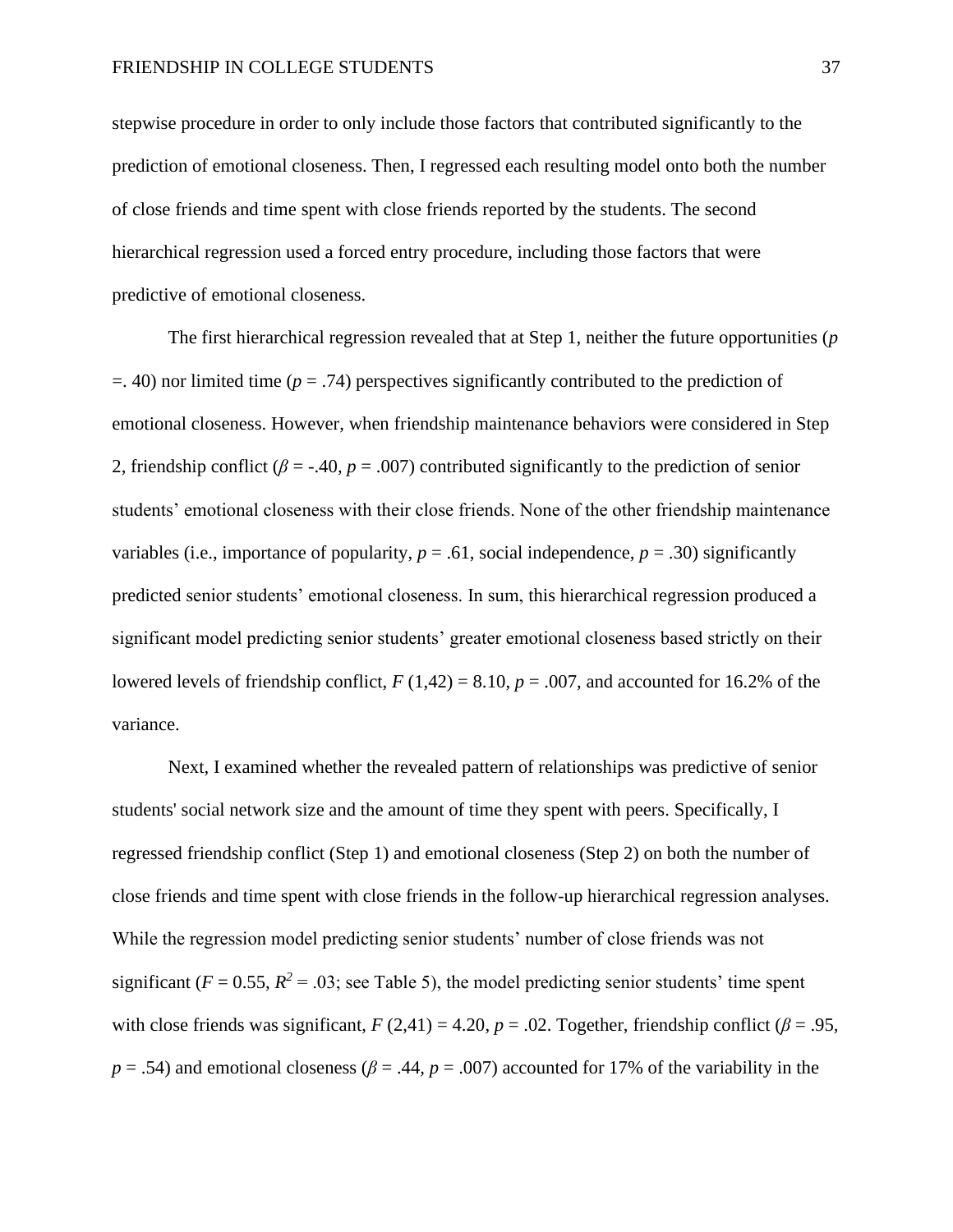stepwise procedure in order to only include those factors that contributed significantly to the prediction of emotional closeness. Then, I regressed each resulting model onto both the number of close friends and time spent with close friends reported by the students. The second hierarchical regression used a forced entry procedure, including those factors that were predictive of emotional closeness.

The first hierarchical regression revealed that at Step 1, neither the future opportunities (*p* =. 40) nor limited time (*p* = .74) perspectives significantly contributed to the prediction of emotional closeness. However, when friendship maintenance behaviors were considered in Step 2, friendship conflict (*β* = -.40*, p* = .007) contributed significantly to the prediction of senior students' emotional closeness with their close friends. None of the other friendship maintenance variables (i.e., importance of popularity,  $p = .61$ , social independence,  $p = .30$ ) significantly predicted senior students' emotional closeness. In sum, this hierarchical regression produced a significant model predicting senior students' greater emotional closeness based strictly on their lowered levels of friendship conflict,  $F(1,42) = 8.10$ ,  $p = .007$ , and accounted for 16.2% of the variance.

Next, I examined whether the revealed pattern of relationships was predictive of senior students' social network size and the amount of time they spent with peers. Specifically, I regressed friendship conflict (Step 1) and emotional closeness (Step 2) on both the number of close friends and time spent with close friends in the follow-up hierarchical regression analyses. While the regression model predicting senior students' number of close friends was not significant ( $F = 0.55$ ,  $R^2 = .03$ ; see Table 5), the model predicting senior students' time spent with close friends was significant,  $F(2,41) = 4.20$ ,  $p = .02$ . Together, friendship conflict ( $\beta = .95$ ,  $p = .54$ ) and emotional closeness ( $\beta = .44$ ,  $p = .007$ ) accounted for 17% of the variability in the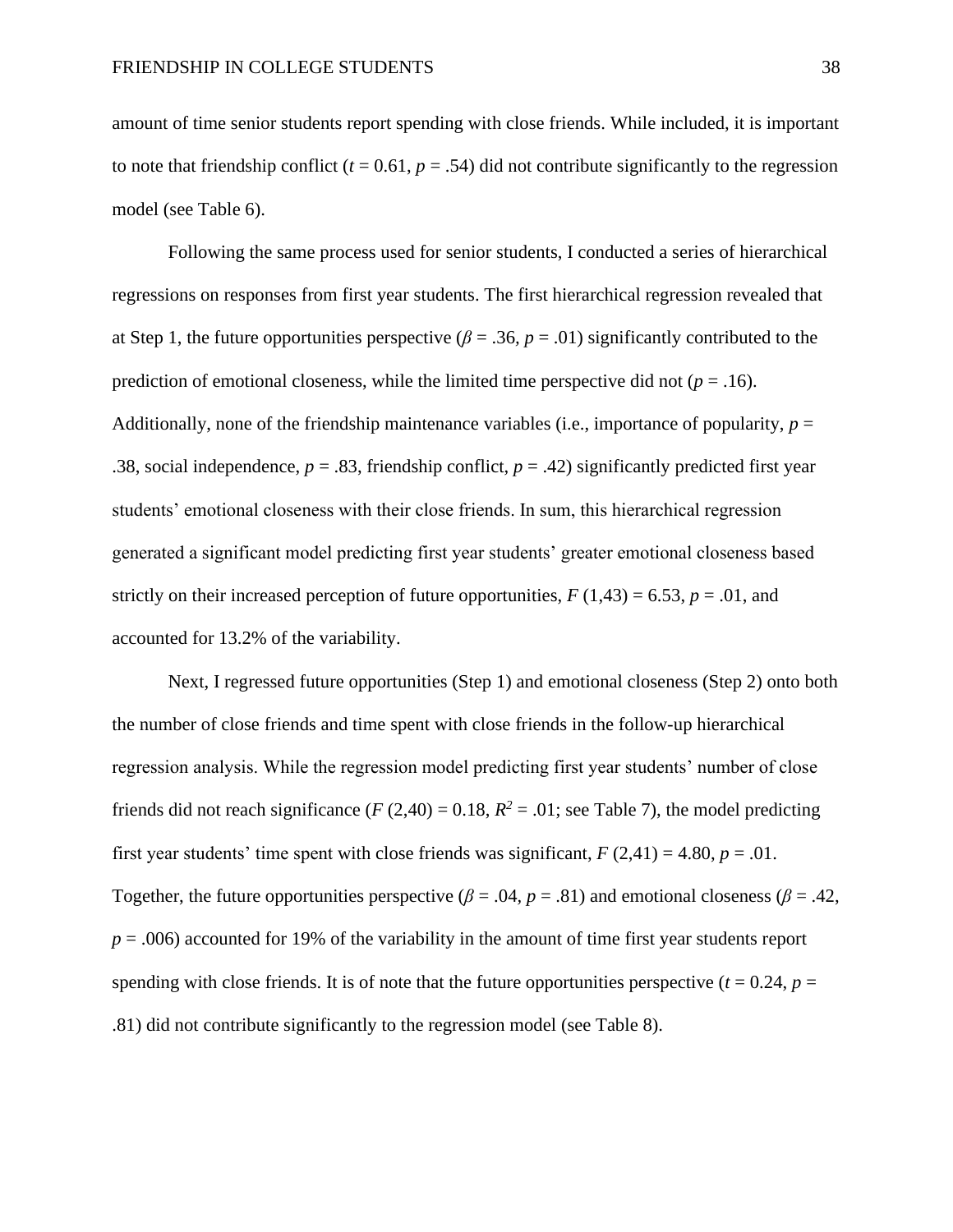amount of time senior students report spending with close friends. While included, it is important to note that friendship conflict  $(t = 0.61, p = .54)$  did not contribute significantly to the regression model (see Table 6).

Following the same process used for senior students, I conducted a series of hierarchical regressions on responses from first year students. The first hierarchical regression revealed that at Step 1, the future opportunities perspective ( $\beta = .36$ ,  $p = .01$ ) significantly contributed to the prediction of emotional closeness, while the limited time perspective did not  $(p = .16)$ . Additionally, none of the friendship maintenance variables (i.e., importance of popularity, *p* = .38, social independence,  $p = .83$ , friendship conflict,  $p = .42$ ) significantly predicted first year students' emotional closeness with their close friends. In sum, this hierarchical regression generated a significant model predicting first year students' greater emotional closeness based strictly on their increased perception of future opportunities,  $F(1,43) = 6.53$ ,  $p = .01$ , and accounted for 13.2% of the variability.

Next, I regressed future opportunities (Step 1) and emotional closeness (Step 2) onto both the number of close friends and time spent with close friends in the follow-up hierarchical regression analysis. While the regression model predicting first year students' number of close friends did not reach significance (*F* (2,40) = 0.18,  $R^2$  = .01; see Table 7), the model predicting first year students' time spent with close friends was significant,  $F(2,41) = 4.80$ ,  $p = .01$ . Together, the future opportunities perspective ( $\beta$  = .04, p = .81) and emotional closeness ( $\beta$  = .42,  $p = .006$ ) accounted for 19% of the variability in the amount of time first year students report spending with close friends. It is of note that the future opportunities perspective  $(t = 0.24, p =$ .81) did not contribute significantly to the regression model (see Table 8).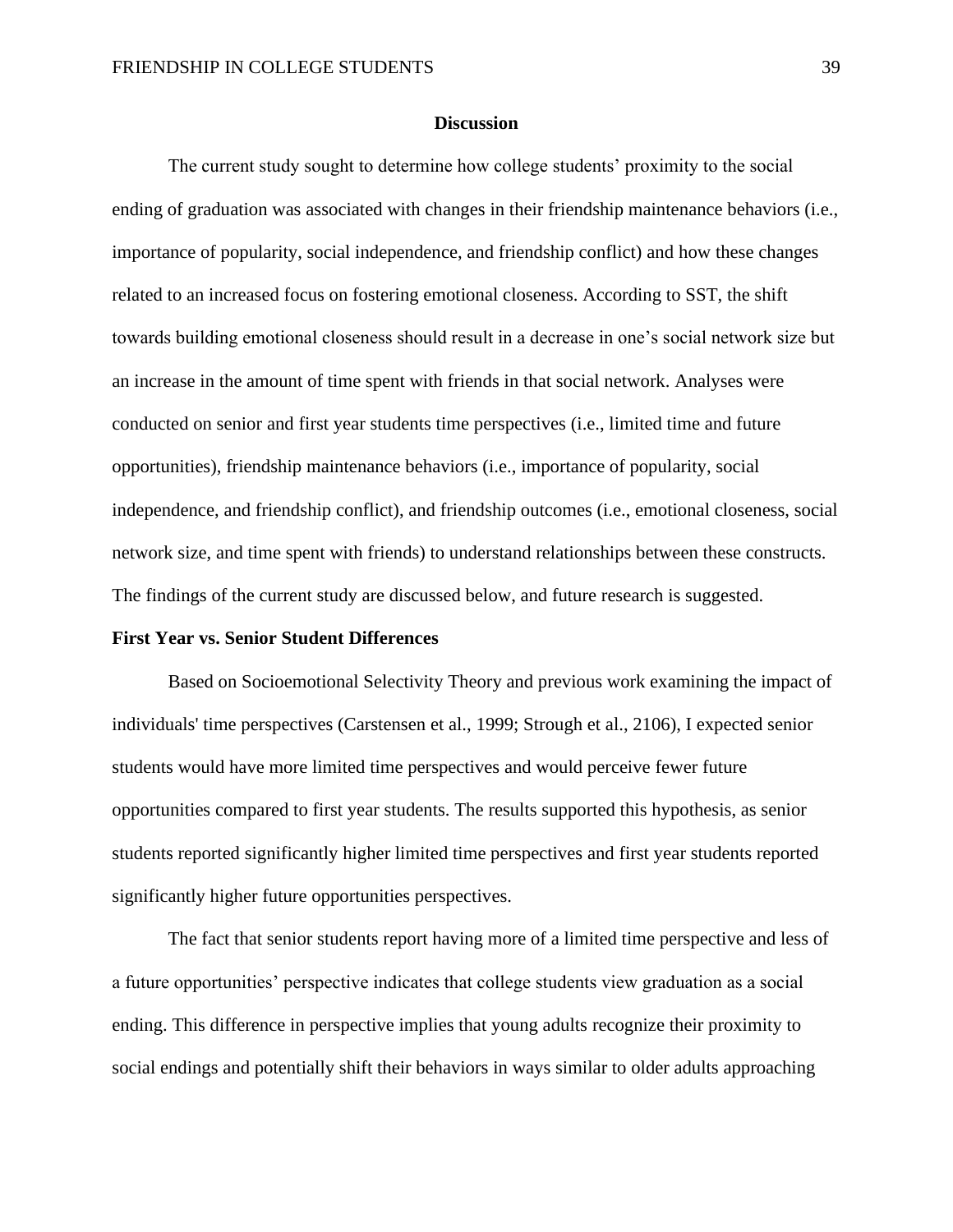#### **Discussion**

The current study sought to determine how college students' proximity to the social ending of graduation was associated with changes in their friendship maintenance behaviors (i.e., importance of popularity, social independence, and friendship conflict) and how these changes related to an increased focus on fostering emotional closeness. According to SST, the shift towards building emotional closeness should result in a decrease in one's social network size but an increase in the amount of time spent with friends in that social network. Analyses were conducted on senior and first year students time perspectives (i.e., limited time and future opportunities), friendship maintenance behaviors (i.e., importance of popularity, social independence, and friendship conflict), and friendship outcomes (i.e., emotional closeness, social network size, and time spent with friends) to understand relationships between these constructs. The findings of the current study are discussed below, and future research is suggested.

#### **First Year vs. Senior Student Differences**

Based on Socioemotional Selectivity Theory and previous work examining the impact of individuals' time perspectives (Carstensen et al., 1999; Strough et al., 2106), I expected senior students would have more limited time perspectives and would perceive fewer future opportunities compared to first year students. The results supported this hypothesis, as senior students reported significantly higher limited time perspectives and first year students reported significantly higher future opportunities perspectives.

The fact that senior students report having more of a limited time perspective and less of a future opportunities' perspective indicates that college students view graduation as a social ending. This difference in perspective implies that young adults recognize their proximity to social endings and potentially shift their behaviors in ways similar to older adults approaching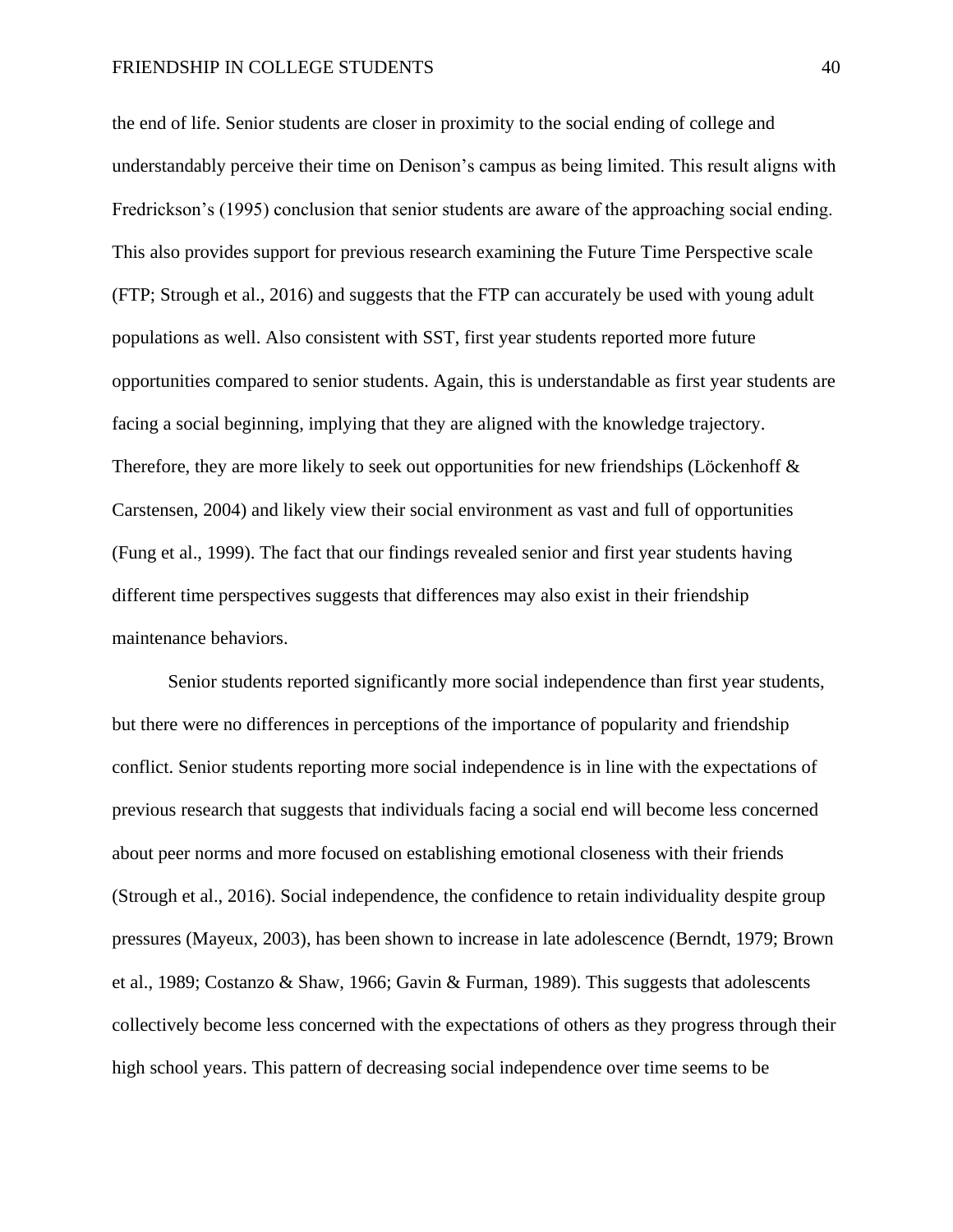the end of life. Senior students are closer in proximity to the social ending of college and understandably perceive their time on Denison's campus as being limited. This result aligns with Fredrickson's (1995) conclusion that senior students are aware of the approaching social ending. This also provides support for previous research examining the Future Time Perspective scale (FTP; Strough et al., 2016) and suggests that the FTP can accurately be used with young adult populations as well. Also consistent with SST, first year students reported more future opportunities compared to senior students. Again, this is understandable as first year students are facing a social beginning, implying that they are aligned with the knowledge trajectory. Therefore, they are more likely to seek out opportunities for new friendships (Löckenhoff & Carstensen, 2004) and likely view their social environment as vast and full of opportunities (Fung et al., 1999). The fact that our findings revealed senior and first year students having different time perspectives suggests that differences may also exist in their friendship maintenance behaviors.

Senior students reported significantly more social independence than first year students, but there were no differences in perceptions of the importance of popularity and friendship conflict. Senior students reporting more social independence is in line with the expectations of previous research that suggests that individuals facing a social end will become less concerned about peer norms and more focused on establishing emotional closeness with their friends (Strough et al., 2016). Social independence, the confidence to retain individuality despite group pressures (Mayeux, 2003), has been shown to increase in late adolescence (Berndt, 1979; Brown et al., 1989; Costanzo & Shaw, 1966; Gavin & Furman, 1989). This suggests that adolescents collectively become less concerned with the expectations of others as they progress through their high school years. This pattern of decreasing social independence over time seems to be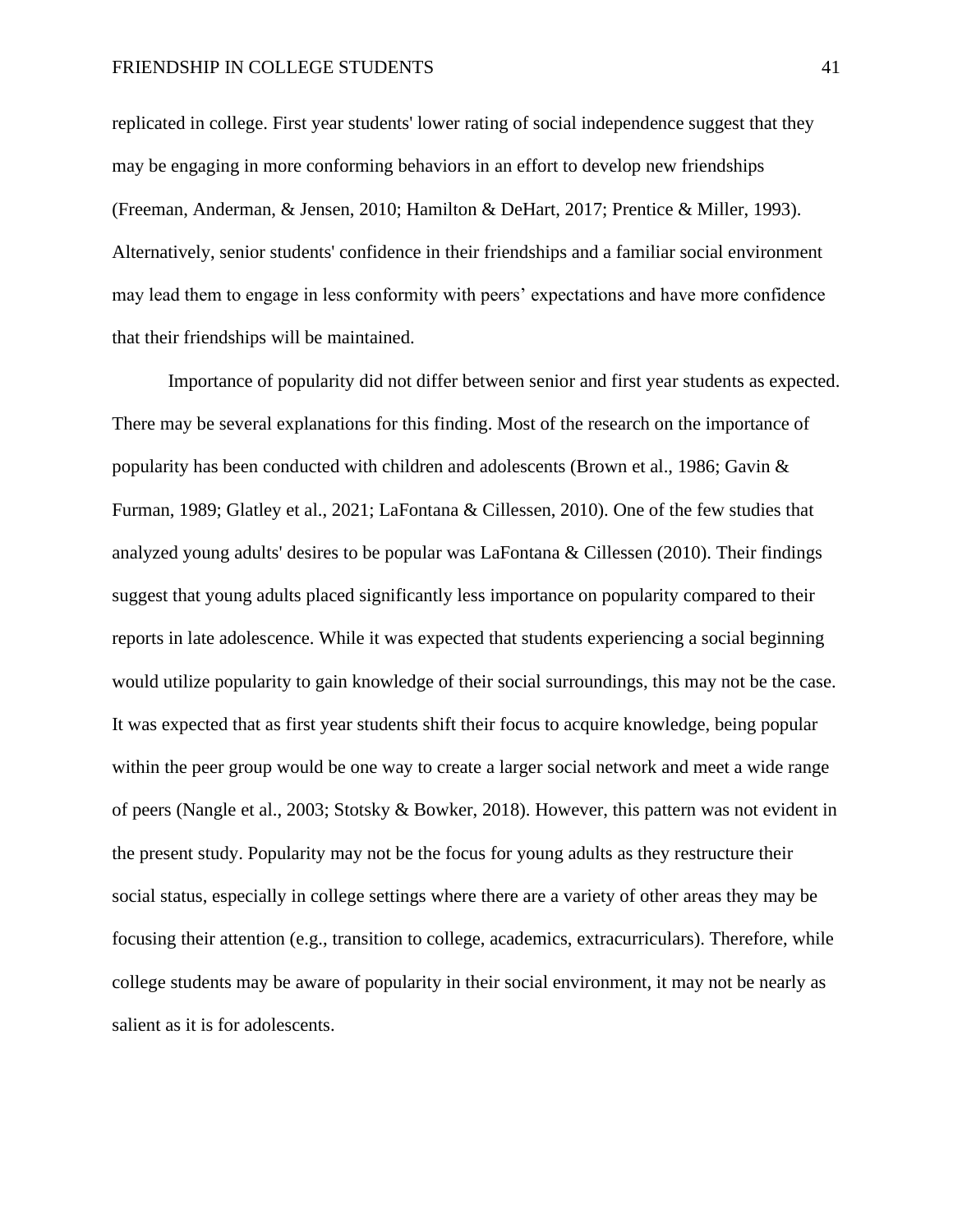replicated in college. First year students' lower rating of social independence suggest that they may be engaging in more conforming behaviors in an effort to develop new friendships (Freeman, Anderman, & Jensen, 2010; Hamilton & DeHart, 2017; Prentice & Miller, 1993). Alternatively, senior students' confidence in their friendships and a familiar social environment may lead them to engage in less conformity with peers' expectations and have more confidence that their friendships will be maintained.

Importance of popularity did not differ between senior and first year students as expected. There may be several explanations for this finding. Most of the research on the importance of popularity has been conducted with children and adolescents (Brown et al., 1986; Gavin & Furman, 1989; Glatley et al., 2021; LaFontana & Cillessen, 2010). One of the few studies that analyzed young adults' desires to be popular was LaFontana & Cillessen (2010). Their findings suggest that young adults placed significantly less importance on popularity compared to their reports in late adolescence. While it was expected that students experiencing a social beginning would utilize popularity to gain knowledge of their social surroundings, this may not be the case. It was expected that as first year students shift their focus to acquire knowledge, being popular within the peer group would be one way to create a larger social network and meet a wide range of peers (Nangle et al., 2003; Stotsky & Bowker, 2018). However, this pattern was not evident in the present study. Popularity may not be the focus for young adults as they restructure their social status, especially in college settings where there are a variety of other areas they may be focusing their attention (e.g., transition to college, academics, extracurriculars). Therefore, while college students may be aware of popularity in their social environment, it may not be nearly as salient as it is for adolescents.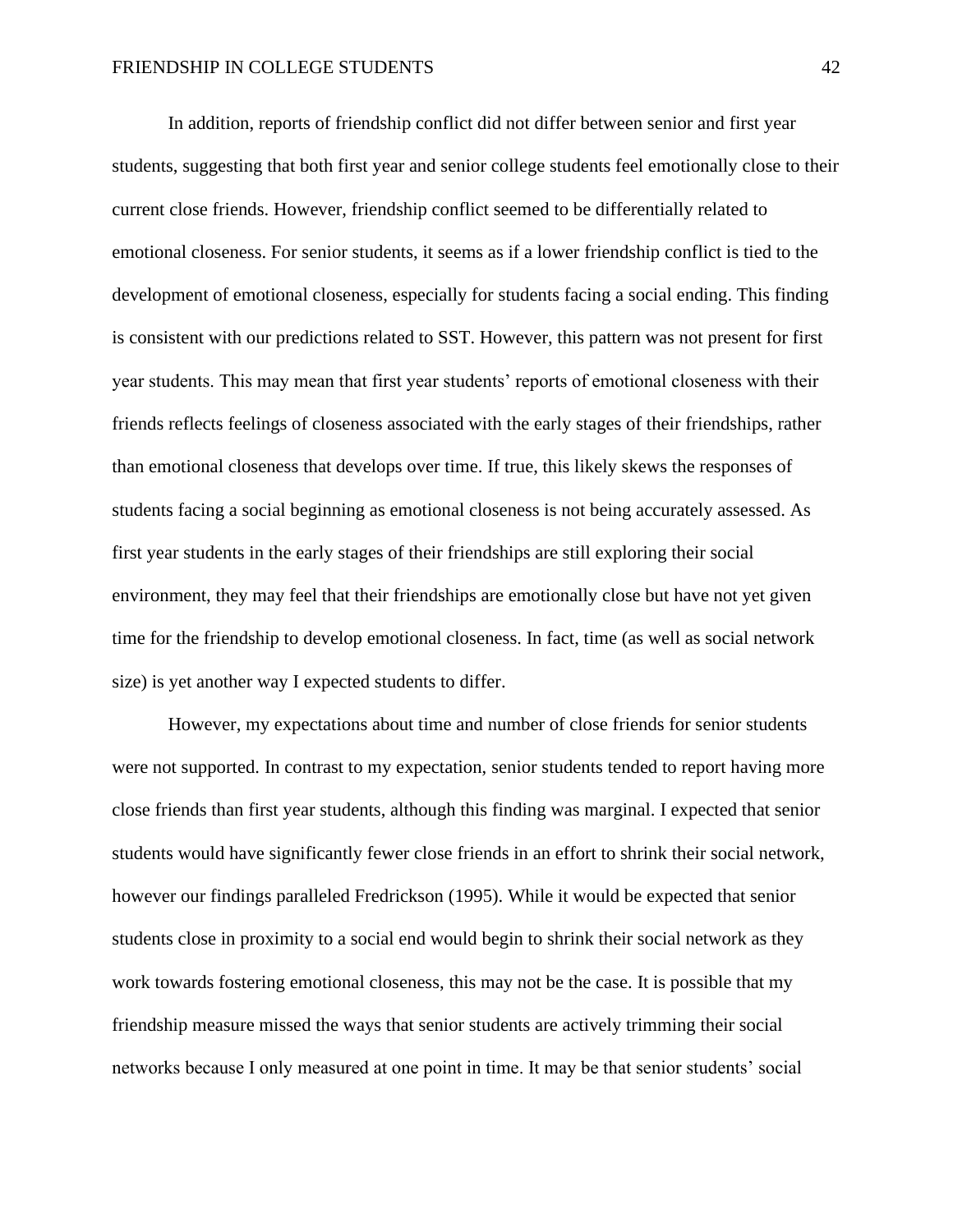In addition, reports of friendship conflict did not differ between senior and first year students, suggesting that both first year and senior college students feel emotionally close to their current close friends. However, friendship conflict seemed to be differentially related to emotional closeness. For senior students, it seems as if a lower friendship conflict is tied to the development of emotional closeness, especially for students facing a social ending. This finding is consistent with our predictions related to SST. However, this pattern was not present for first year students. This may mean that first year students' reports of emotional closeness with their friends reflects feelings of closeness associated with the early stages of their friendships, rather than emotional closeness that develops over time. If true, this likely skews the responses of students facing a social beginning as emotional closeness is not being accurately assessed. As first year students in the early stages of their friendships are still exploring their social environment, they may feel that their friendships are emotionally close but have not yet given time for the friendship to develop emotional closeness. In fact, time (as well as social network size) is yet another way I expected students to differ.

However, my expectations about time and number of close friends for senior students were not supported. In contrast to my expectation, senior students tended to report having more close friends than first year students, although this finding was marginal. I expected that senior students would have significantly fewer close friends in an effort to shrink their social network, however our findings paralleled Fredrickson (1995). While it would be expected that senior students close in proximity to a social end would begin to shrink their social network as they work towards fostering emotional closeness, this may not be the case. It is possible that my friendship measure missed the ways that senior students are actively trimming their social networks because I only measured at one point in time. It may be that senior students' social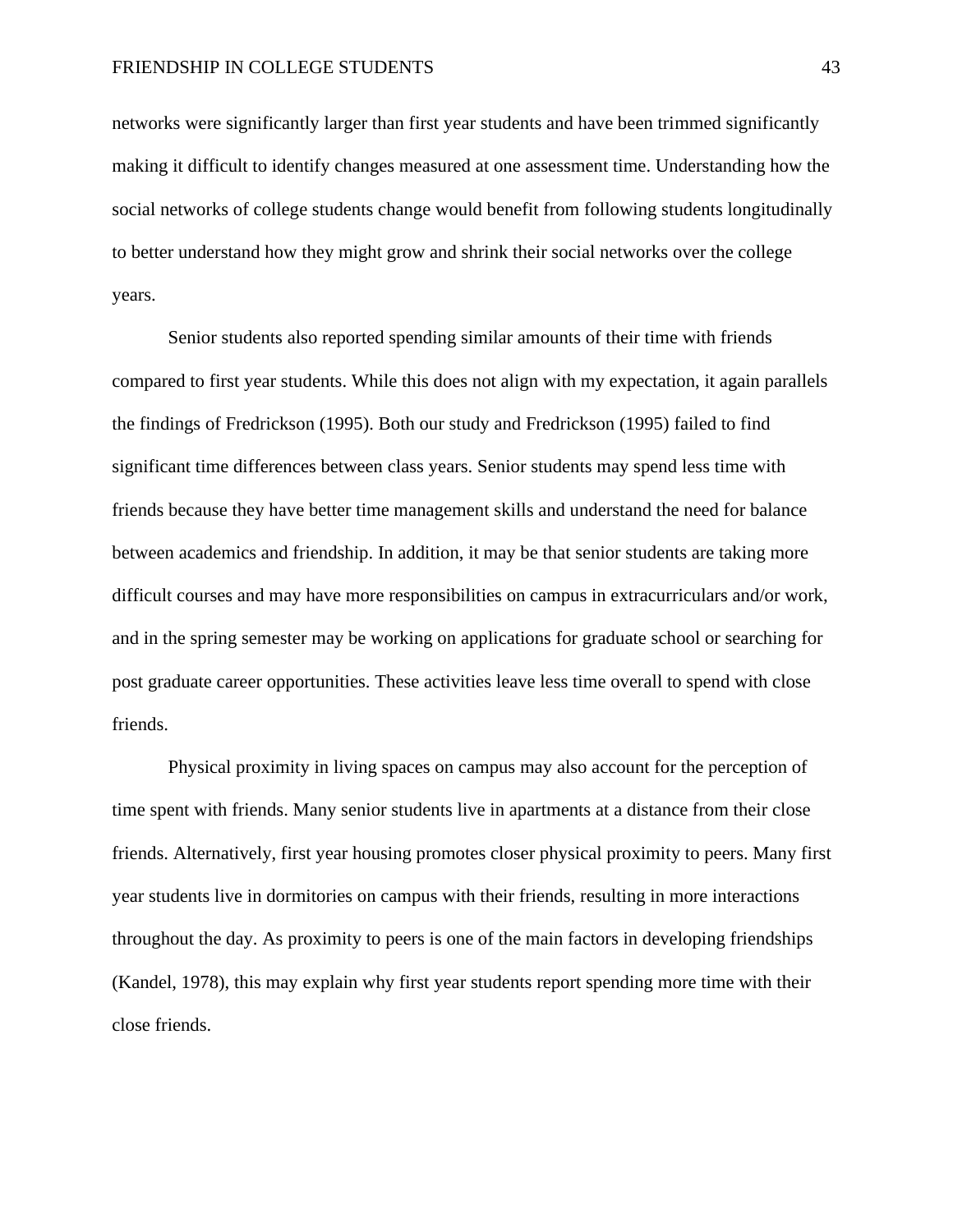networks were significantly larger than first year students and have been trimmed significantly making it difficult to identify changes measured at one assessment time. Understanding how the social networks of college students change would benefit from following students longitudinally to better understand how they might grow and shrink their social networks over the college years.

Senior students also reported spending similar amounts of their time with friends compared to first year students. While this does not align with my expectation, it again parallels the findings of Fredrickson (1995). Both our study and Fredrickson (1995) failed to find significant time differences between class years. Senior students may spend less time with friends because they have better time management skills and understand the need for balance between academics and friendship. In addition, it may be that senior students are taking more difficult courses and may have more responsibilities on campus in extracurriculars and/or work, and in the spring semester may be working on applications for graduate school or searching for post graduate career opportunities. These activities leave less time overall to spend with close friends.

Physical proximity in living spaces on campus may also account for the perception of time spent with friends. Many senior students live in apartments at a distance from their close friends. Alternatively, first year housing promotes closer physical proximity to peers. Many first year students live in dormitories on campus with their friends, resulting in more interactions throughout the day. As proximity to peers is one of the main factors in developing friendships (Kandel, 1978), this may explain why first year students report spending more time with their close friends.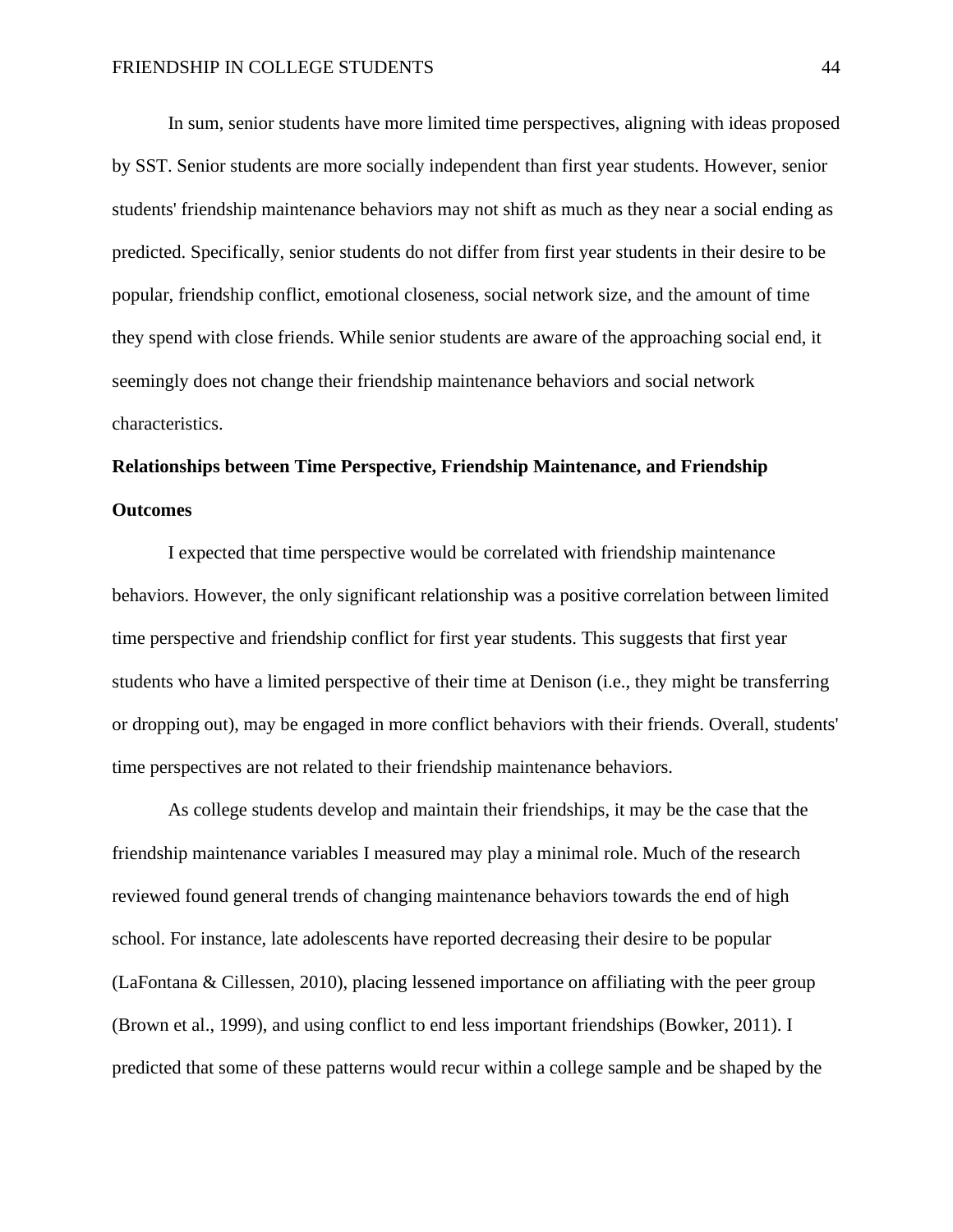In sum, senior students have more limited time perspectives, aligning with ideas proposed by SST. Senior students are more socially independent than first year students. However, senior students' friendship maintenance behaviors may not shift as much as they near a social ending as predicted. Specifically, senior students do not differ from first year students in their desire to be popular, friendship conflict, emotional closeness, social network size, and the amount of time they spend with close friends. While senior students are aware of the approaching social end, it seemingly does not change their friendship maintenance behaviors and social network characteristics.

# **Relationships between Time Perspective, Friendship Maintenance, and Friendship Outcomes**

I expected that time perspective would be correlated with friendship maintenance behaviors. However, the only significant relationship was a positive correlation between limited time perspective and friendship conflict for first year students. This suggests that first year students who have a limited perspective of their time at Denison (i.e., they might be transferring or dropping out), may be engaged in more conflict behaviors with their friends. Overall, students' time perspectives are not related to their friendship maintenance behaviors.

As college students develop and maintain their friendships, it may be the case that the friendship maintenance variables I measured may play a minimal role. Much of the research reviewed found general trends of changing maintenance behaviors towards the end of high school. For instance, late adolescents have reported decreasing their desire to be popular (LaFontana & Cillessen, 2010), placing lessened importance on affiliating with the peer group (Brown et al., 1999), and using conflict to end less important friendships (Bowker, 2011). I predicted that some of these patterns would recur within a college sample and be shaped by the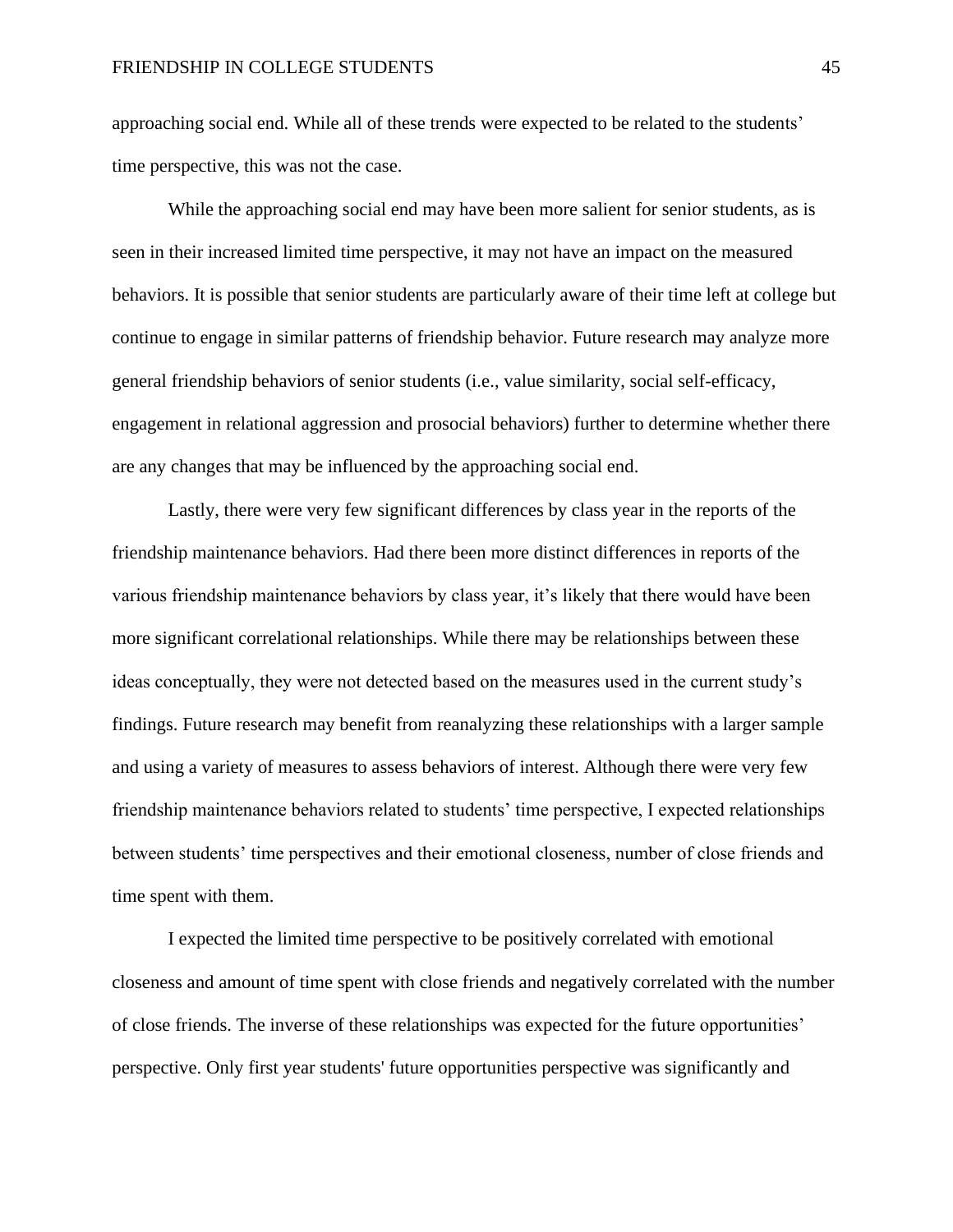approaching social end. While all of these trends were expected to be related to the students' time perspective, this was not the case.

While the approaching social end may have been more salient for senior students, as is seen in their increased limited time perspective, it may not have an impact on the measured behaviors. It is possible that senior students are particularly aware of their time left at college but continue to engage in similar patterns of friendship behavior. Future research may analyze more general friendship behaviors of senior students (i.e., value similarity, social self-efficacy, engagement in relational aggression and prosocial behaviors) further to determine whether there are any changes that may be influenced by the approaching social end.

Lastly, there were very few significant differences by class year in the reports of the friendship maintenance behaviors. Had there been more distinct differences in reports of the various friendship maintenance behaviors by class year, it's likely that there would have been more significant correlational relationships. While there may be relationships between these ideas conceptually, they were not detected based on the measures used in the current study's findings. Future research may benefit from reanalyzing these relationships with a larger sample and using a variety of measures to assess behaviors of interest. Although there were very few friendship maintenance behaviors related to students' time perspective, I expected relationships between students' time perspectives and their emotional closeness, number of close friends and time spent with them.

I expected the limited time perspective to be positively correlated with emotional closeness and amount of time spent with close friends and negatively correlated with the number of close friends. The inverse of these relationships was expected for the future opportunities' perspective. Only first year students' future opportunities perspective was significantly and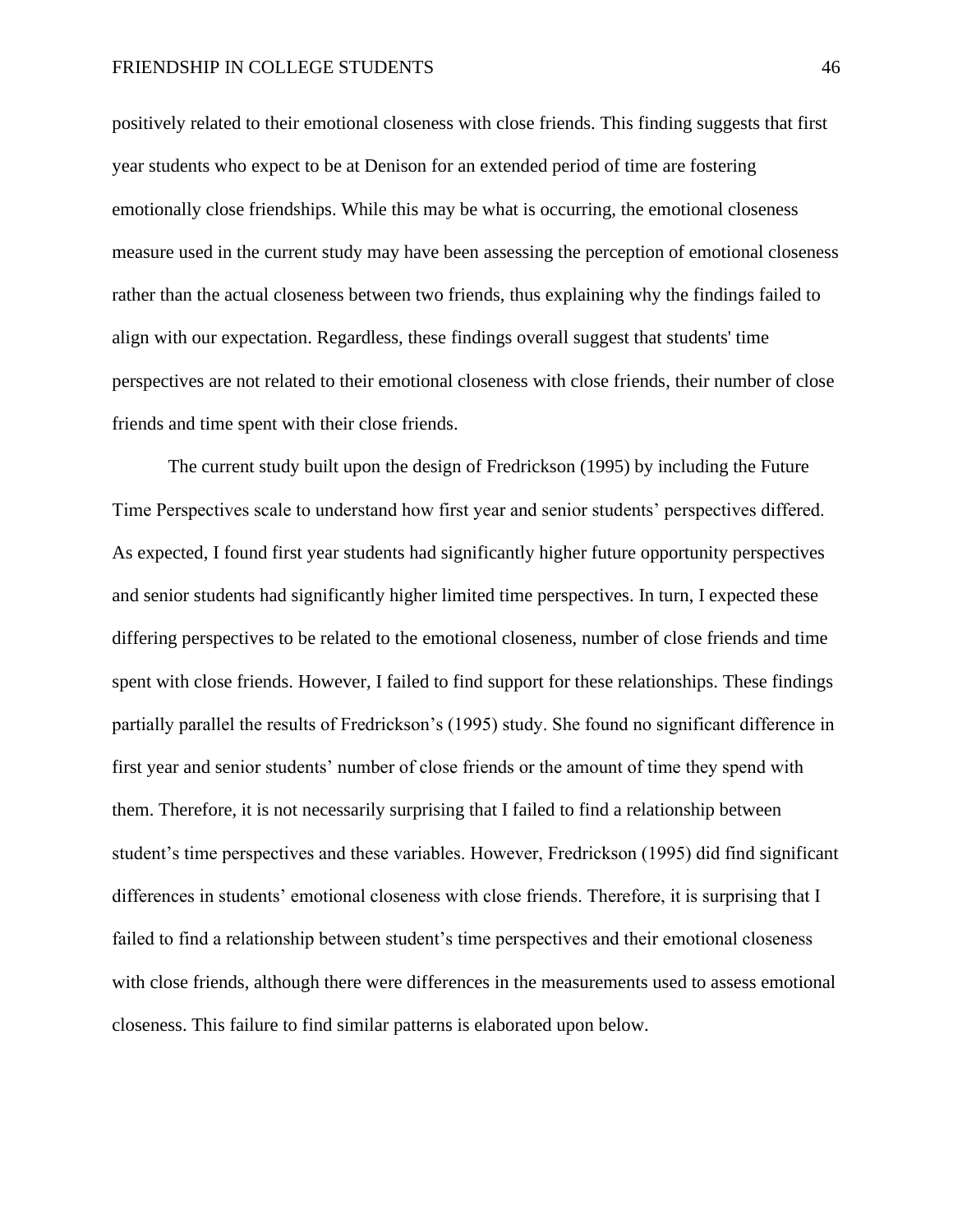positively related to their emotional closeness with close friends. This finding suggests that first year students who expect to be at Denison for an extended period of time are fostering emotionally close friendships. While this may be what is occurring, the emotional closeness measure used in the current study may have been assessing the perception of emotional closeness rather than the actual closeness between two friends, thus explaining why the findings failed to align with our expectation. Regardless, these findings overall suggest that students' time perspectives are not related to their emotional closeness with close friends, their number of close friends and time spent with their close friends.

The current study built upon the design of Fredrickson (1995) by including the Future Time Perspectives scale to understand how first year and senior students' perspectives differed. As expected, I found first year students had significantly higher future opportunity perspectives and senior students had significantly higher limited time perspectives. In turn, I expected these differing perspectives to be related to the emotional closeness, number of close friends and time spent with close friends. However, I failed to find support for these relationships. These findings partially parallel the results of Fredrickson's (1995) study. She found no significant difference in first year and senior students' number of close friends or the amount of time they spend with them. Therefore, it is not necessarily surprising that I failed to find a relationship between student's time perspectives and these variables. However, Fredrickson (1995) did find significant differences in students' emotional closeness with close friends. Therefore, it is surprising that I failed to find a relationship between student's time perspectives and their emotional closeness with close friends, although there were differences in the measurements used to assess emotional closeness. This failure to find similar patterns is elaborated upon below.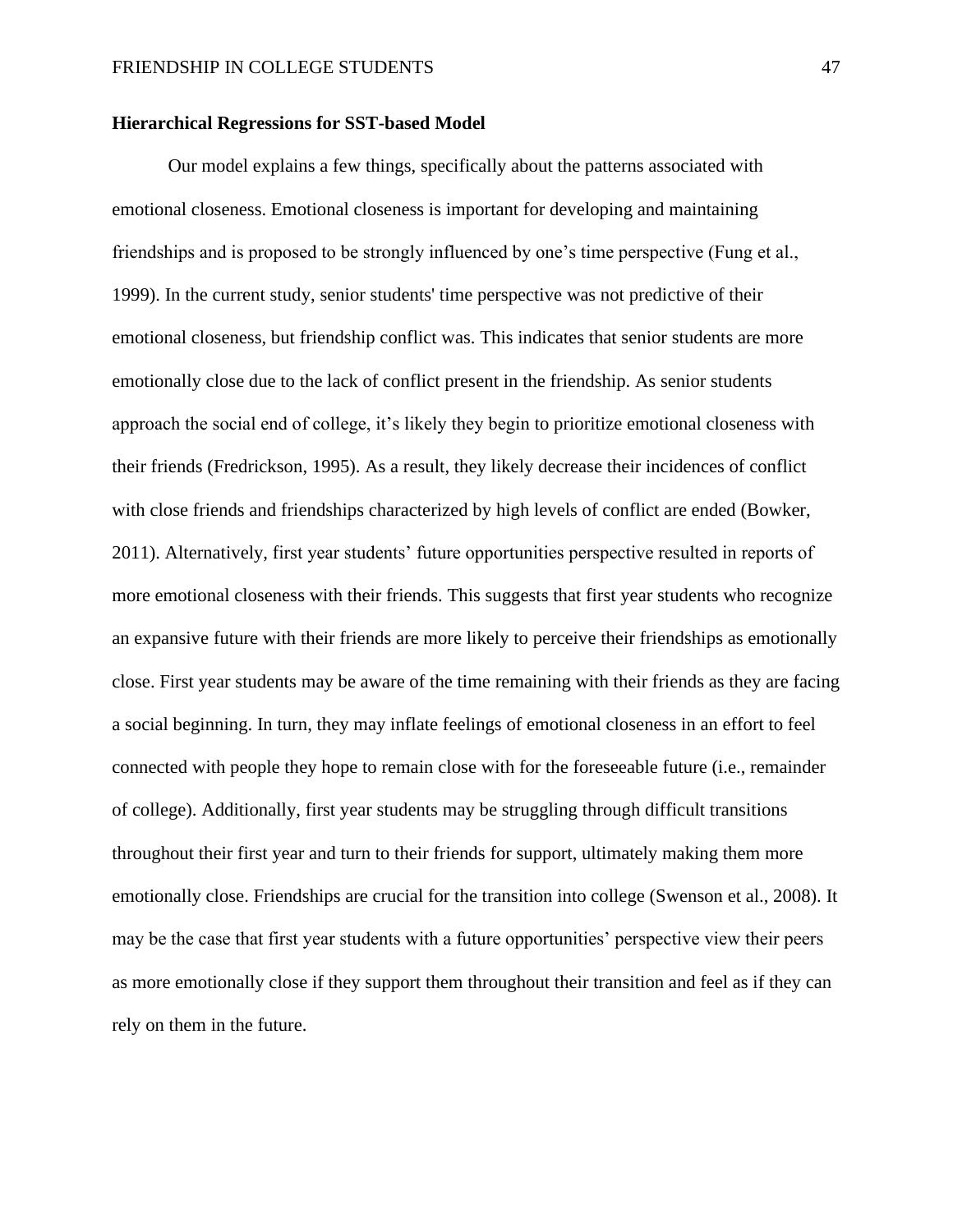#### **Hierarchical Regressions for SST-based Model**

Our model explains a few things, specifically about the patterns associated with emotional closeness. Emotional closeness is important for developing and maintaining friendships and is proposed to be strongly influenced by one's time perspective (Fung et al., 1999). In the current study, senior students' time perspective was not predictive of their emotional closeness, but friendship conflict was. This indicates that senior students are more emotionally close due to the lack of conflict present in the friendship. As senior students approach the social end of college, it's likely they begin to prioritize emotional closeness with their friends (Fredrickson, 1995). As a result, they likely decrease their incidences of conflict with close friends and friendships characterized by high levels of conflict are ended (Bowker, 2011). Alternatively, first year students' future opportunities perspective resulted in reports of more emotional closeness with their friends. This suggests that first year students who recognize an expansive future with their friends are more likely to perceive their friendships as emotionally close. First year students may be aware of the time remaining with their friends as they are facing a social beginning. In turn, they may inflate feelings of emotional closeness in an effort to feel connected with people they hope to remain close with for the foreseeable future (i.e., remainder of college). Additionally, first year students may be struggling through difficult transitions throughout their first year and turn to their friends for support, ultimately making them more emotionally close. Friendships are crucial for the transition into college (Swenson et al., 2008). It may be the case that first year students with a future opportunities' perspective view their peers as more emotionally close if they support them throughout their transition and feel as if they can rely on them in the future.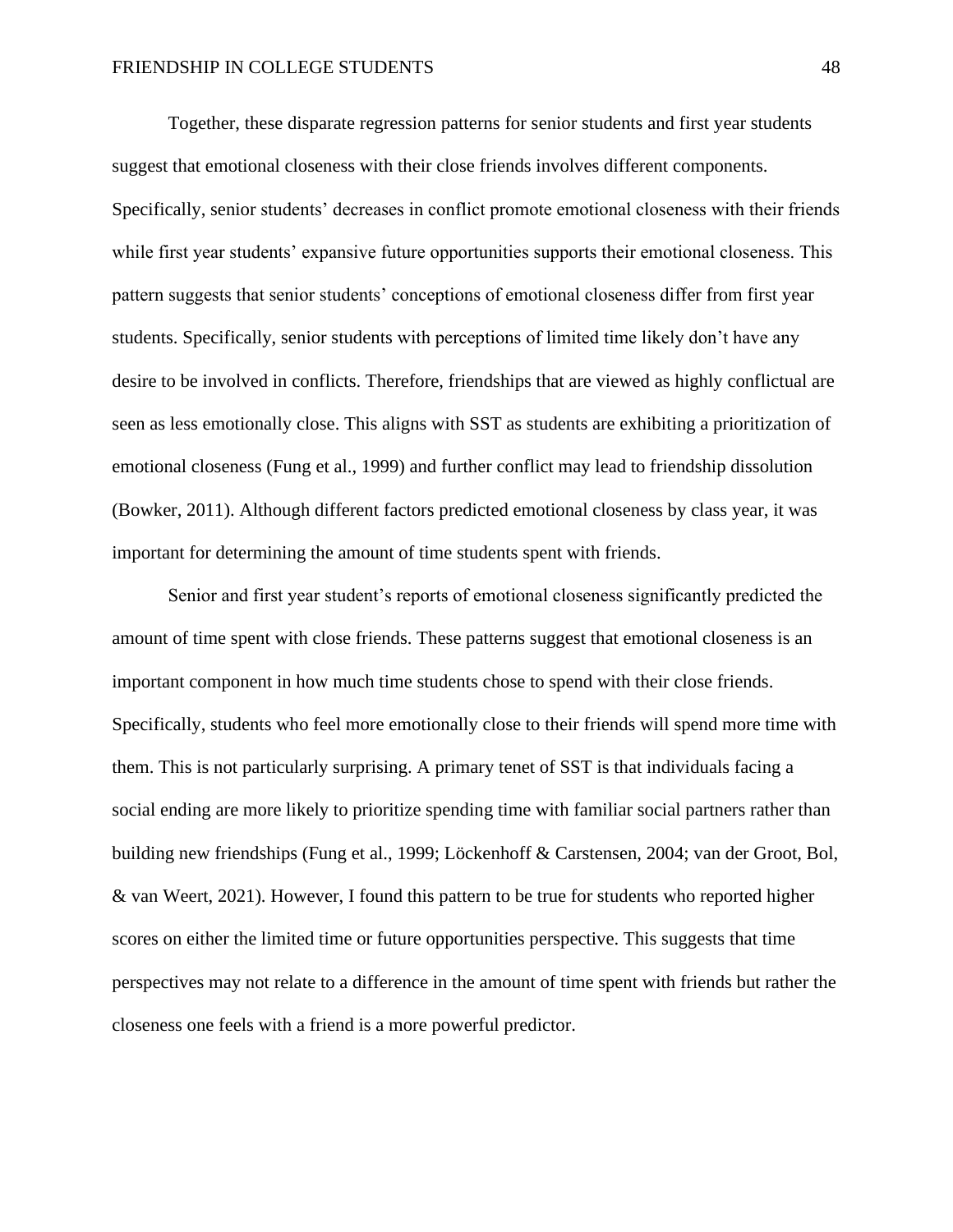Together, these disparate regression patterns for senior students and first year students suggest that emotional closeness with their close friends involves different components. Specifically, senior students' decreases in conflict promote emotional closeness with their friends while first year students' expansive future opportunities supports their emotional closeness. This pattern suggests that senior students' conceptions of emotional closeness differ from first year students. Specifically, senior students with perceptions of limited time likely don't have any desire to be involved in conflicts. Therefore, friendships that are viewed as highly conflictual are seen as less emotionally close. This aligns with SST as students are exhibiting a prioritization of emotional closeness (Fung et al., 1999) and further conflict may lead to friendship dissolution (Bowker, 2011). Although different factors predicted emotional closeness by class year, it was important for determining the amount of time students spent with friends.

Senior and first year student's reports of emotional closeness significantly predicted the amount of time spent with close friends. These patterns suggest that emotional closeness is an important component in how much time students chose to spend with their close friends. Specifically, students who feel more emotionally close to their friends will spend more time with them. This is not particularly surprising. A primary tenet of SST is that individuals facing a social ending are more likely to prioritize spending time with familiar social partners rather than building new friendships (Fung et al., 1999; Löckenhoff & Carstensen, 2004; van der Groot, Bol, & van Weert, 2021). However, I found this pattern to be true for students who reported higher scores on either the limited time or future opportunities perspective. This suggests that time perspectives may not relate to a difference in the amount of time spent with friends but rather the closeness one feels with a friend is a more powerful predictor.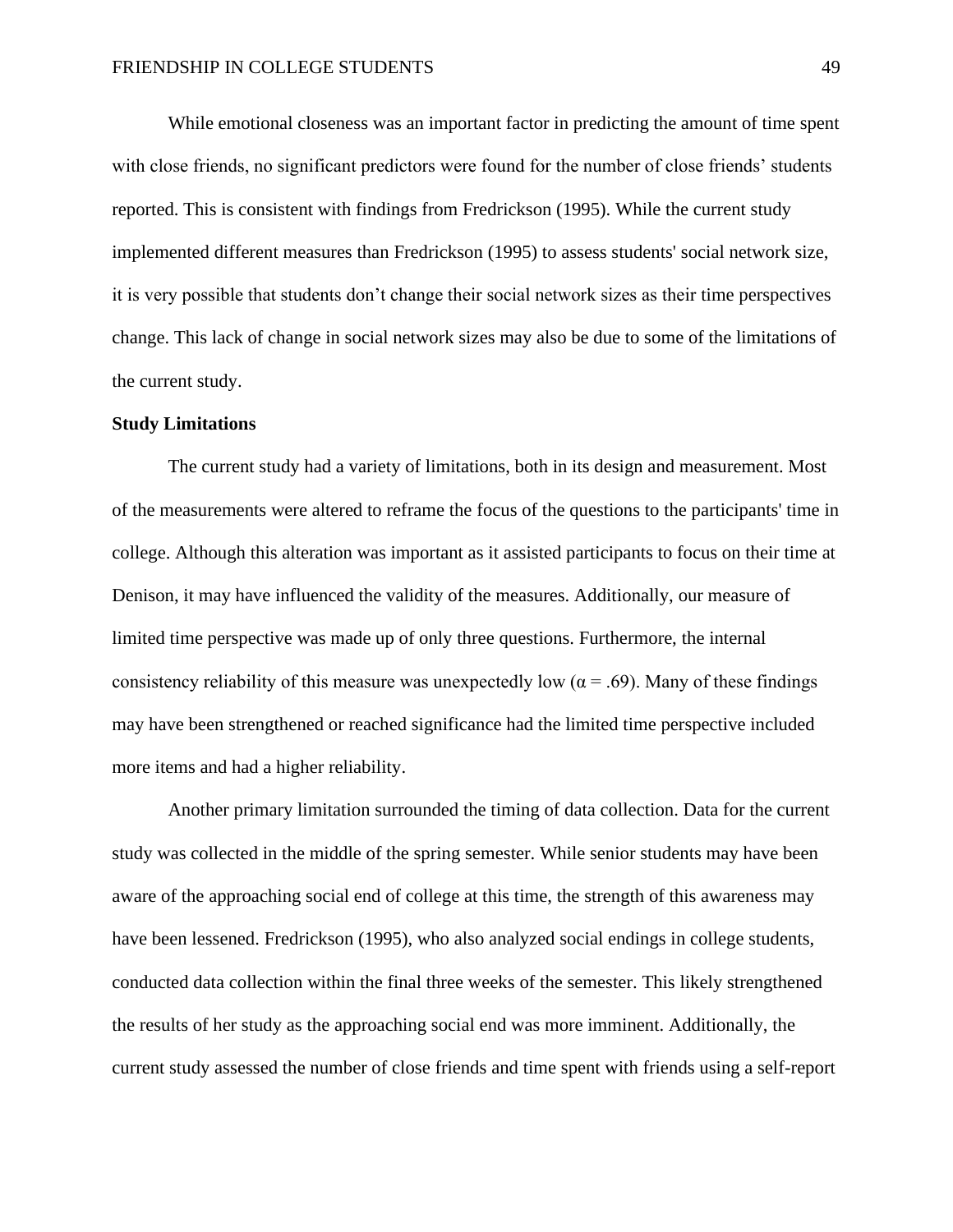While emotional closeness was an important factor in predicting the amount of time spent with close friends, no significant predictors were found for the number of close friends' students reported. This is consistent with findings from Fredrickson (1995). While the current study implemented different measures than Fredrickson (1995) to assess students' social network size, it is very possible that students don't change their social network sizes as their time perspectives change. This lack of change in social network sizes may also be due to some of the limitations of the current study.

#### **Study Limitations**

The current study had a variety of limitations, both in its design and measurement. Most of the measurements were altered to reframe the focus of the questions to the participants' time in college. Although this alteration was important as it assisted participants to focus on their time at Denison, it may have influenced the validity of the measures. Additionally, our measure of limited time perspective was made up of only three questions. Furthermore, the internal consistency reliability of this measure was unexpectedly low ( $\alpha$  = .69). Many of these findings may have been strengthened or reached significance had the limited time perspective included more items and had a higher reliability.

Another primary limitation surrounded the timing of data collection. Data for the current study was collected in the middle of the spring semester. While senior students may have been aware of the approaching social end of college at this time, the strength of this awareness may have been lessened. Fredrickson (1995), who also analyzed social endings in college students, conducted data collection within the final three weeks of the semester. This likely strengthened the results of her study as the approaching social end was more imminent. Additionally, the current study assessed the number of close friends and time spent with friends using a self-report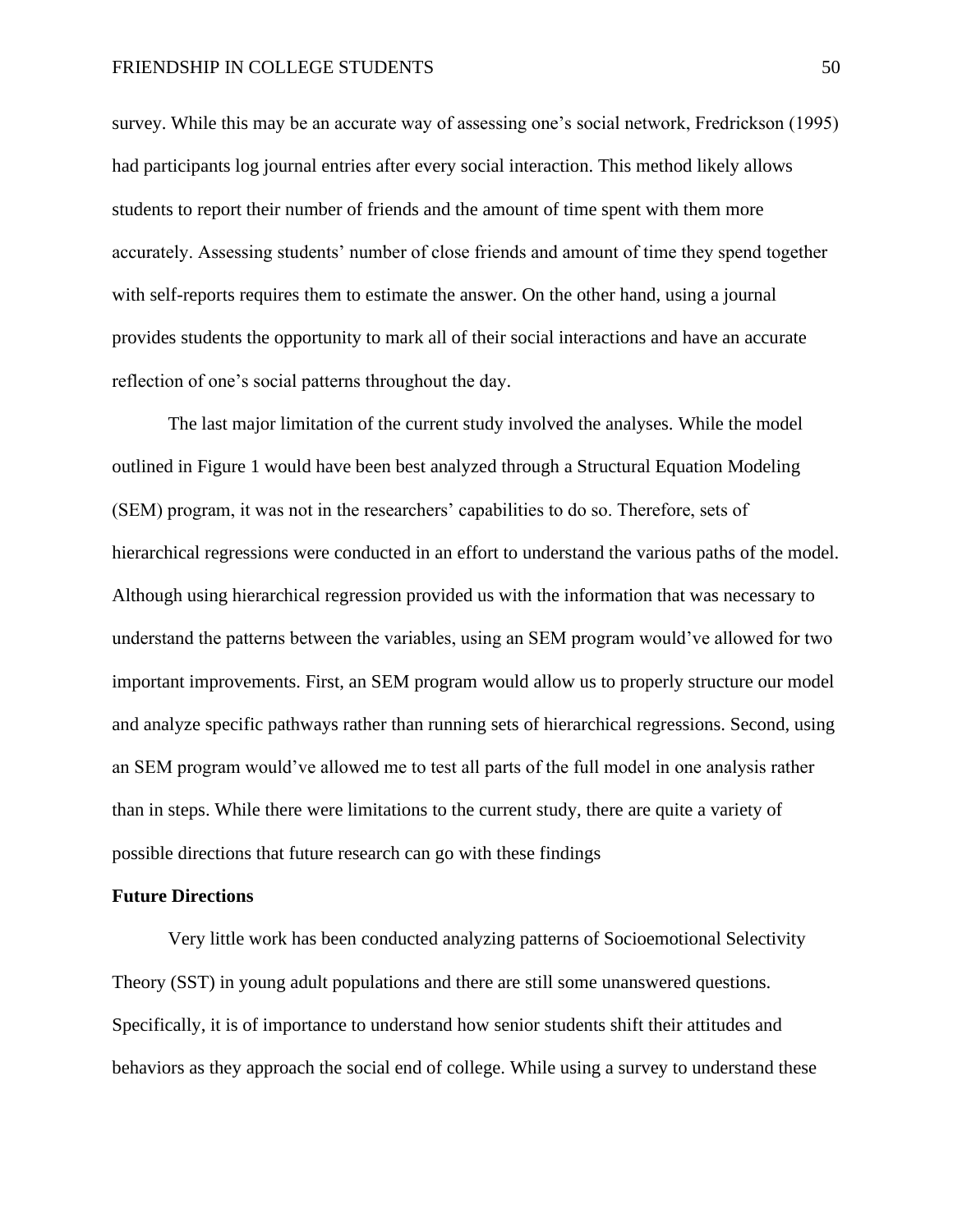survey. While this may be an accurate way of assessing one's social network, Fredrickson (1995) had participants log journal entries after every social interaction. This method likely allows students to report their number of friends and the amount of time spent with them more accurately. Assessing students' number of close friends and amount of time they spend together with self-reports requires them to estimate the answer. On the other hand, using a journal provides students the opportunity to mark all of their social interactions and have an accurate reflection of one's social patterns throughout the day.

The last major limitation of the current study involved the analyses. While the model outlined in Figure 1 would have been best analyzed through a Structural Equation Modeling (SEM) program, it was not in the researchers' capabilities to do so. Therefore, sets of hierarchical regressions were conducted in an effort to understand the various paths of the model. Although using hierarchical regression provided us with the information that was necessary to understand the patterns between the variables, using an SEM program would've allowed for two important improvements. First, an SEM program would allow us to properly structure our model and analyze specific pathways rather than running sets of hierarchical regressions. Second, using an SEM program would've allowed me to test all parts of the full model in one analysis rather than in steps. While there were limitations to the current study, there are quite a variety of possible directions that future research can go with these findings

#### **Future Directions**

Very little work has been conducted analyzing patterns of Socioemotional Selectivity Theory (SST) in young adult populations and there are still some unanswered questions. Specifically, it is of importance to understand how senior students shift their attitudes and behaviors as they approach the social end of college. While using a survey to understand these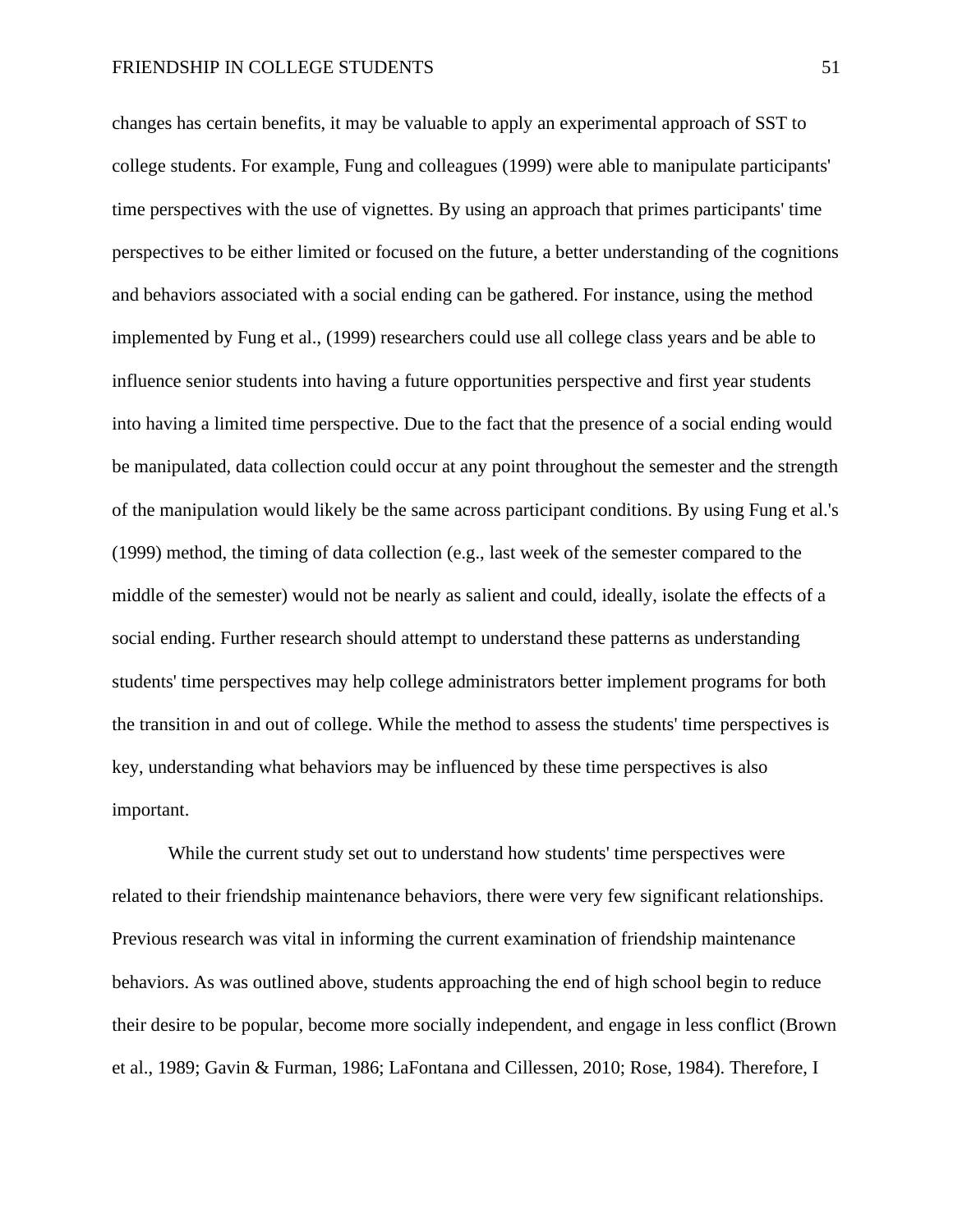changes has certain benefits, it may be valuable to apply an experimental approach of SST to college students. For example, Fung and colleagues (1999) were able to manipulate participants' time perspectives with the use of vignettes. By using an approach that primes participants' time perspectives to be either limited or focused on the future, a better understanding of the cognitions and behaviors associated with a social ending can be gathered. For instance, using the method implemented by Fung et al., (1999) researchers could use all college class years and be able to influence senior students into having a future opportunities perspective and first year students into having a limited time perspective. Due to the fact that the presence of a social ending would be manipulated, data collection could occur at any point throughout the semester and the strength of the manipulation would likely be the same across participant conditions. By using Fung et al.'s (1999) method, the timing of data collection (e.g., last week of the semester compared to the middle of the semester) would not be nearly as salient and could, ideally, isolate the effects of a social ending. Further research should attempt to understand these patterns as understanding students' time perspectives may help college administrators better implement programs for both the transition in and out of college. While the method to assess the students' time perspectives is key, understanding what behaviors may be influenced by these time perspectives is also important.

While the current study set out to understand how students' time perspectives were related to their friendship maintenance behaviors, there were very few significant relationships. Previous research was vital in informing the current examination of friendship maintenance behaviors. As was outlined above, students approaching the end of high school begin to reduce their desire to be popular, become more socially independent, and engage in less conflict (Brown et al., 1989; Gavin & Furman, 1986; LaFontana and Cillessen, 2010; Rose, 1984). Therefore, I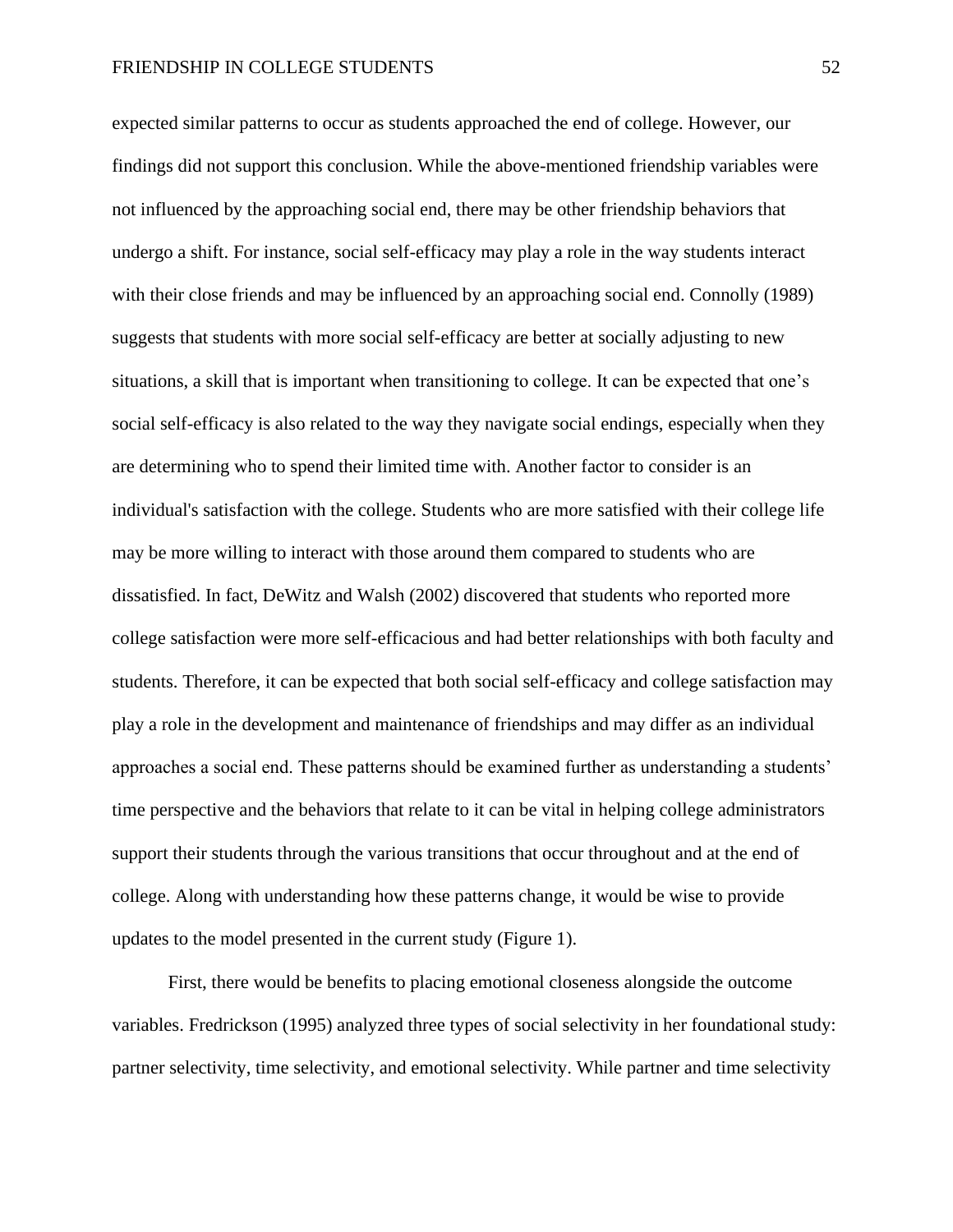expected similar patterns to occur as students approached the end of college. However, our findings did not support this conclusion. While the above-mentioned friendship variables were not influenced by the approaching social end, there may be other friendship behaviors that undergo a shift. For instance, social self-efficacy may play a role in the way students interact with their close friends and may be influenced by an approaching social end. Connolly (1989) suggests that students with more social self-efficacy are better at socially adjusting to new situations, a skill that is important when transitioning to college. It can be expected that one's social self-efficacy is also related to the way they navigate social endings, especially when they are determining who to spend their limited time with. Another factor to consider is an individual's satisfaction with the college. Students who are more satisfied with their college life may be more willing to interact with those around them compared to students who are dissatisfied. In fact, DeWitz and Walsh (2002) discovered that students who reported more college satisfaction were more self-efficacious and had better relationships with both faculty and students. Therefore, it can be expected that both social self-efficacy and college satisfaction may play a role in the development and maintenance of friendships and may differ as an individual approaches a social end. These patterns should be examined further as understanding a students' time perspective and the behaviors that relate to it can be vital in helping college administrators support their students through the various transitions that occur throughout and at the end of college. Along with understanding how these patterns change, it would be wise to provide updates to the model presented in the current study (Figure 1).

First, there would be benefits to placing emotional closeness alongside the outcome variables. Fredrickson (1995) analyzed three types of social selectivity in her foundational study: partner selectivity, time selectivity, and emotional selectivity. While partner and time selectivity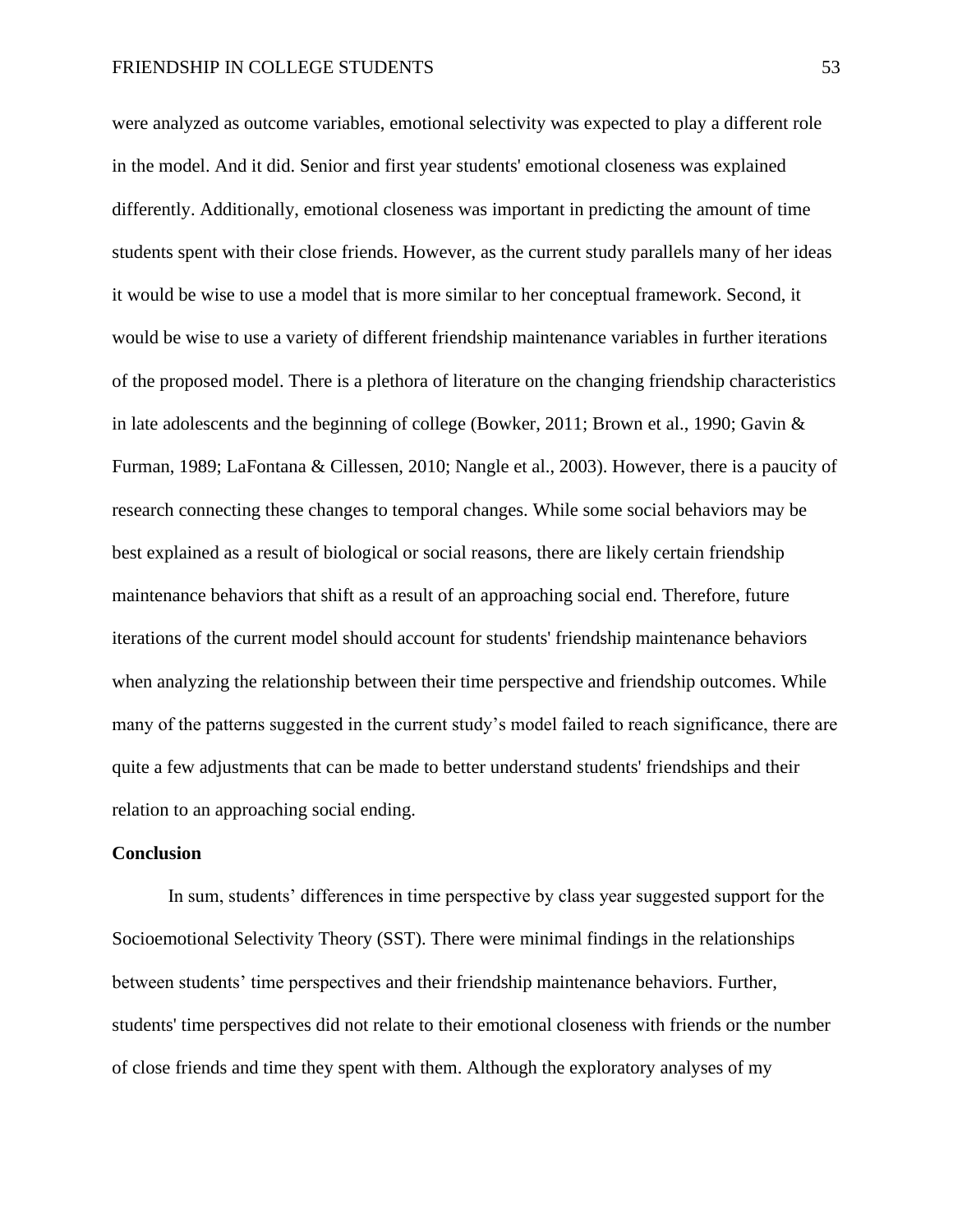were analyzed as outcome variables, emotional selectivity was expected to play a different role in the model. And it did. Senior and first year students' emotional closeness was explained differently. Additionally, emotional closeness was important in predicting the amount of time students spent with their close friends. However, as the current study parallels many of her ideas it would be wise to use a model that is more similar to her conceptual framework. Second, it would be wise to use a variety of different friendship maintenance variables in further iterations of the proposed model. There is a plethora of literature on the changing friendship characteristics in late adolescents and the beginning of college (Bowker, 2011; Brown et al., 1990; Gavin & Furman, 1989; LaFontana & Cillessen, 2010; Nangle et al., 2003). However, there is a paucity of research connecting these changes to temporal changes. While some social behaviors may be best explained as a result of biological or social reasons, there are likely certain friendship maintenance behaviors that shift as a result of an approaching social end. Therefore, future iterations of the current model should account for students' friendship maintenance behaviors when analyzing the relationship between their time perspective and friendship outcomes. While many of the patterns suggested in the current study's model failed to reach significance, there are quite a few adjustments that can be made to better understand students' friendships and their relation to an approaching social ending.

#### **Conclusion**

In sum, students' differences in time perspective by class year suggested support for the Socioemotional Selectivity Theory (SST). There were minimal findings in the relationships between students' time perspectives and their friendship maintenance behaviors. Further, students' time perspectives did not relate to their emotional closeness with friends or the number of close friends and time they spent with them. Although the exploratory analyses of my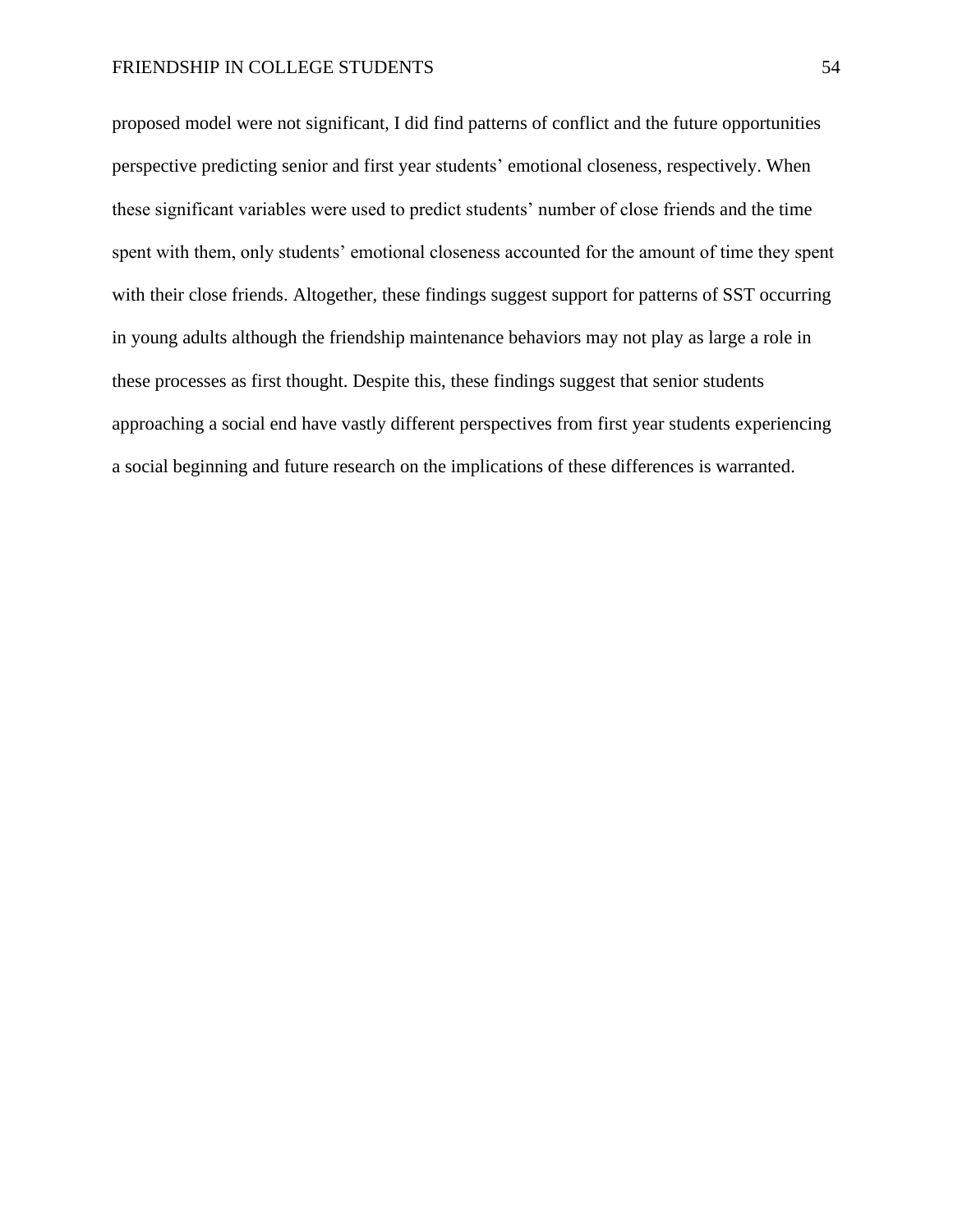proposed model were not significant, I did find patterns of conflict and the future opportunities perspective predicting senior and first year students' emotional closeness, respectively. When these significant variables were used to predict students' number of close friends and the time spent with them, only students' emotional closeness accounted for the amount of time they spent with their close friends. Altogether, these findings suggest support for patterns of SST occurring in young adults although the friendship maintenance behaviors may not play as large a role in these processes as first thought. Despite this, these findings suggest that senior students approaching a social end have vastly different perspectives from first year students experiencing a social beginning and future research on the implications of these differences is warranted.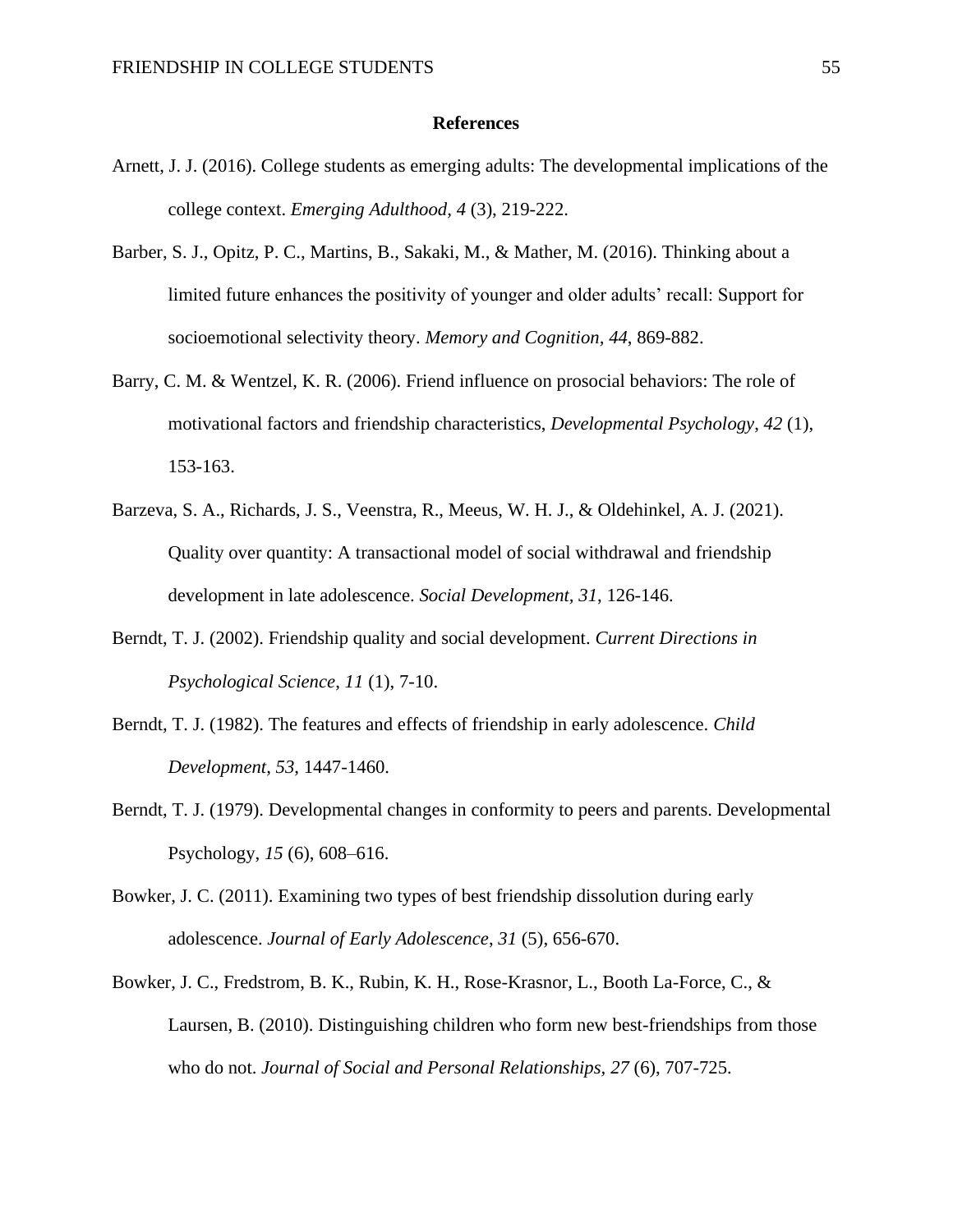#### **References**

- Arnett, J. J. (2016). College students as emerging adults: The developmental implications of the college context. *Emerging Adulthood, 4* (3), 219-222.
- Barber, S. J., Opitz, P. C., Martins, B., Sakaki, M., & Mather, M. (2016). Thinking about a limited future enhances the positivity of younger and older adults' recall: Support for socioemotional selectivity theory. *Memory and Cognition, 44*, 869-882.
- Barry, C. M. & Wentzel, K. R. (2006). Friend influence on prosocial behaviors: The role of motivational factors and friendship characteristics, *Developmental Psychology*, *42* (1), 153-163.
- Barzeva, S. A., Richards, J. S., Veenstra, R., Meeus, W. H. J., & Oldehinkel, A. J. (2021). Quality over quantity: A transactional model of social withdrawal and friendship development in late adolescence. *Social Development, 31*, 126-146.
- Berndt, T. J. (2002). Friendship quality and social development. *Current Directions in Psychological Science*, *11* (1), 7-10.
- Berndt, T. J. (1982). The features and effects of friendship in early adolescence. *Child Development*, *53*, 1447-1460.
- Berndt, T. J. (1979). Developmental changes in conformity to peers and parents. Developmental Psychology, *15* (6), 608–616.
- Bowker, J. C. (2011). Examining two types of best friendship dissolution during early adolescence. *Journal of Early Adolescence*, *31* (5), 656-670.
- Bowker, J. C., Fredstrom, B. K., Rubin, K. H., Rose-Krasnor, L., Booth La-Force, C., & Laursen, B. (2010). Distinguishing children who form new best-friendships from those who do not. *Journal of Social and Personal Relationships, 27* (6), 707-725.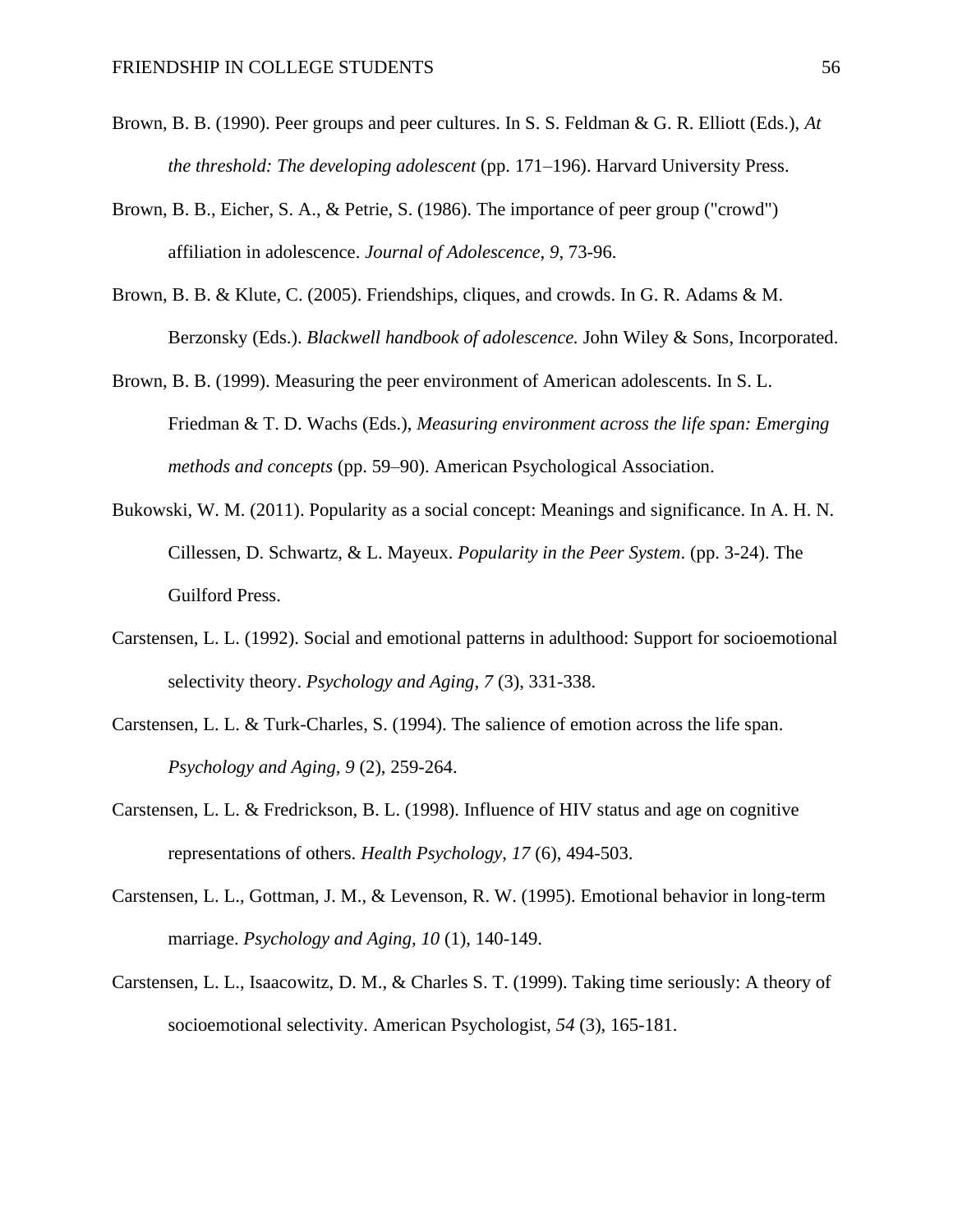- Brown, B. B. (1990). Peer groups and peer cultures. In S. S. Feldman & G. R. Elliott (Eds.), *At the threshold: The developing adolescent* (pp. 171–196). Harvard University Press.
- Brown, B. B., Eicher, S. A., & Petrie, S. (1986). The importance of peer group ("crowd") affiliation in adolescence. *Journal of Adolescence*, *9*, 73-96.
- Brown, B. B. & Klute, C. (2005). Friendships, cliques, and crowds. In G. R. Adams & M. Berzonsky (Eds.). *Blackwell handbook of adolescence.* John Wiley & Sons, Incorporated.
- Brown, B. B. (1999). Measuring the peer environment of American adolescents. In S. L. Friedman & T. D. Wachs (Eds.), *Measuring environment across the life span: Emerging methods and concepts* (pp. 59–90). American Psychological Association.
- Bukowski, W. M. (2011). Popularity as a social concept: Meanings and significance. In A. H. N. Cillessen, D. Schwartz, & L. Mayeux. *Popularity in the Peer System*. (pp. 3-24). The Guilford Press.
- Carstensen, L. L. (1992). Social and emotional patterns in adulthood: Support for socioemotional selectivity theory. *Psychology and Aging, 7* (3), 331-338.
- Carstensen, L. L. & Turk-Charles, S. (1994). The salience of emotion across the life span. *Psychology and Aging, 9* (2), 259-264.
- Carstensen, L. L. & Fredrickson, B. L. (1998). Influence of HIV status and age on cognitive representations of others. *Health Psychology*, *17* (6), 494-503.
- Carstensen, L. L., Gottman, J. M., & Levenson, R. W. (1995). Emotional behavior in long-term marriage. *Psychology and Aging, 10* (1), 140-149.
- Carstensen, L. L., Isaacowitz, D. M., & Charles S. T. (1999). Taking time seriously: A theory of socioemotional selectivity. American Psychologist, *54* (3), 165-181.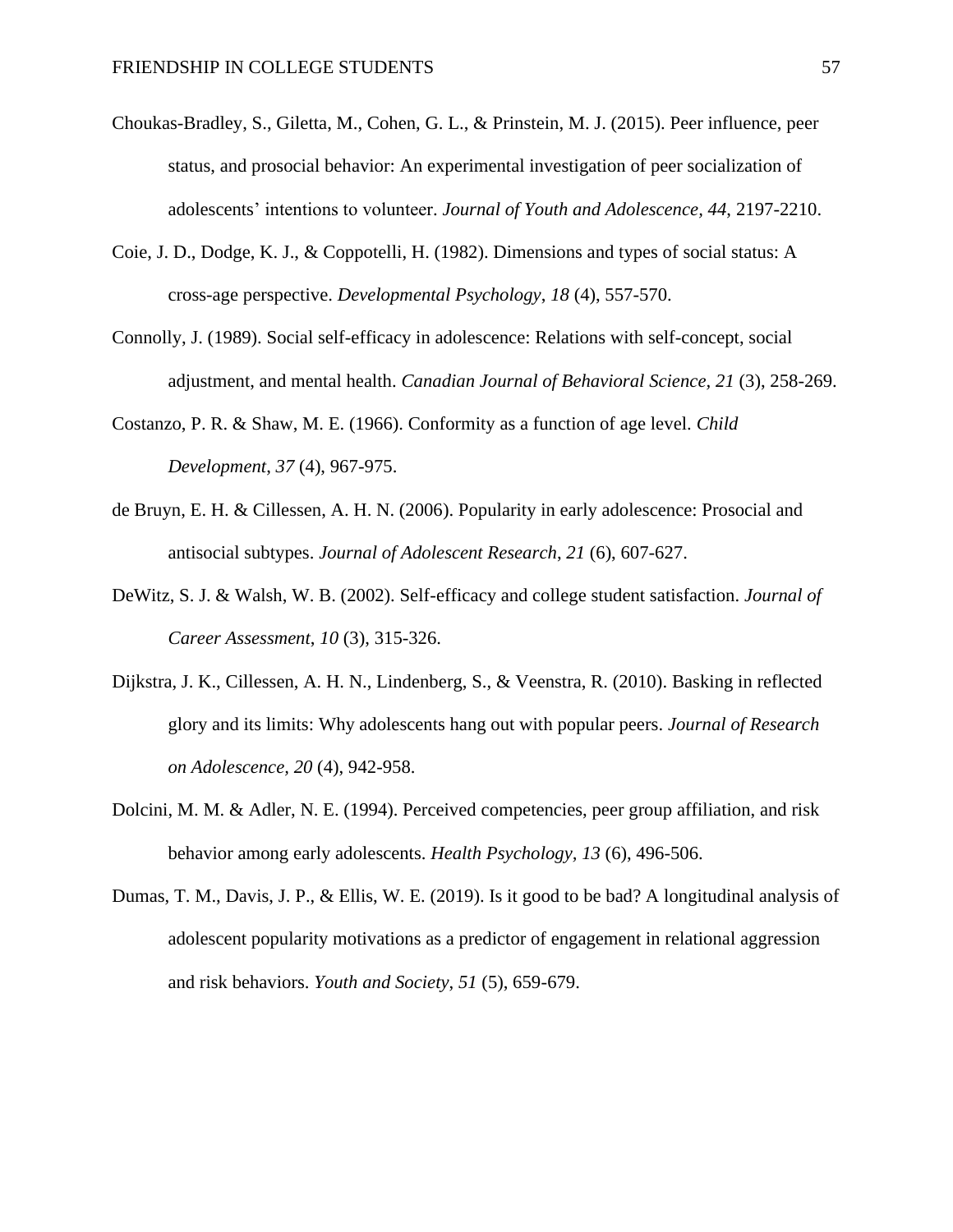- Choukas-Bradley, S., Giletta, M., Cohen, G. L., & Prinstein, M. J. (2015). Peer influence, peer status, and prosocial behavior: An experimental investigation of peer socialization of adolescents' intentions to volunteer. *Journal of Youth and Adolescence, 44*, 2197-2210.
- Coie, J. D., Dodge, K. J., & Coppotelli, H. (1982). Dimensions and types of social status: A cross-age perspective. *Developmental Psychology*, *18* (4), 557-570.
- Connolly, J. (1989). Social self-efficacy in adolescence: Relations with self-concept, social adjustment, and mental health. *Canadian Journal of Behavioral Science, 21* (3), 258-269.
- Costanzo, P. R. & Shaw, M. E. (1966). Conformity as a function of age level. *Child Development*, *37* (4), 967-975.
- de Bruyn, E. H. & Cillessen, A. H. N. (2006). Popularity in early adolescence: Prosocial and antisocial subtypes. *Journal of Adolescent Research*, *21* (6), 607-627.
- DeWitz, S. J. & Walsh, W. B. (2002). Self-efficacy and college student satisfaction. *Journal of Career Assessment*, *10* (3), 315-326.
- Dijkstra, J. K., Cillessen, A. H. N., Lindenberg, S., & Veenstra, R. (2010). Basking in reflected glory and its limits: Why adolescents hang out with popular peers. *Journal of Research on Adolescence, 20* (4), 942-958.
- Dolcini, M. M. & Adler, N. E. (1994). Perceived competencies, peer group affiliation, and risk behavior among early adolescents. *Health Psychology, 13* (6), 496-506.
- Dumas, T. M., Davis, J. P., & Ellis, W. E. (2019). Is it good to be bad? A longitudinal analysis of adolescent popularity motivations as a predictor of engagement in relational aggression and risk behaviors. *Youth and Society*, *51* (5), 659-679.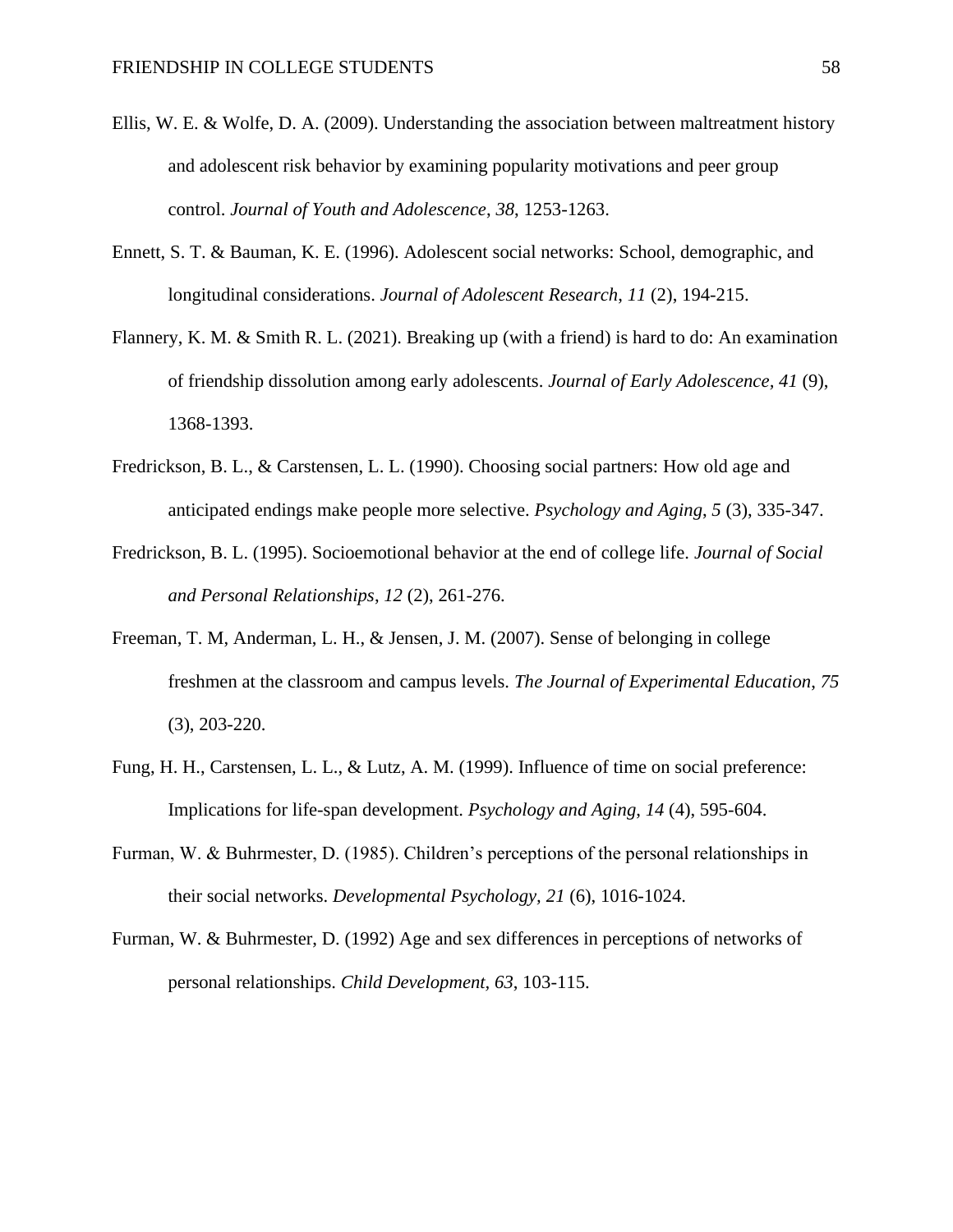- Ellis, W. E. & Wolfe, D. A. (2009). Understanding the association between maltreatment history and adolescent risk behavior by examining popularity motivations and peer group control. *Journal of Youth and Adolescence*, *38*, 1253-1263.
- Ennett, S. T. & Bauman, K. E. (1996). Adolescent social networks: School, demographic, and longitudinal considerations. *Journal of Adolescent Research*, *11* (2), 194-215.
- Flannery, K. M. & Smith R. L. (2021). Breaking up (with a friend) is hard to do: An examination of friendship dissolution among early adolescents. *Journal of Early Adolescence, 41* (9), 1368-1393.
- Fredrickson, B. L., & Carstensen, L. L. (1990). Choosing social partners: How old age and anticipated endings make people more selective. *Psychology and Aging*, *5* (3), 335-347.
- Fredrickson, B. L. (1995). Socioemotional behavior at the end of college life. *Journal of Social and Personal Relationships*, *12* (2), 261-276.
- Freeman, T. M, Anderman, L. H., & Jensen, J. M. (2007). Sense of belonging in college freshmen at the classroom and campus levels. *The Journal of Experimental Education*, *75* (3), 203-220.
- Fung, H. H., Carstensen, L. L., & Lutz, A. M. (1999). Influence of time on social preference: Implications for life-span development. *Psychology and Aging*, *14* (4), 595-604.
- Furman, W. & Buhrmester, D. (1985). Children's perceptions of the personal relationships in their social networks. *Developmental Psychology, 21* (6), 1016-1024.
- Furman, W. & Buhrmester, D. (1992) Age and sex differences in perceptions of networks of personal relationships. *Child Development, 63*, 103-115.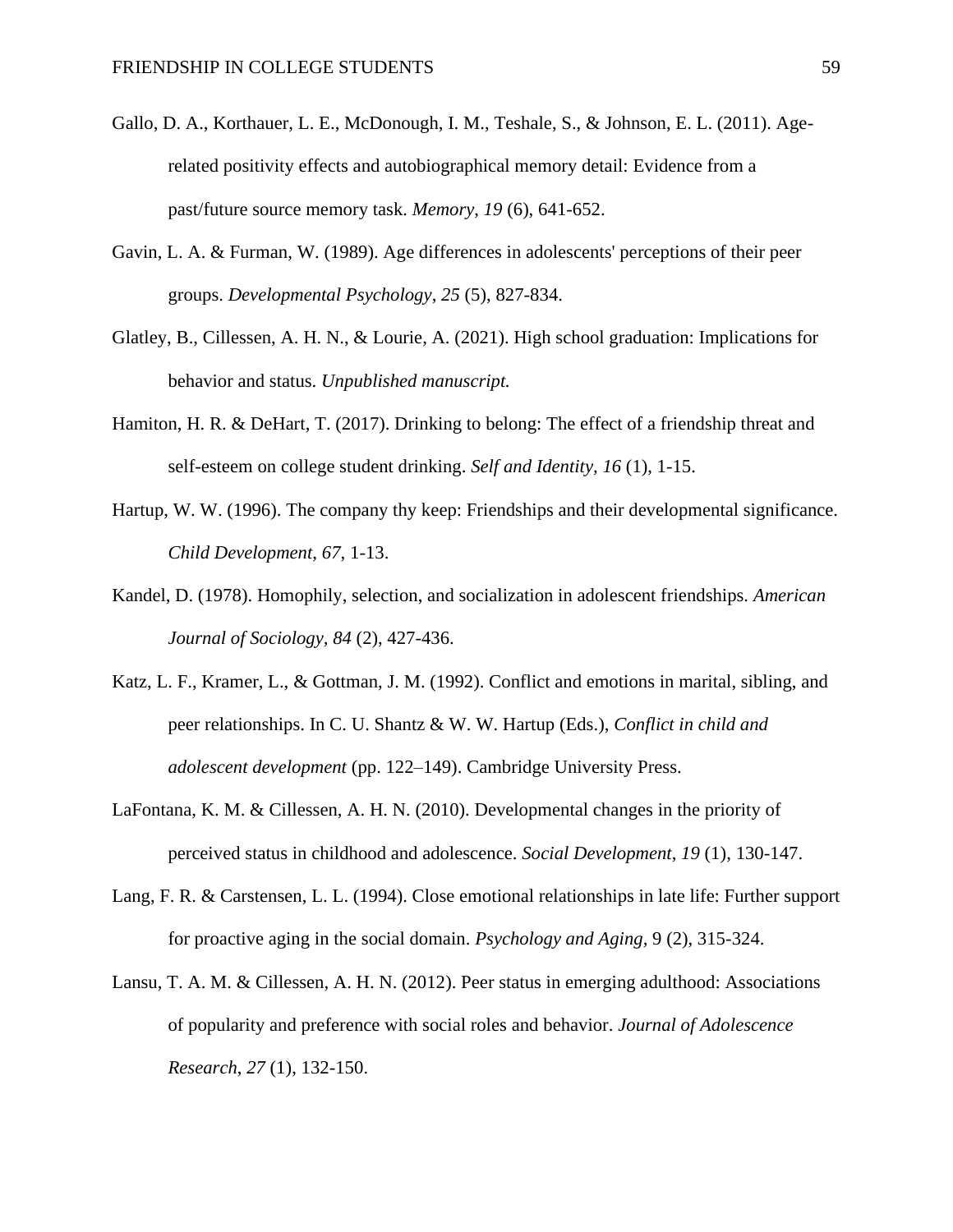- Gallo, D. A., Korthauer, L. E., McDonough, I. M., Teshale, S., & Johnson, E. L. (2011). Agerelated positivity effects and autobiographical memory detail: Evidence from a past/future source memory task. *Memory*, *19* (6), 641-652.
- Gavin, L. A. & Furman, W. (1989). Age differences in adolescents' perceptions of their peer groups. *Developmental Psychology*, *25* (5), 827-834.
- Glatley, B., Cillessen, A. H. N., & Lourie, A. (2021). High school graduation: Implications for behavior and status. *Unpublished manuscript.*
- Hamiton, H. R. & DeHart, T. (2017). Drinking to belong: The effect of a friendship threat and self-esteem on college student drinking. *Self and Identity, 16* (1), 1-15.
- Hartup, W. W. (1996). The company thy keep: Friendships and their developmental significance. *Child Development*, *67*, 1-13.
- Kandel, D. (1978). Homophily, selection, and socialization in adolescent friendships. *American Journal of Sociology, 84* (2), 427-436.
- Katz, L. F., Kramer, L., & Gottman, J. M. (1992). Conflict and emotions in marital, sibling, and peer relationships. In C. U. Shantz & W. W. Hartup (Eds.), *Conflict in child and adolescent development* (pp. 122–149). Cambridge University Press.
- LaFontana, K. M. & Cillessen, A. H. N. (2010). Developmental changes in the priority of perceived status in childhood and adolescence. *Social Development*, *19* (1), 130-147.
- Lang, F. R. & Carstensen, L. L. (1994). Close emotional relationships in late life: Further support for proactive aging in the social domain. *Psychology and Aging,* 9 (2), 315-324.
- Lansu, T. A. M. & Cillessen, A. H. N. (2012). Peer status in emerging adulthood: Associations of popularity and preference with social roles and behavior. *Journal of Adolescence Research*, *27* (1), 132-150.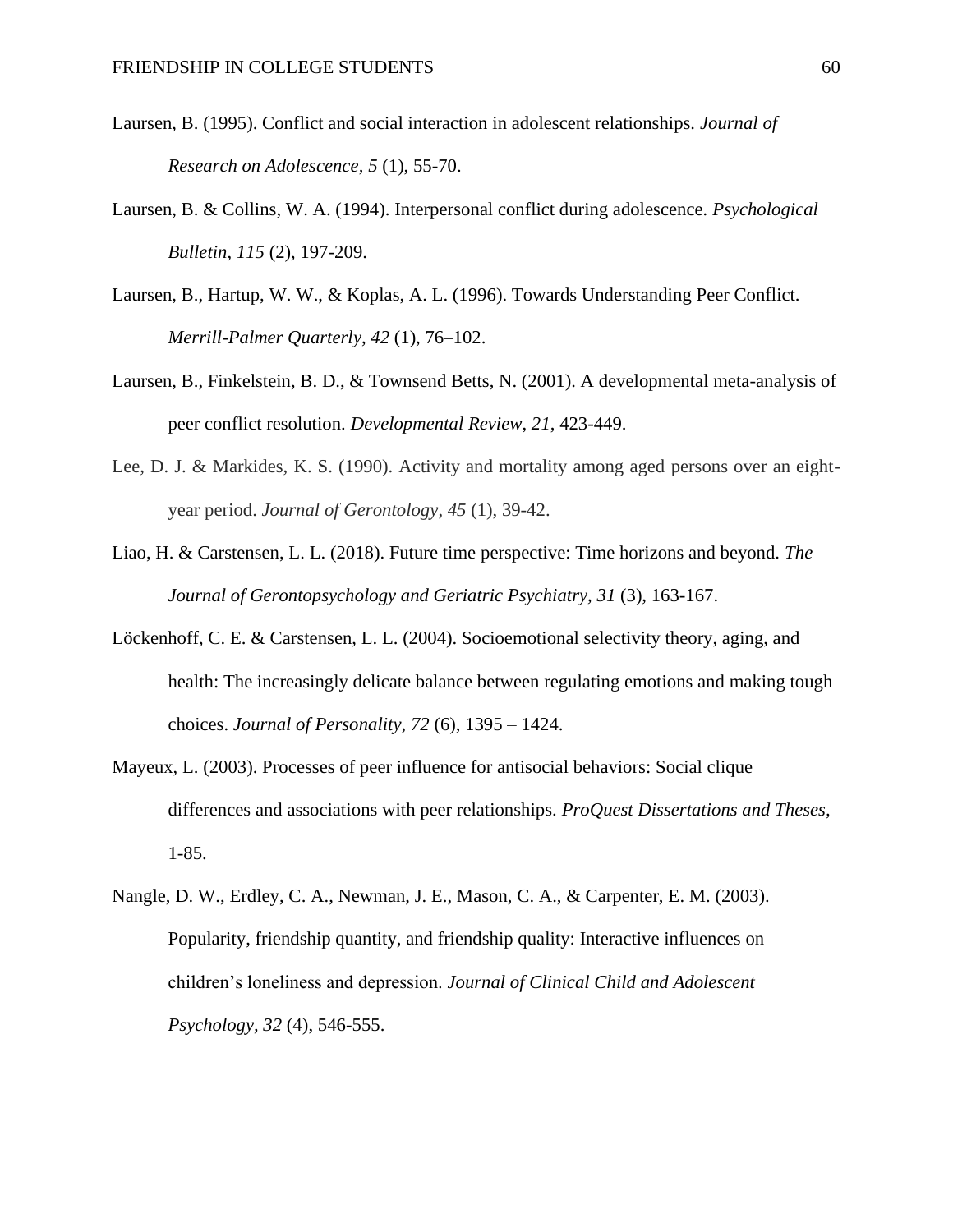- Laursen, B. (1995). Conflict and social interaction in adolescent relationships. *Journal of Research on Adolescence, 5* (1), 55-70.
- Laursen, B. & Collins, W. A. (1994). Interpersonal conflict during adolescence*. Psychological Bulletin*, *115* (2), 197-209.
- Laursen, B., Hartup, W. W., & Koplas, A. L. (1996). Towards Understanding Peer Conflict. *Merrill-Palmer Quarterly*, *42* (1), 76–102.
- Laursen, B., Finkelstein, B. D., & Townsend Betts, N. (2001). A developmental meta-analysis of peer conflict resolution. *Developmental Review*, *21*, 423-449.
- Lee, D. J. & Markides, K. S. (1990). Activity and mortality among aged persons over an eightyear period. *Journal of Gerontology*, *45* (1), 39-42.
- Liao, H. & Carstensen, L. L. (2018). Future time perspective: Time horizons and beyond. *The Journal of Gerontopsychology and Geriatric Psychiatry, 31* (3), 163-167.
- Löckenhoff, C. E. & Carstensen, L. L. (2004). Socioemotional selectivity theory, aging, and health: The increasingly delicate balance between regulating emotions and making tough choices. *Journal of Personality, 72* (6), 1395 – 1424.
- Mayeux, L. (2003). Processes of peer influence for antisocial behaviors: Social clique differences and associations with peer relationships. *ProQuest Dissertations and Theses,*  1-85.
- Nangle, D. W., Erdley, C. A., Newman, J. E., Mason, C. A., & Carpenter, E. M. (2003). Popularity, friendship quantity, and friendship quality: Interactive influences on children's loneliness and depression. *Journal of Clinical Child and Adolescent Psychology, 32* (4), 546-555.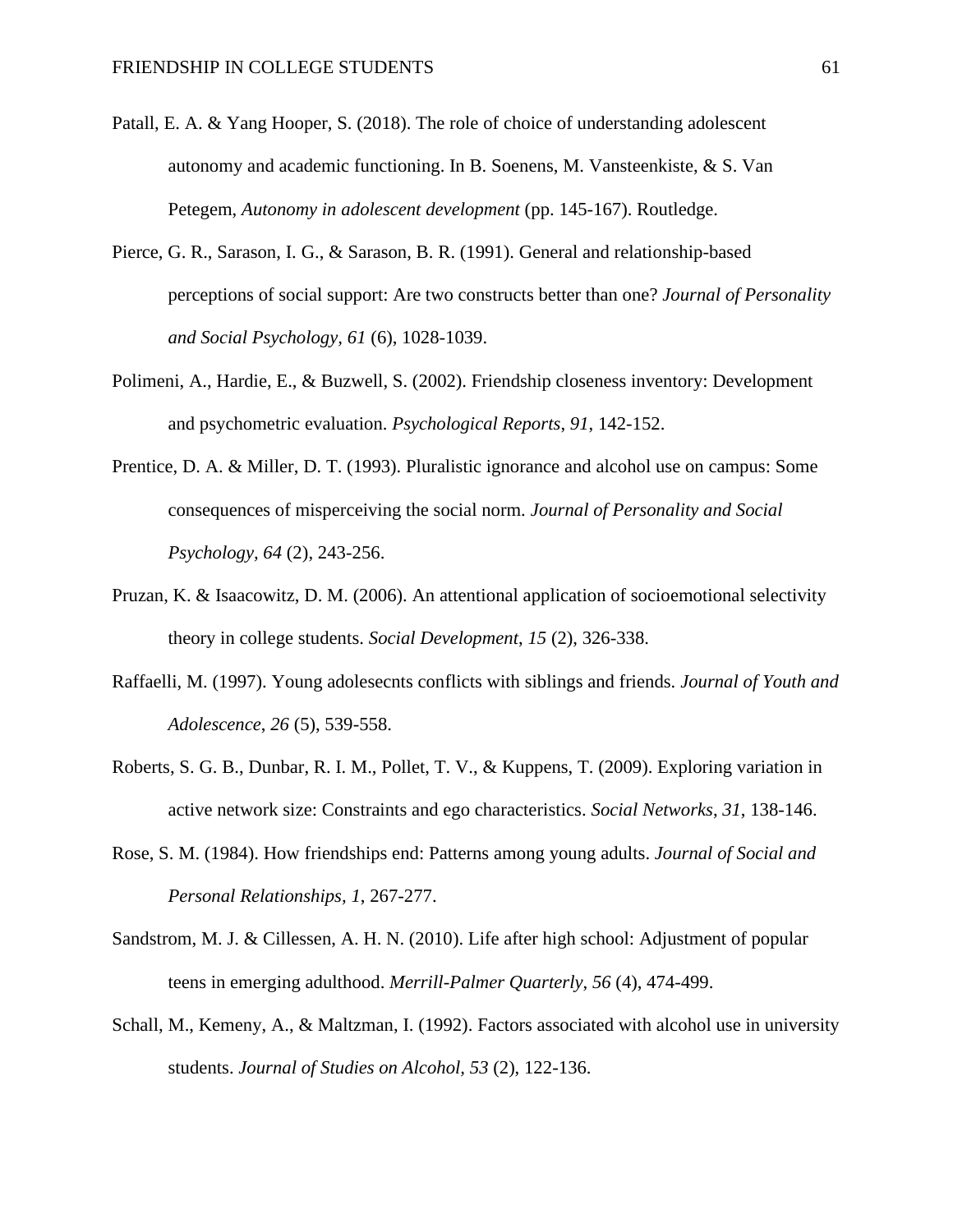- Patall, E. A. & Yang Hooper, S. (2018). The role of choice of understanding adolescent autonomy and academic functioning. In B. Soenens, M. Vansteenkiste, & S. Van Petegem, *Autonomy in adolescent development* (pp. 145-167). Routledge.
- Pierce, G. R., Sarason, I. G., & Sarason, B. R. (1991). General and relationship-based perceptions of social support: Are two constructs better than one? *Journal of Personality and Social Psychology, 61* (6), 1028-1039.
- Polimeni, A., Hardie, E., & Buzwell, S. (2002). Friendship closeness inventory: Development and psychometric evaluation. *Psychological Reports*, *91*, 142-152.
- Prentice, D. A. & Miller, D. T. (1993). Pluralistic ignorance and alcohol use on campus: Some consequences of misperceiving the social norm. *Journal of Personality and Social Psychology, 64* (2), 243-256.
- Pruzan, K. & Isaacowitz, D. M. (2006). An attentional application of socioemotional selectivity theory in college students. *Social Development*, *15* (2), 326-338.
- Raffaelli, M. (1997). Young adolesecnts conflicts with siblings and friends. *Journal of Youth and Adolescence*, *26* (5), 539-558.
- Roberts, S. G. B., Dunbar, R. I. M., Pollet, T. V., & Kuppens, T. (2009). Exploring variation in active network size: Constraints and ego characteristics. *Social Networks*, *31*, 138-146.
- Rose, S. M. (1984). How friendships end: Patterns among young adults. *Journal of Social and Personal Relationships, 1*, 267-277.
- Sandstrom, M. J. & Cillessen, A. H. N. (2010). Life after high school: Adjustment of popular teens in emerging adulthood. *Merrill-Palmer Quarterly*, *56* (4), 474-499.
- Schall, M., Kemeny, A., & Maltzman, I. (1992). Factors associated with alcohol use in university students. *Journal of Studies on Alcohol, 53* (2), 122-136.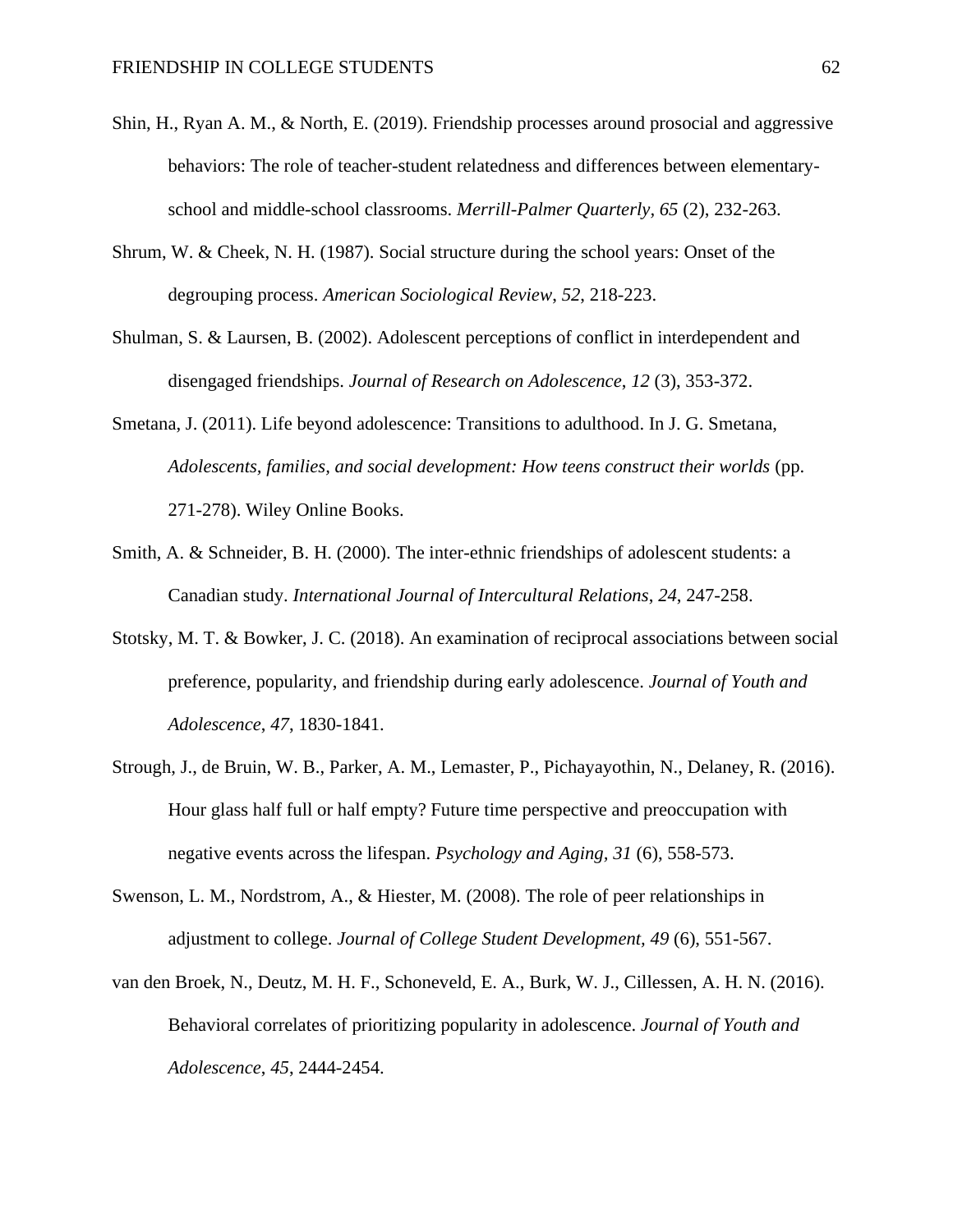- Shin, H., Ryan A. M., & North, E. (2019). Friendship processes around prosocial and aggressive behaviors: The role of teacher-student relatedness and differences between elementaryschool and middle-school classrooms. *Merrill-Palmer Quarterly, 65* (2), 232-263.
- Shrum, W. & Cheek, N. H. (1987). Social structure during the school years: Onset of the degrouping process. *American Sociological Review*, *52*, 218-223.
- Shulman, S. & Laursen, B. (2002). Adolescent perceptions of conflict in interdependent and disengaged friendships. *Journal of Research on Adolescence*, *12* (3), 353-372.
- Smetana, J. (2011). Life beyond adolescence: Transitions to adulthood. In J. G. Smetana, *Adolescents, families, and social development: How teens construct their worlds (pp.* 271-278). Wiley Online Books.
- Smith, A. & Schneider, B. H. (2000). The inter-ethnic friendships of adolescent students: a Canadian study. *International Journal of Intercultural Relations*, *24*, 247-258.
- Stotsky, M. T. & Bowker, J. C. (2018). An examination of reciprocal associations between social preference, popularity, and friendship during early adolescence. *Journal of Youth and Adolescence*, *47*, 1830-1841.
- Strough, J., de Bruin, W. B., Parker, A. M., Lemaster, P., Pichayayothin, N., Delaney, R. (2016). Hour glass half full or half empty? Future time perspective and preoccupation with negative events across the lifespan. *Psychology and Aging, 31* (6), 558-573.
- Swenson, L. M., Nordstrom, A., & Hiester, M. (2008). The role of peer relationships in adjustment to college. *Journal of College Student Development, 49* (6), 551-567.
- van den Broek, N., Deutz, M. H. F., Schoneveld, E. A., Burk, W. J., Cillessen, A. H. N. (2016). Behavioral correlates of prioritizing popularity in adolescence. *Journal of Youth and Adolescence*, *45*, 2444-2454.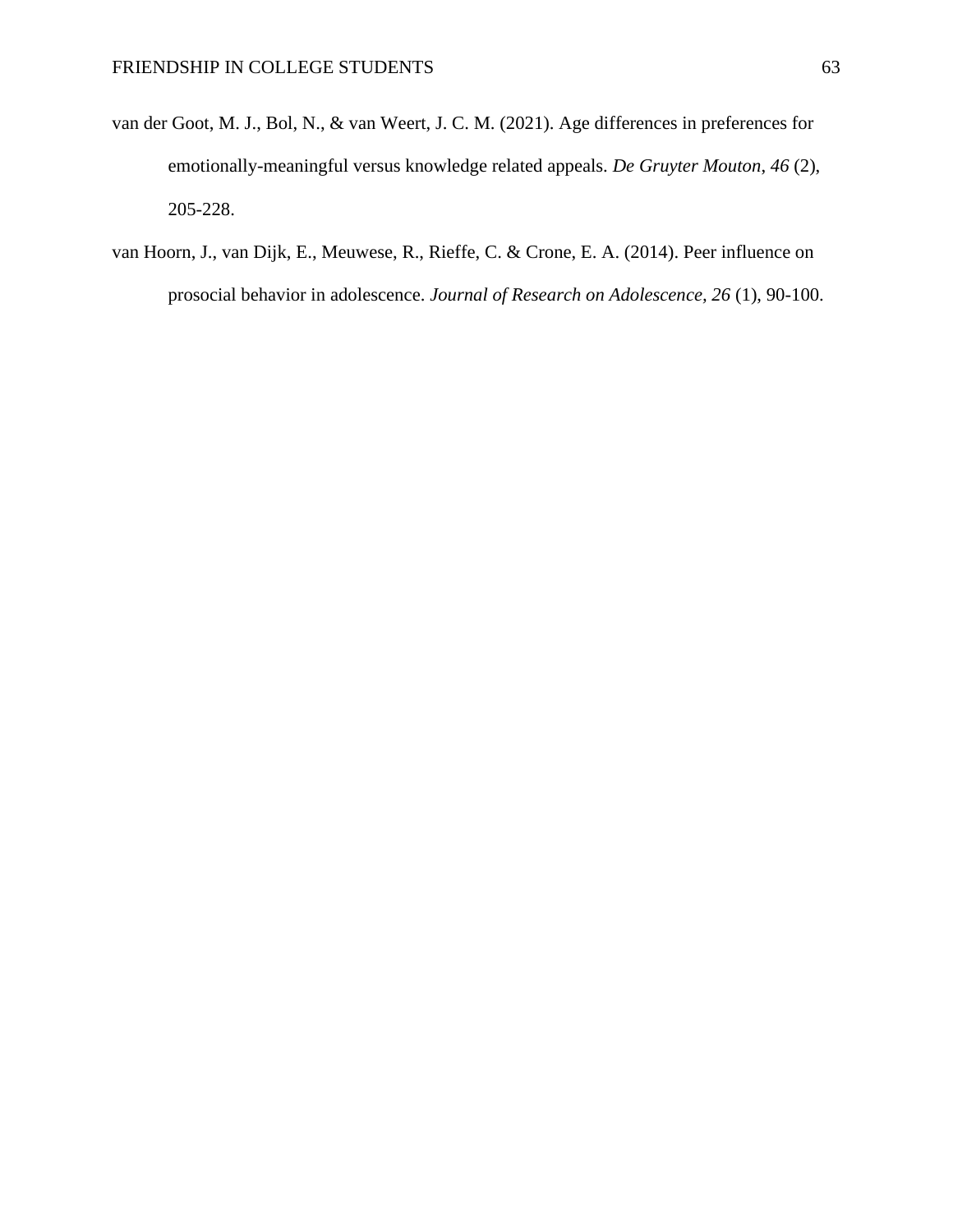- van der Goot, M. J., Bol, N., & van Weert, J. C. M. (2021). Age differences in preferences for emotionally-meaningful versus knowledge related appeals. *De Gruyter Mouton*, *46* (2), 205-228.
- van Hoorn, J., van Dijk, E., Meuwese, R., Rieffe, C. & Crone, E. A. (2014). Peer influence on prosocial behavior in adolescence. *Journal of Research on Adolescence, 26* (1), 90-100.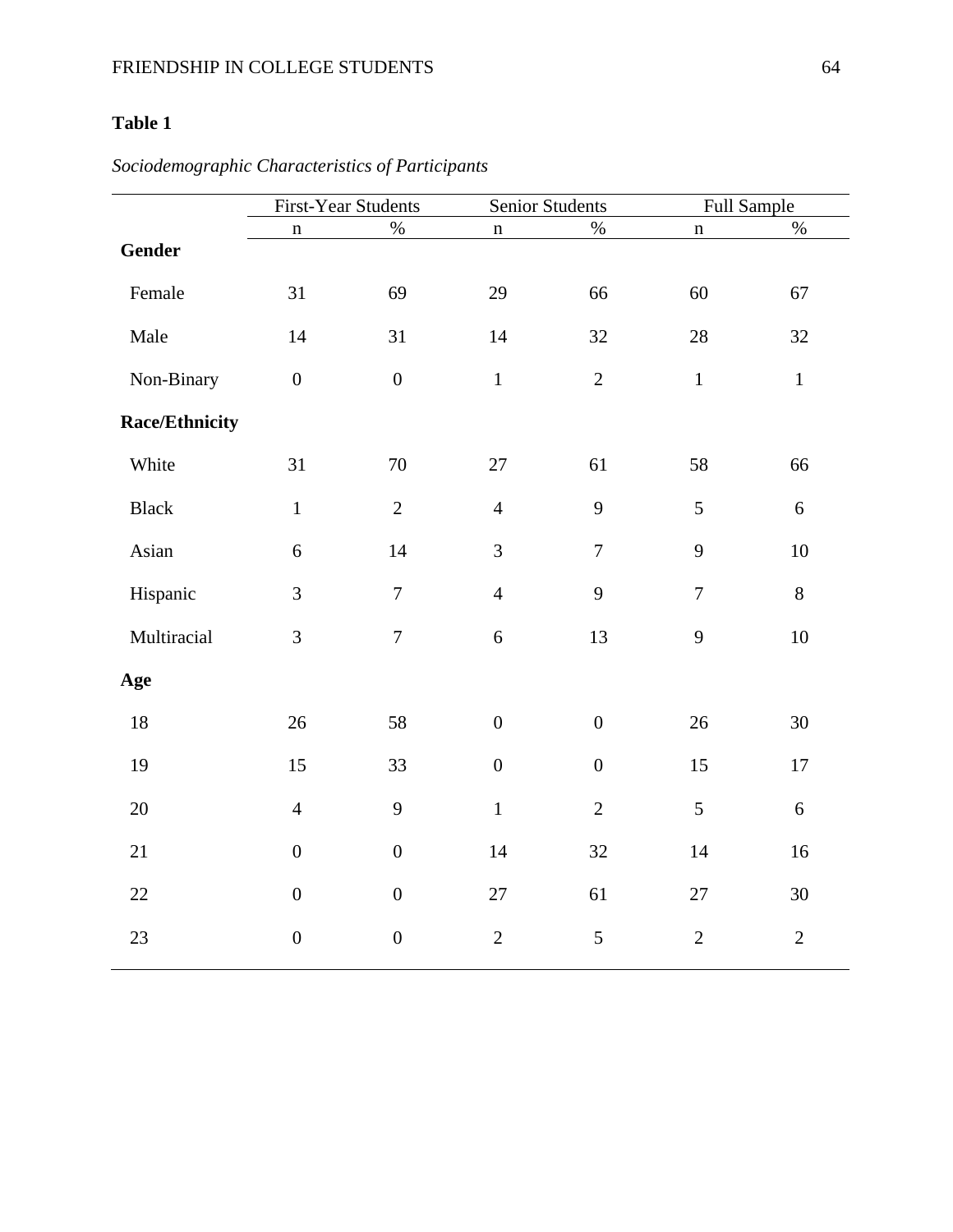| <b>First-Year Students</b> |                  |                  | Senior Students  |                | Full Sample    |  |
|----------------------------|------------------|------------------|------------------|----------------|----------------|--|
| $\mathbf n$                | $\%$             | $\mathbf n$      | $\%$             | $\mathbf n$    | $\%$           |  |
|                            |                  |                  |                  |                |                |  |
| 31                         | 69               | 29               | 66               | 60             | 67             |  |
| 14                         | 31               | 14               | 32               | 28             | 32             |  |
| $\boldsymbol{0}$           | $\boldsymbol{0}$ | $\mathbf{1}$     | $\overline{2}$   | $\mathbf 1$    | $\mathbf 1$    |  |
|                            |                  |                  |                  |                |                |  |
| 31                         | 70               | 27               | 61               | 58             | 66             |  |
| $\mathbf 1$                | $\overline{2}$   | $\overline{4}$   | 9                | 5              | 6              |  |
| $\boldsymbol{6}$           | 14               | 3                | $\tau$           | 9              | 10             |  |
| 3                          | $\overline{7}$   | $\overline{4}$   | 9                | $\overline{7}$ | 8              |  |
| 3                          | $\overline{7}$   | 6                | 13               | 9              | 10             |  |
|                            |                  |                  |                  |                |                |  |
| 26                         | 58               | $\boldsymbol{0}$ | $\boldsymbol{0}$ | 26             | 30             |  |
| 15                         | 33               | $\boldsymbol{0}$ | $\boldsymbol{0}$ | 15             | 17             |  |
| $\overline{4}$             | 9                | $\mathbf{1}$     | $\overline{2}$   | 5              | 6              |  |
| $\boldsymbol{0}$           | $\boldsymbol{0}$ | 14               | 32               | 14             | 16             |  |
| $\boldsymbol{0}$           | $\boldsymbol{0}$ | 27               | 61               | 27             | 30             |  |
| $\boldsymbol{0}$           | $\boldsymbol{0}$ | $\sqrt{2}$       | $\mathfrak s$    | $\overline{2}$ | $\overline{2}$ |  |
|                            |                  |                  |                  |                |                |  |

*Sociodemographic Characteristics of Participants*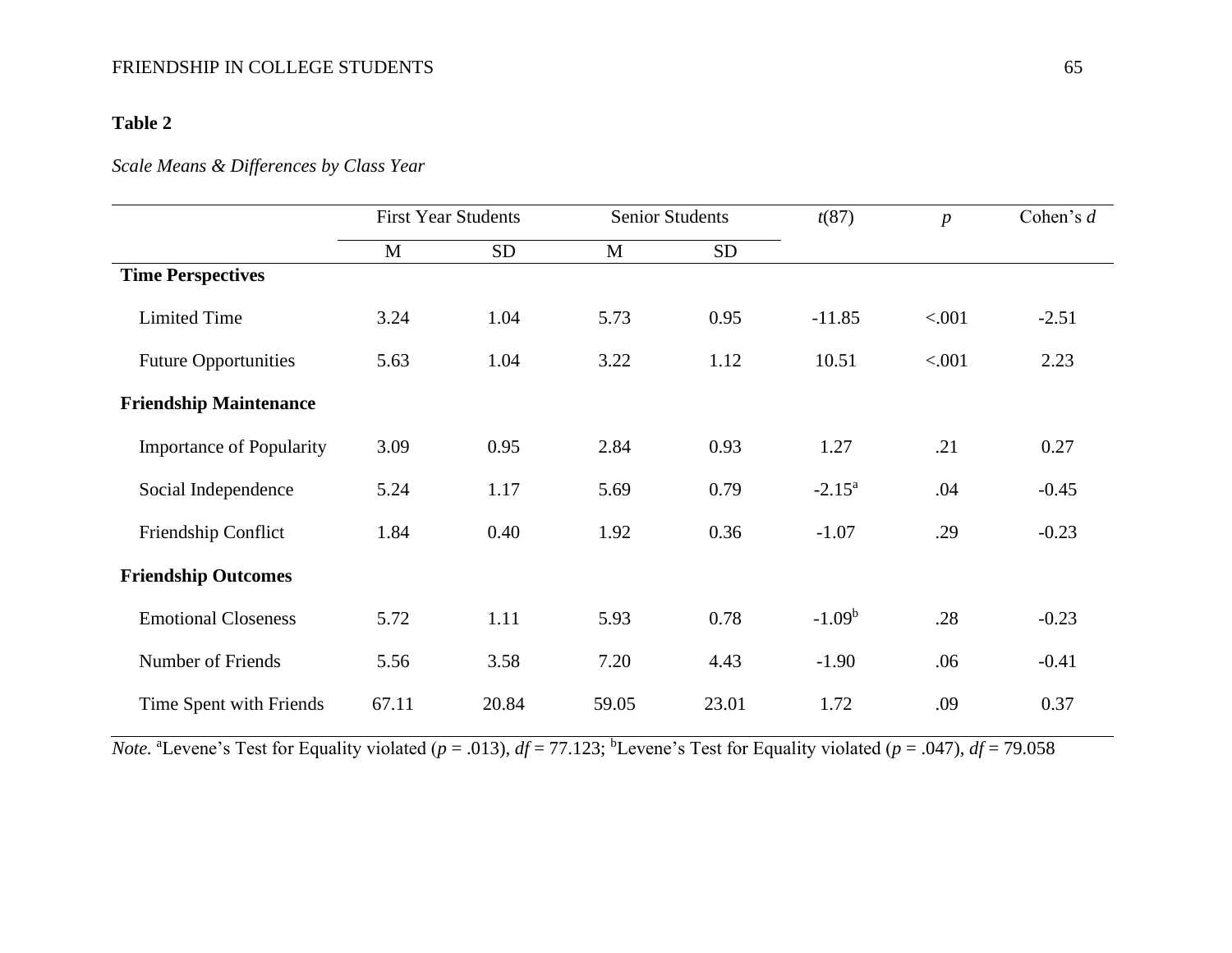### *Scale Means & Differences by Class Year*

|                                 |       | <b>First Year Students</b> | <b>Senior Students</b> |           | t(87)     | $\boldsymbol{p}$ | Cohen's $d$ |
|---------------------------------|-------|----------------------------|------------------------|-----------|-----------|------------------|-------------|
|                                 | M     | <b>SD</b>                  | M                      | <b>SD</b> |           |                  |             |
| <b>Time Perspectives</b>        |       |                            |                        |           |           |                  |             |
| <b>Limited Time</b>             | 3.24  | 1.04                       | 5.73                   | 0.95      | $-11.85$  | < .001           | $-2.51$     |
| <b>Future Opportunities</b>     | 5.63  | 1.04                       | 3.22                   | 1.12      | 10.51     | < .001           | 2.23        |
| <b>Friendship Maintenance</b>   |       |                            |                        |           |           |                  |             |
| <b>Importance of Popularity</b> | 3.09  | 0.95                       | 2.84                   | 0.93      | 1.27      | .21              | 0.27        |
| Social Independence             | 5.24  | 1.17                       | 5.69                   | 0.79      | $-2.15^a$ | .04              | $-0.45$     |
| Friendship Conflict             | 1.84  | 0.40                       | 1.92                   | 0.36      | $-1.07$   | .29              | $-0.23$     |
| <b>Friendship Outcomes</b>      |       |                            |                        |           |           |                  |             |
| <b>Emotional Closeness</b>      | 5.72  | 1.11                       | 5.93                   | 0.78      | $-1.09b$  | .28              | $-0.23$     |
| Number of Friends               | 5.56  | 3.58                       | 7.20                   | 4.43      | $-1.90$   | .06              | $-0.41$     |
| Time Spent with Friends         | 67.11 | 20.84                      | 59.05                  | 23.01     | 1.72      | .09              | 0.37        |

*Note.* "Levene's Test for Equality violated ( $p = .013$ ),  $df = 77.123$ ; <sup>b</sup>Levene's Test for Equality violated ( $p = .047$ ),  $df = 79.058$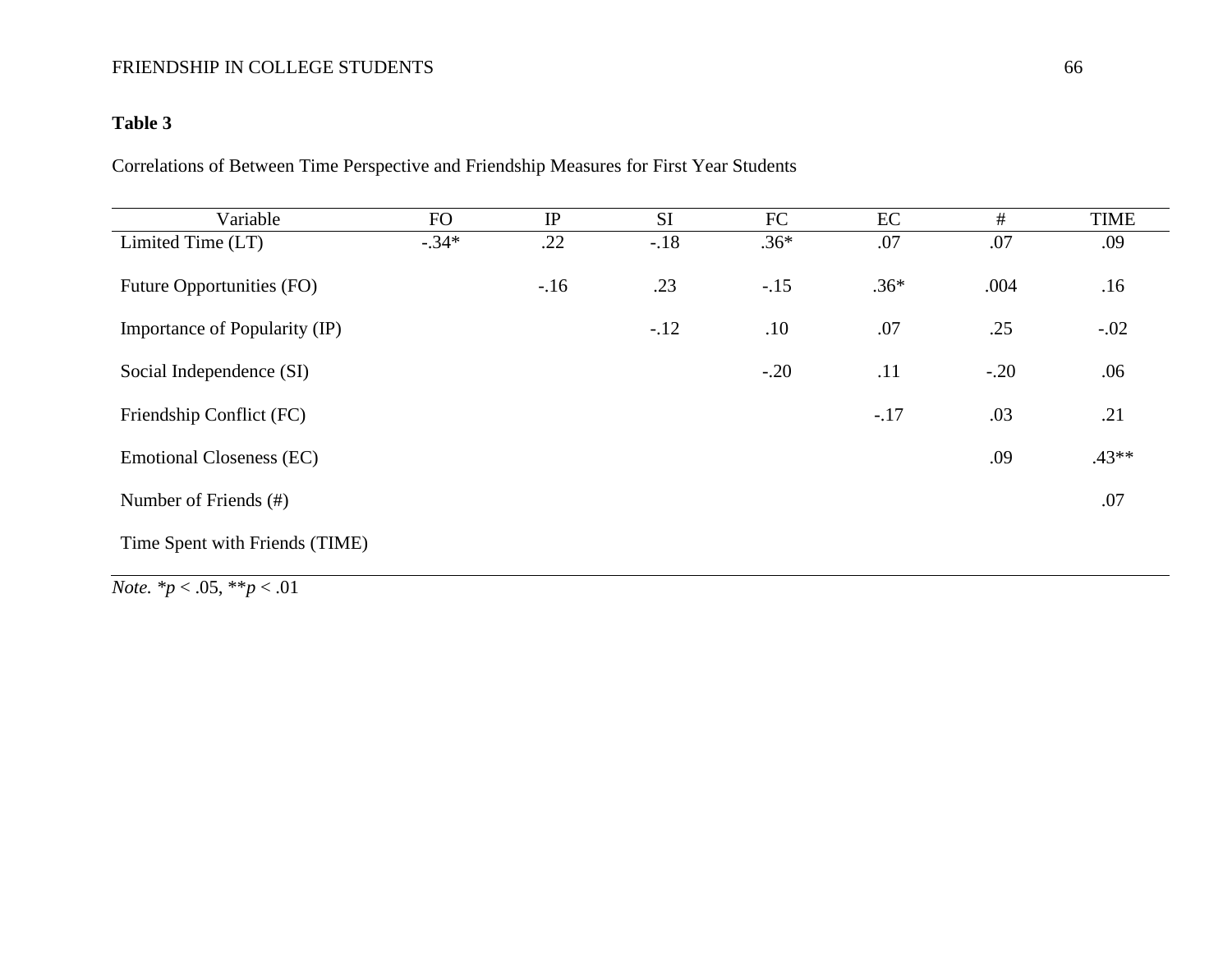# **Table 3**

Correlations of Between Time Perspective and Friendship Measures for First Year Students

| Variable                        | FO      | IP    | <b>SI</b> | FC     | EC     | #      | <b>TIME</b> |
|---------------------------------|---------|-------|-----------|--------|--------|--------|-------------|
| Limited Time (LT)               | $-.34*$ | .22   | $-18$     | $.36*$ | .07    | .07    | .09         |
| Future Opportunities (FO)       |         | $-16$ | .23       | $-.15$ | $.36*$ | .004   | .16         |
| Importance of Popularity (IP)   |         |       | $-.12$    | .10    | .07    | .25    | $-.02$      |
| Social Independence (SI)        |         |       |           | $-.20$ | .11    | $-.20$ | .06         |
| Friendship Conflict (FC)        |         |       |           |        | $-.17$ | .03    | .21         |
| <b>Emotional Closeness (EC)</b> |         |       |           |        |        | .09    | $.43**$     |
| Number of Friends (#)           |         |       |           |        |        |        | .07         |
| Time Spent with Friends (TIME)  |         |       |           |        |        |        |             |

*Note. \*p* < .05, \*\**p* < .01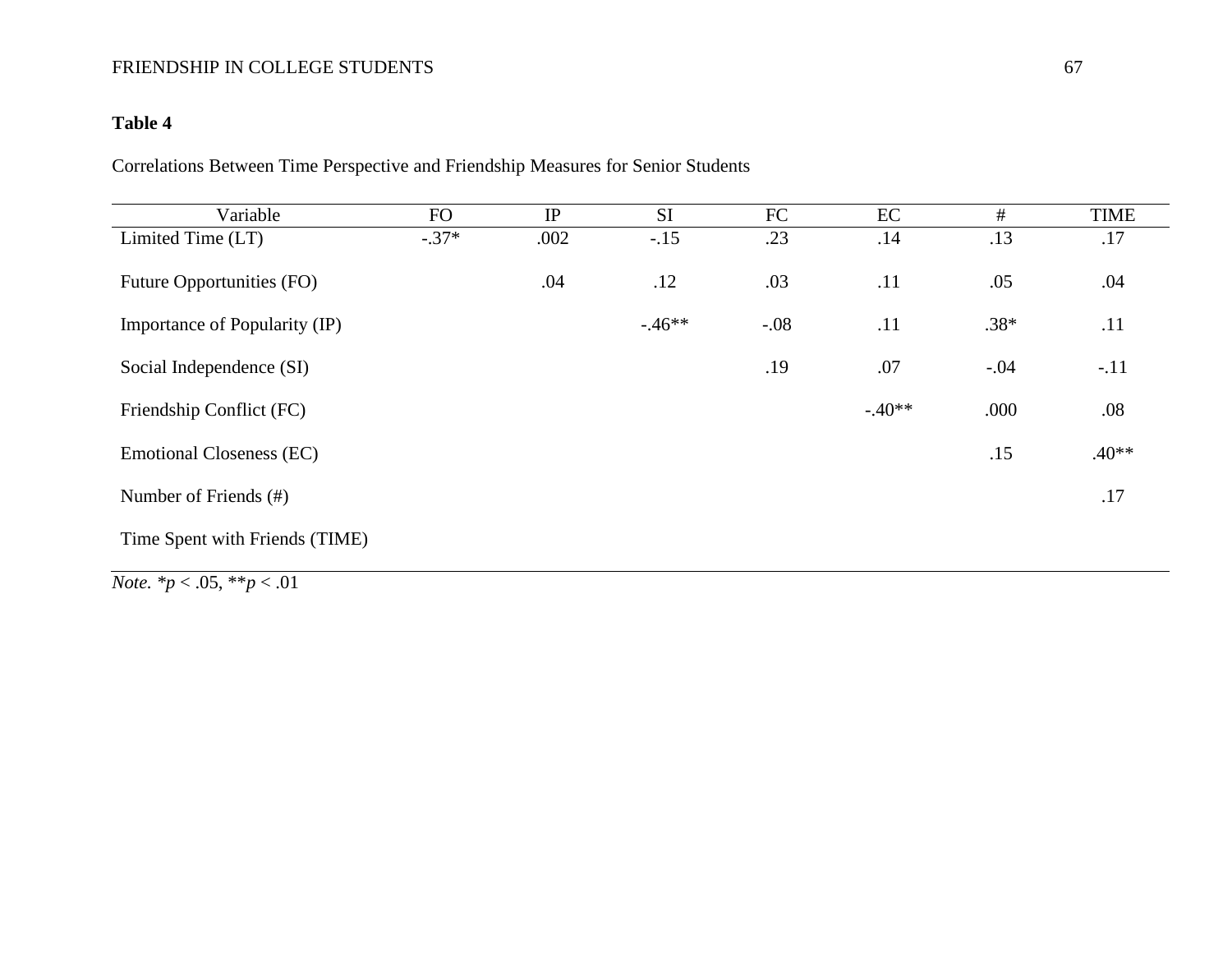### **Table 4**

Correlations Between Time Perspective and Friendship Measures for Senior Students

| Variable                                                                                    | <b>FO</b> | IP   | <b>SI</b> | FC     | EC       | #      | <b>TIME</b> |
|---------------------------------------------------------------------------------------------|-----------|------|-----------|--------|----------|--------|-------------|
| Limited Time (LT)                                                                           | $-.37*$   | .002 | $-.15$    | .23    | .14      | .13    | .17         |
| Future Opportunities (FO)                                                                   |           | .04  | .12       | .03    | .11      | .05    | .04         |
| Importance of Popularity (IP)                                                               |           |      | $-46**$   | $-.08$ | .11      | $.38*$ | .11         |
| Social Independence (SI)                                                                    |           |      |           | .19    | .07      | $-.04$ | $-.11$      |
| Friendship Conflict (FC)                                                                    |           |      |           |        | $-.40**$ | .000   | .08         |
| <b>Emotional Closeness (EC)</b>                                                             |           |      |           |        |          | .15    | $.40**$     |
| Number of Friends (#)                                                                       |           |      |           |        |          |        | .17         |
| Time Spent with Friends (TIME)                                                              |           |      |           |        |          |        |             |
| $\mathbf{a} \mathbf{r}$ and $\mathbf{a} \mathbf{r}$ and $\mathbf{a} \mathbf{r}$<br>$\sim$ 1 |           |      |           |        |          |        |             |

*Note. \*p* < .05, \*\**p* < .01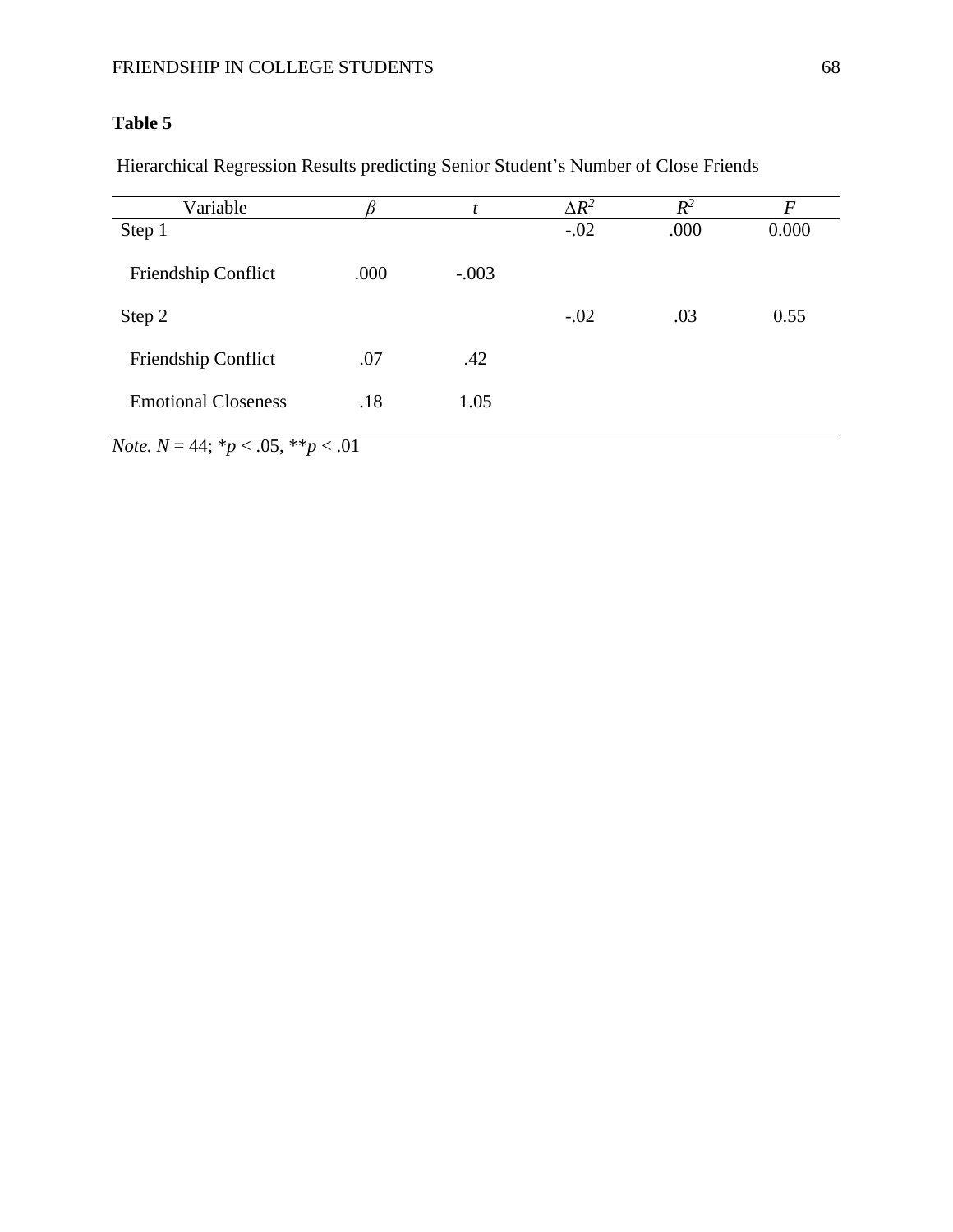Hierarchical Regression Results predicting Senior Student's Number of Close Friends

| Variable                   |      |         | $\Delta R^2$ | $R^2$ | $\boldsymbol{F}$ |
|----------------------------|------|---------|--------------|-------|------------------|
| Step 1                     |      |         | $-.02$       | .000  | 0.000            |
| Friendship Conflict        | .000 | $-.003$ |              |       |                  |
| Step 2                     |      |         | $-.02$       | .03   | 0.55             |
| Friendship Conflict        | .07  | .42     |              |       |                  |
| <b>Emotional Closeness</b> | .18  | 1.05    |              |       |                  |

*Note.*  $N = 44$ ;  $* p < .05$ ,  $* p < .01$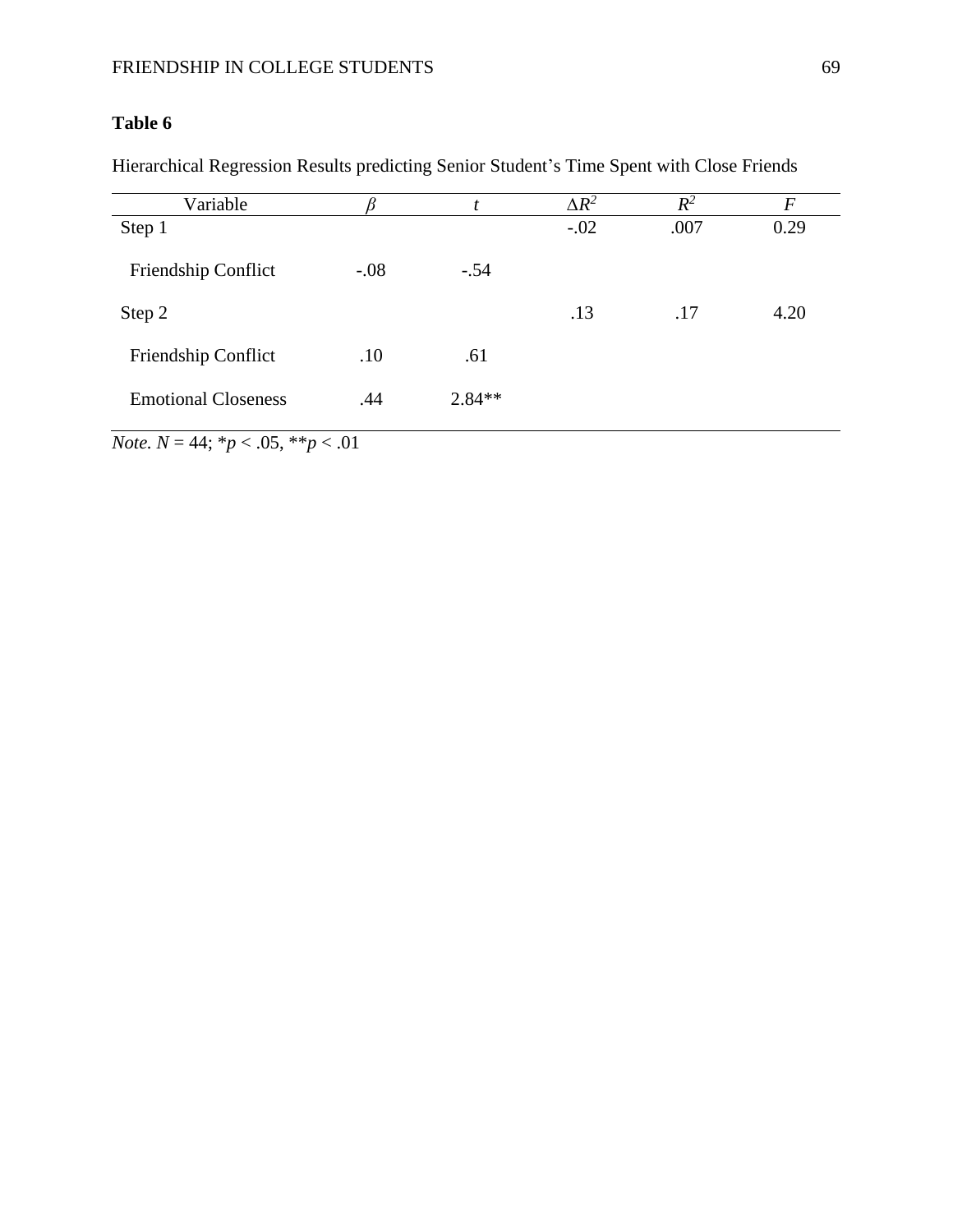Hierarchical Regression Results predicting Senior Student's Time Spent with Close Friends

| Variable                   |        |          | $\Delta R^2$ | $R^2$ | F    |
|----------------------------|--------|----------|--------------|-------|------|
| Step 1                     |        |          | $-.02$       | .007  | 0.29 |
| Friendship Conflict        | $-.08$ | $-.54$   |              |       |      |
| Step 2                     |        |          | .13          | .17   | 4.20 |
| Friendship Conflict        | .10    | .61      |              |       |      |
| <b>Emotional Closeness</b> | .44    | $2.84**$ |              |       |      |

*Note.*  $N = 44$ ;  $* p < .05$ ,  $* p < .01$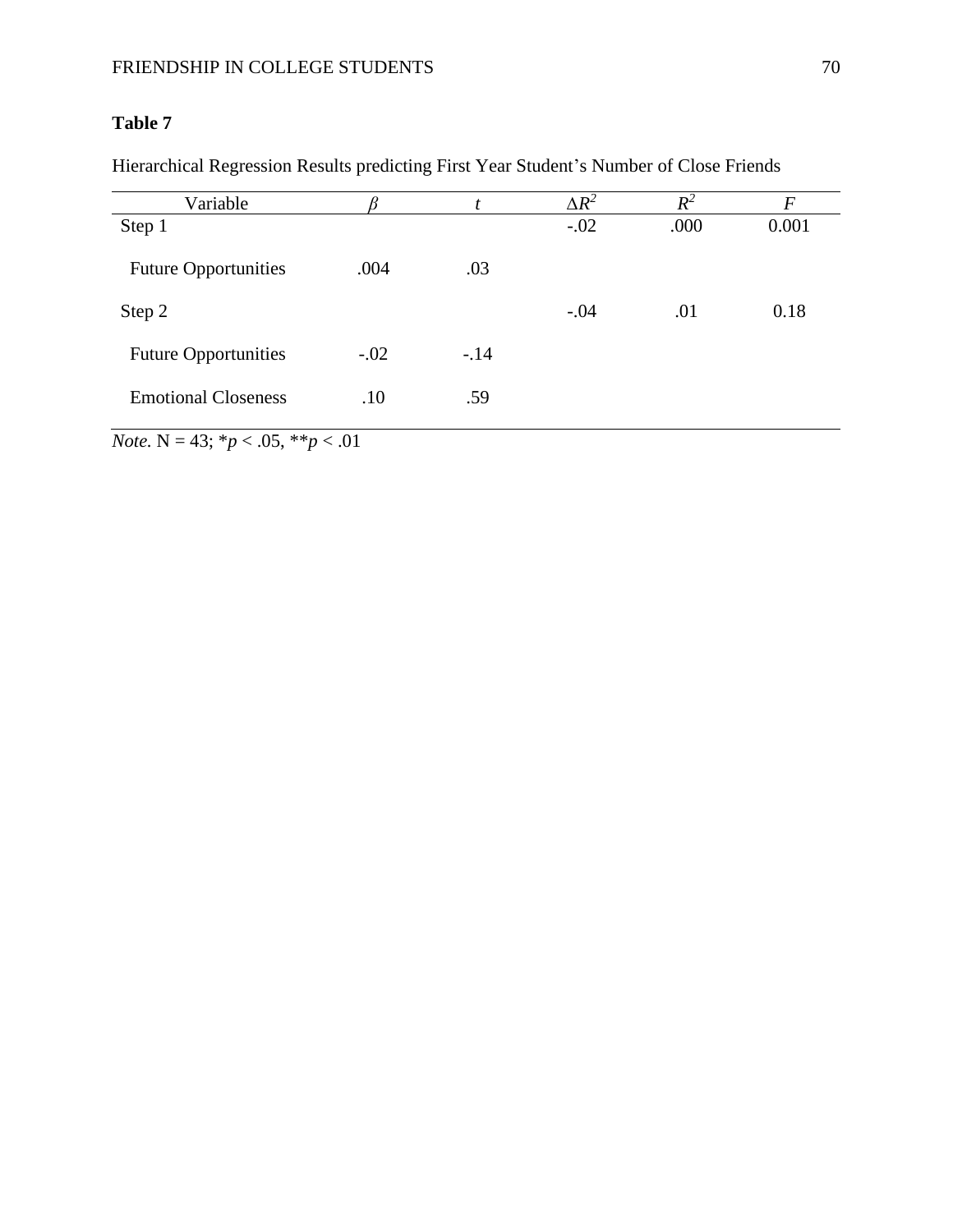Hierarchical Regression Results predicting First Year Student's Number of Close Friends

|        |        | $\Delta R^2$ | $R^2$ | F     |
|--------|--------|--------------|-------|-------|
|        |        | $-.02$       | .000  | 0.001 |
| .004   | .03    |              |       |       |
|        |        | $-.04$       | .01   | 0.18  |
| $-.02$ | $-.14$ |              |       |       |
| .10    | .59    |              |       |       |
|        |        |              |       |       |

*Note.* N = 43; \**p* < .05, \*\**p* < .01